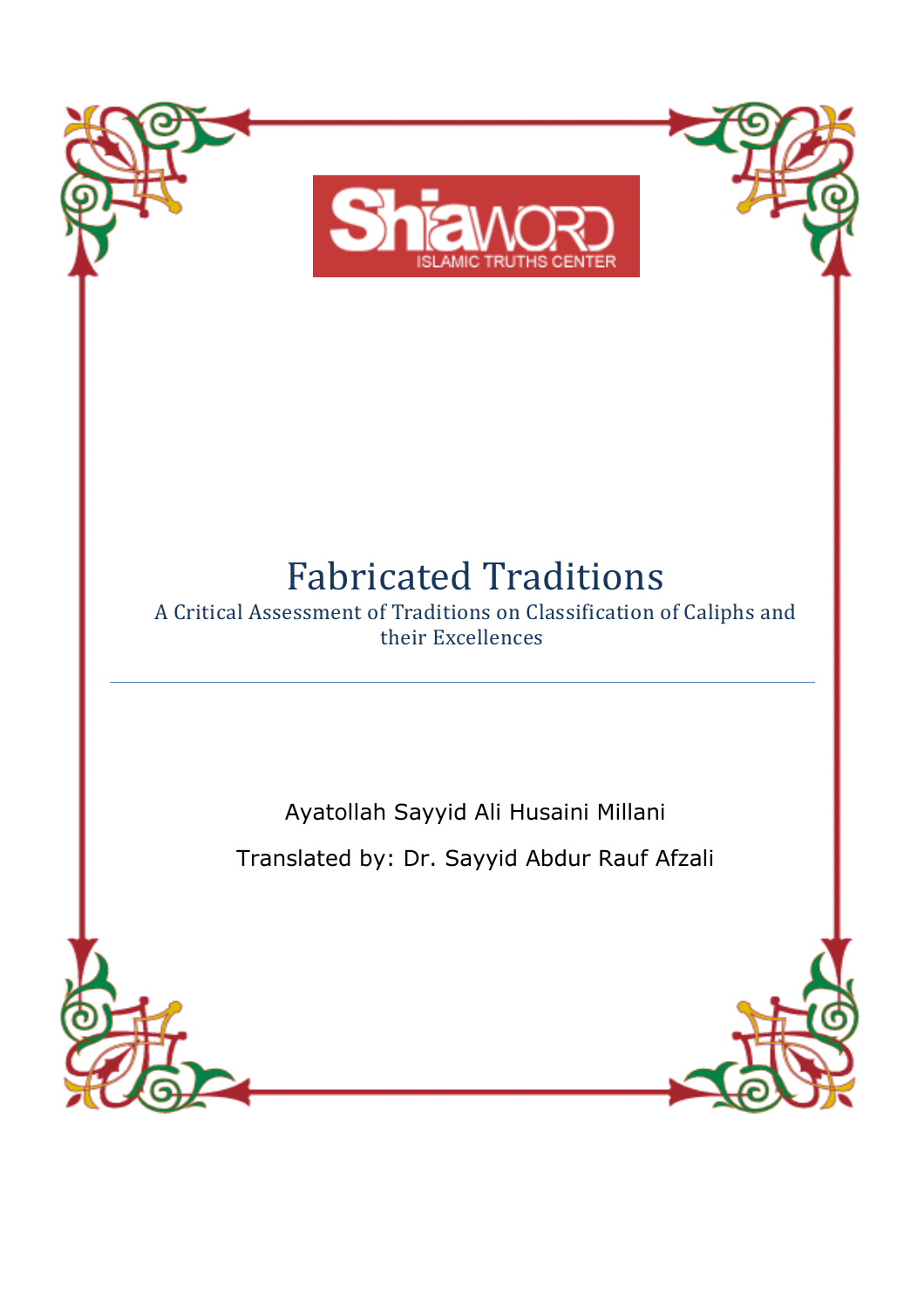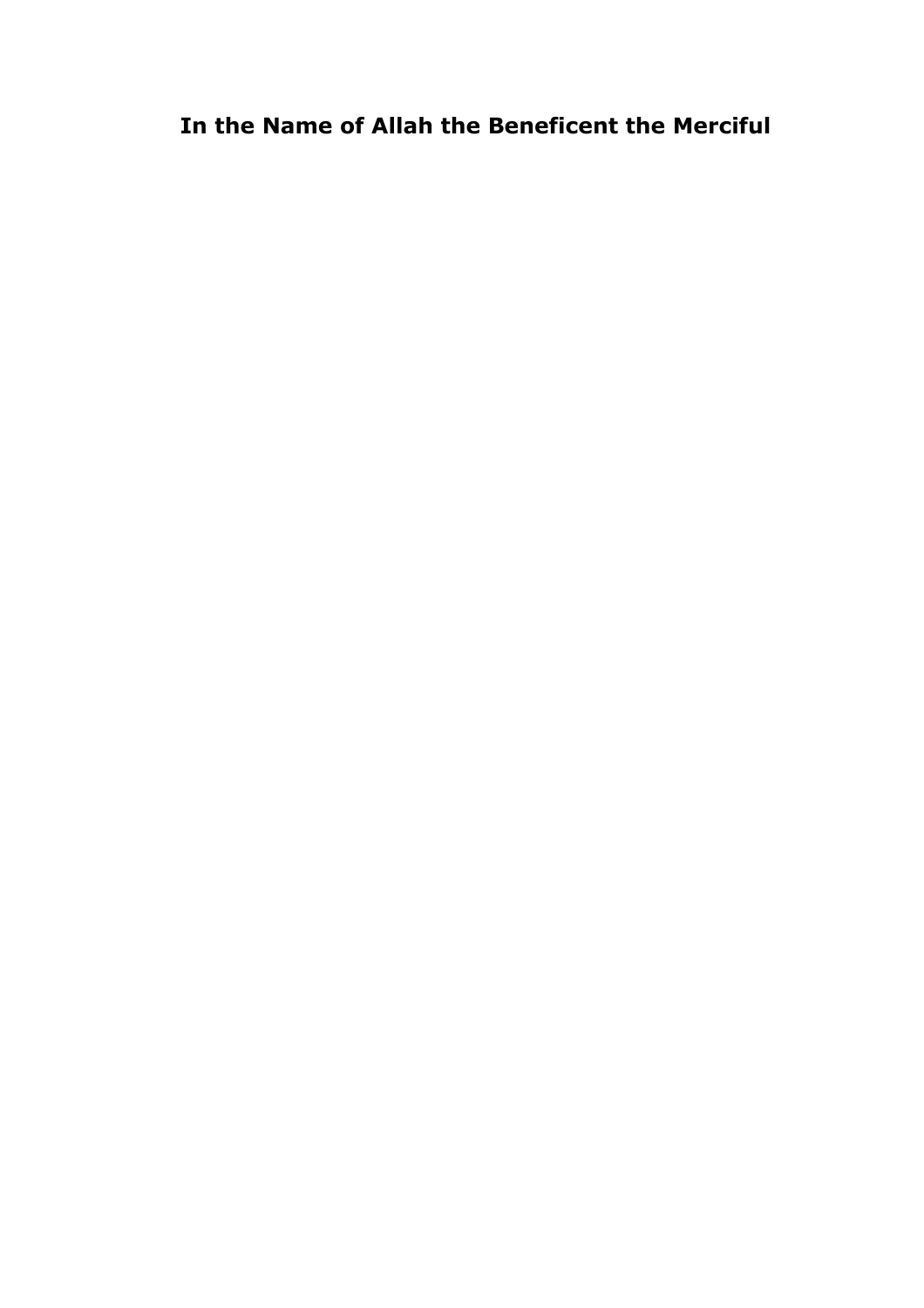# **In the Name of Allah the Beneficent the Merciful**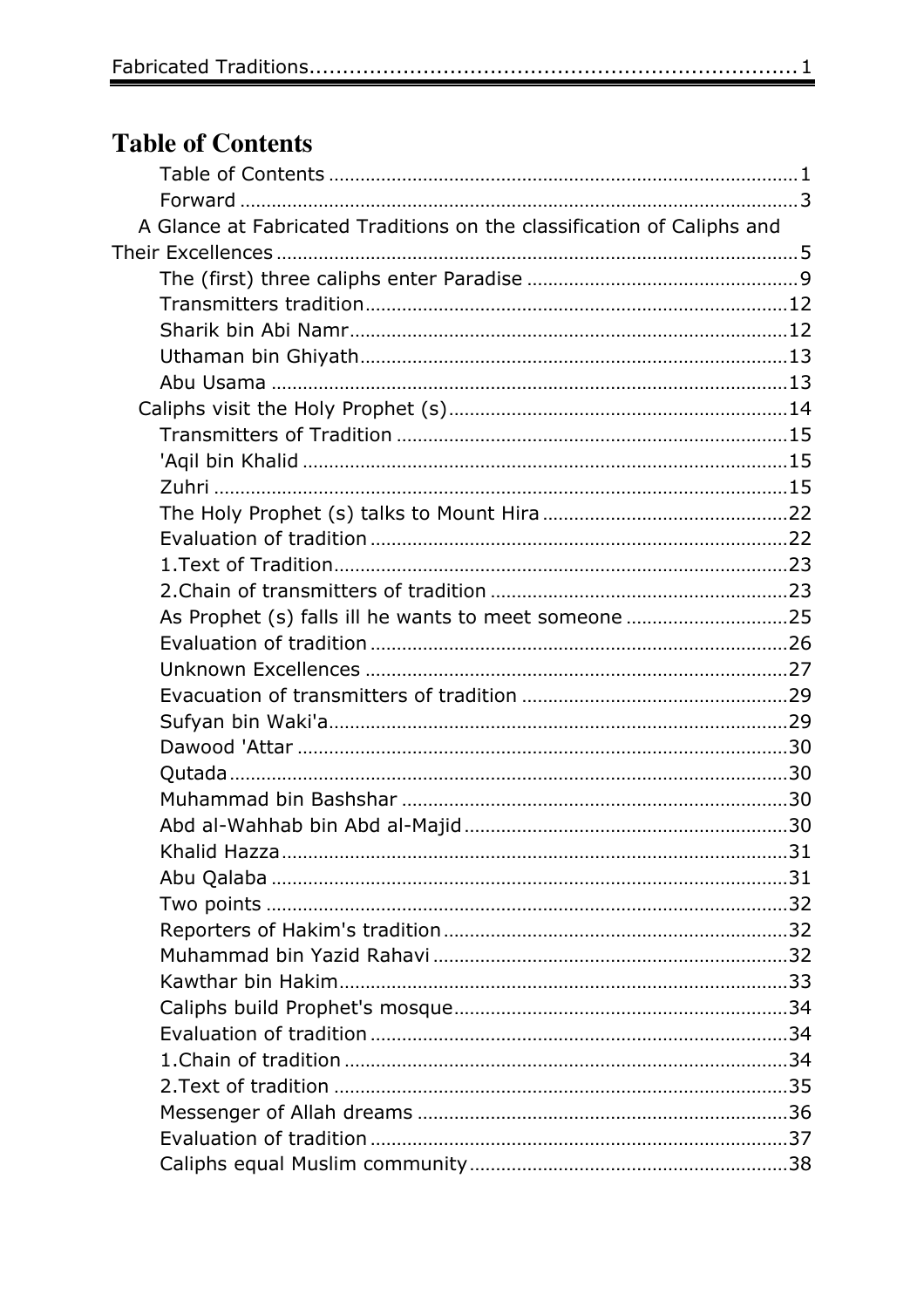# **Table of Contents**

| A Glance at Fabricated Traditions on the classification of Caliphs and |    |
|------------------------------------------------------------------------|----|
|                                                                        |    |
|                                                                        |    |
|                                                                        |    |
|                                                                        |    |
|                                                                        |    |
|                                                                        |    |
|                                                                        |    |
|                                                                        |    |
|                                                                        |    |
|                                                                        |    |
|                                                                        |    |
|                                                                        |    |
|                                                                        |    |
|                                                                        |    |
|                                                                        |    |
|                                                                        |    |
|                                                                        |    |
|                                                                        |    |
|                                                                        |    |
|                                                                        |    |
|                                                                        |    |
|                                                                        |    |
|                                                                        |    |
| Khalid Hazza                                                           | 31 |
|                                                                        |    |
|                                                                        |    |
|                                                                        |    |
|                                                                        |    |
|                                                                        |    |
|                                                                        |    |
|                                                                        |    |
|                                                                        |    |
|                                                                        |    |
|                                                                        |    |
|                                                                        |    |
|                                                                        |    |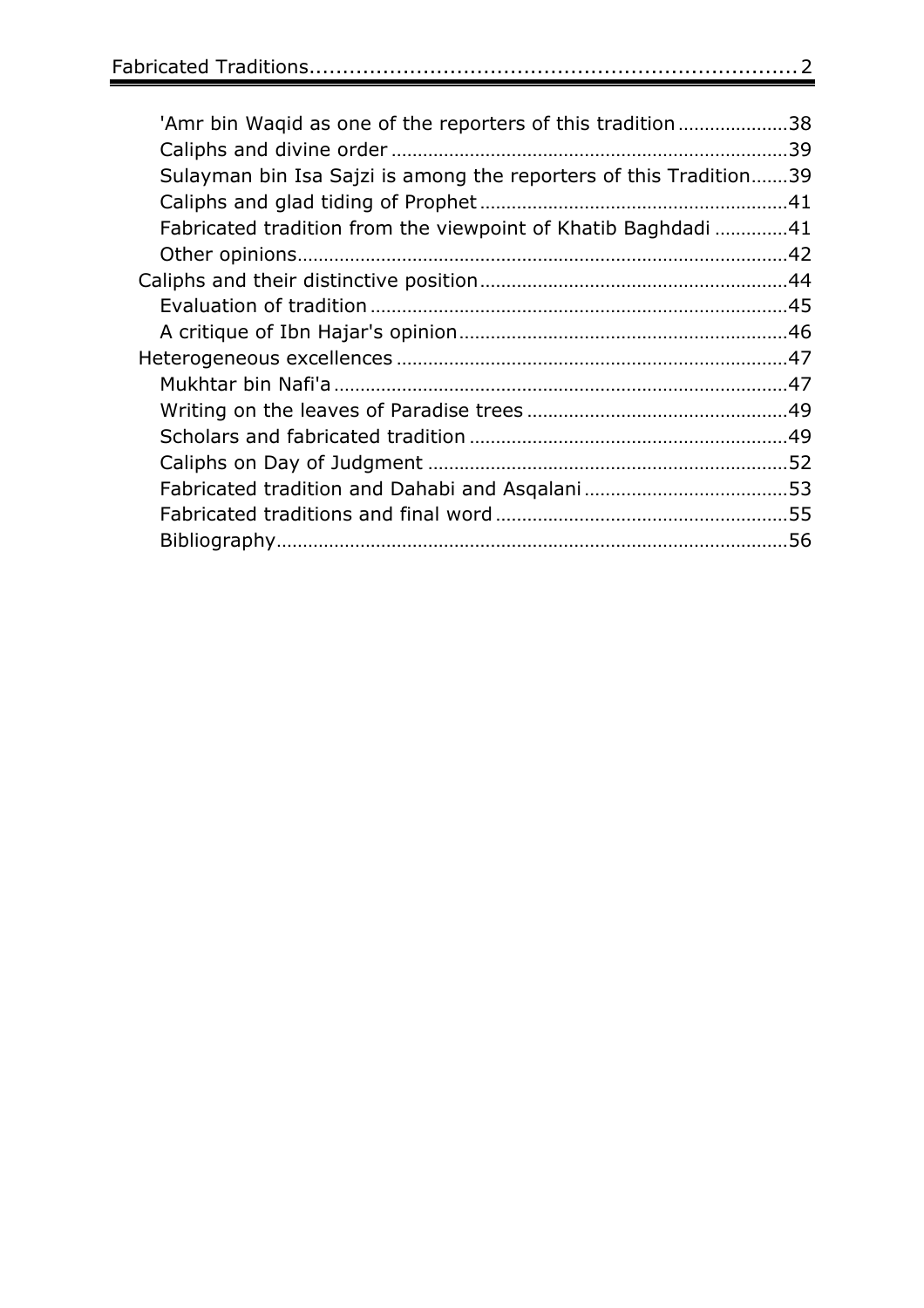|--|

| 'Amr bin Waqid as one of the reporters of this tradition38        |  |
|-------------------------------------------------------------------|--|
|                                                                   |  |
| Sulayman bin Isa Sajzi is among the reporters of this Tradition39 |  |
|                                                                   |  |
| Fabricated tradition from the viewpoint of Khatib Baghdadi 41     |  |
|                                                                   |  |
|                                                                   |  |
|                                                                   |  |
|                                                                   |  |
|                                                                   |  |
|                                                                   |  |
|                                                                   |  |
|                                                                   |  |
|                                                                   |  |
|                                                                   |  |
|                                                                   |  |
|                                                                   |  |
|                                                                   |  |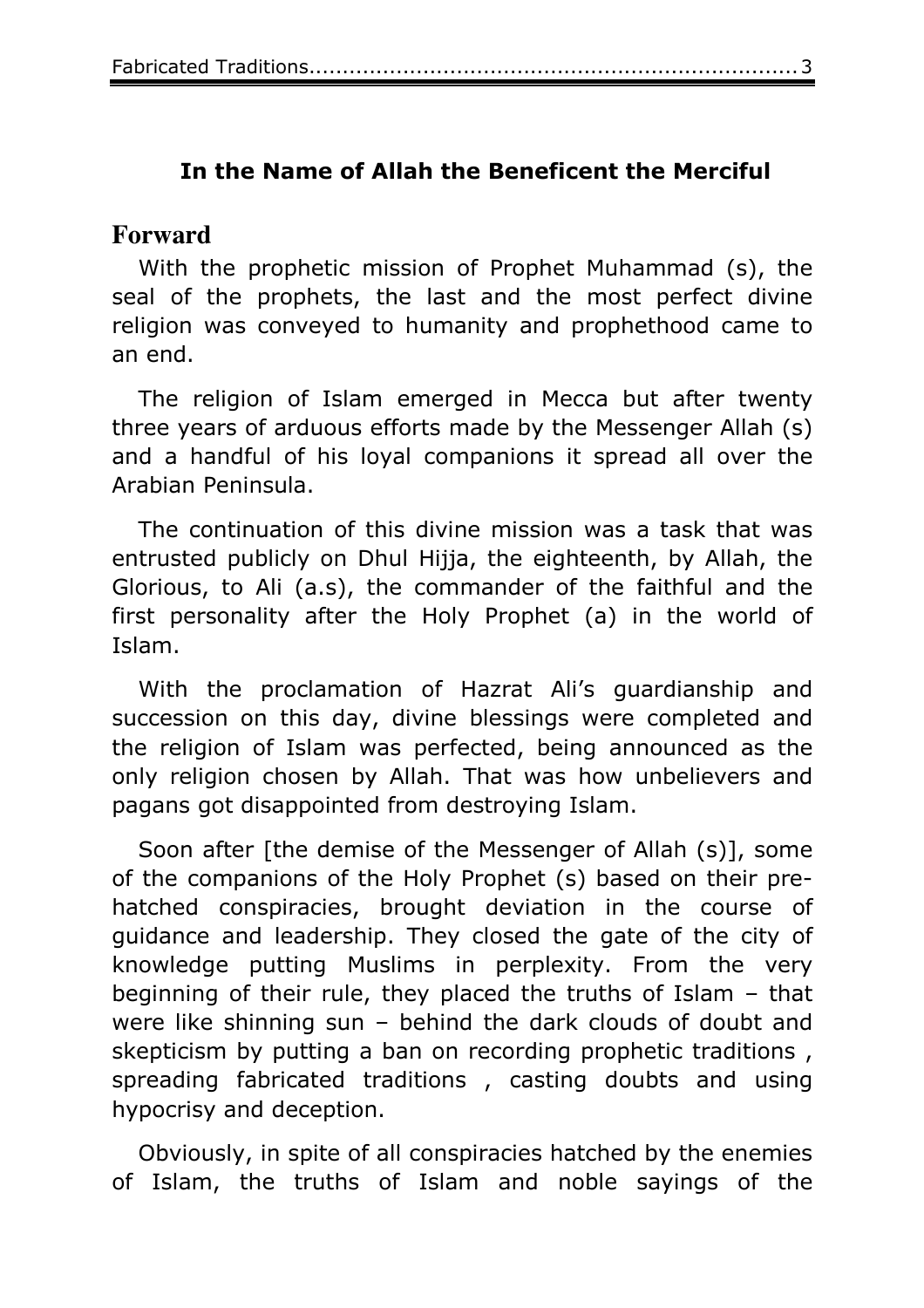### **In the Name of Allah the Beneficent the Merciful**

### **Forward**

With the prophetic mission of Prophet Muhammad (s), the seal of the prophets, the last and the most perfect divine religion was conveyed to humanity and prophethood came to an end.

The religion of Islam emerged in Mecca but after twenty three years of arduous efforts made by the Messenger Allah (s) and a handful of his loyal companions it spread all over the Arabian Peninsula.

The continuation of this divine mission was a task that was entrusted publicly on Dhul Hijja, the eighteenth, by Allah, the Glorious, to Ali (a.s), the commander of the faithful and the first personality after the Holy Prophet (a) in the world of Islam.

With the proclamation of Hazrat Ali's guardianship and succession on this day, divine blessings were completed and the religion of Islam was perfected, being announced as the only religion chosen by Allah. That was how unbelievers and pagans got disappointed from destroying Islam.

Soon after [the demise of the Messenger of Allah (s)], some of the companions of the Holy Prophet (s) based on their prehatched conspiracies, brought deviation in the course of guidance and leadership. They closed the gate of the city of knowledge putting Muslims in perplexity. From the very beginning of their rule, they placed the truths of Islam – that were like shinning sun – behind the dark clouds of doubt and skepticism by putting a ban on recording prophetic traditions , spreading fabricated traditions , casting doubts and using hypocrisy and deception.

Obviously, in spite of all conspiracies hatched by the enemies of Islam, the truths of Islam and noble sayings of the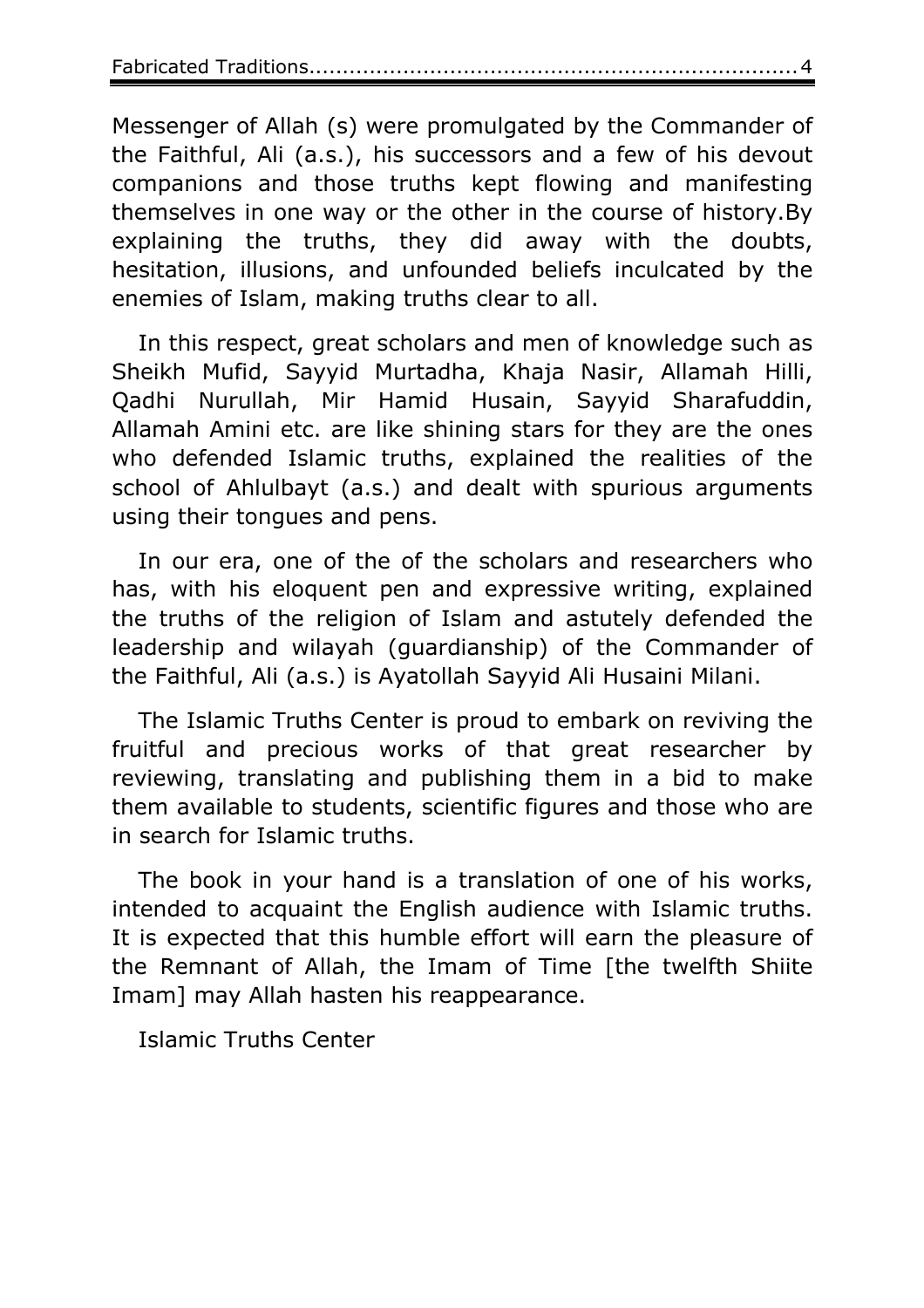Messenger of Allah (s) were promulgated by the Commander of the Faithful, Ali (a.s.), his successors and a few of his devout companions and those truths kept flowing and manifesting themselves in one way or the other in the course of history.By explaining the truths, they did away with the doubts, hesitation, illusions, and unfounded beliefs inculcated by the enemies of Islam, making truths clear to all.

In this respect, great scholars and men of knowledge such as Sheikh Mufid, Sayyid Murtadha, Khaja Nasir, Allamah Hilli, Qadhi Nurullah, Mir Hamid Husain, Sayyid Sharafuddin, Allamah Amini etc. are like shining stars for they are the ones who defended Islamic truths, explained the realities of the school of Ahlulbayt (a.s.) and dealt with spurious arguments using their tongues and pens.

In our era, one of the of the scholars and researchers who has, with his eloquent pen and expressive writing, explained the truths of the religion of Islam and astutely defended the leadership and wilayah (guardianship) of the Commander of the Faithful, Ali (a.s.) is Ayatollah Sayyid Ali Husaini Milani.

The Islamic Truths Center is proud to embark on reviving the fruitful and precious works of that great researcher by reviewing, translating and publishing them in a bid to make them available to students, scientific figures and those who are in search for Islamic truths.

The book in your hand is a translation of one of his works, intended to acquaint the English audience with Islamic truths. It is expected that this humble effort will earn the pleasure of the Remnant of Allah, the Imam of Time [the twelfth Shiite Imam] may Allah hasten his reappearance.

Islamic Truths Center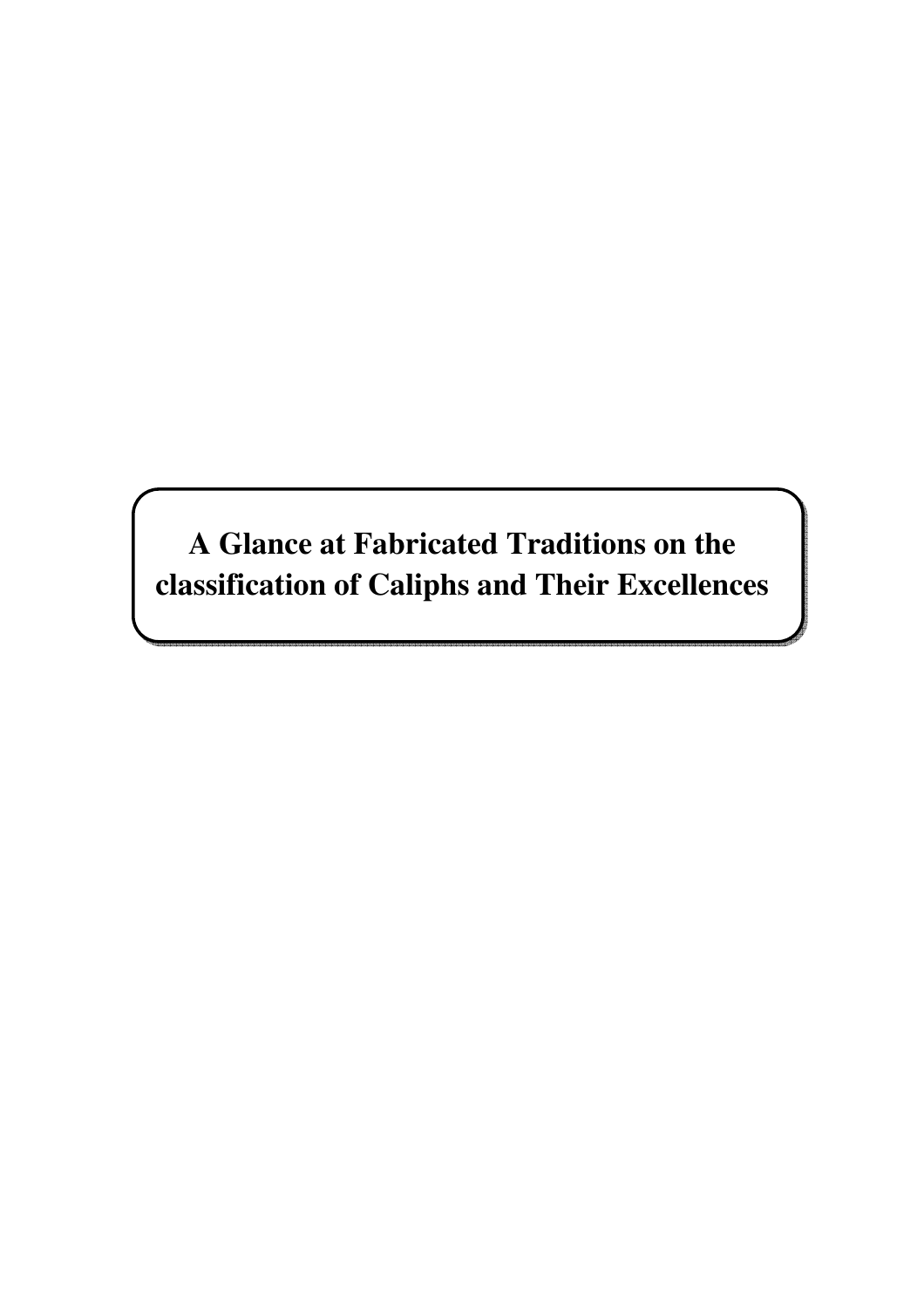**A Glance at Fabricated Traditions on the classification of Caliphs and Their Excellences**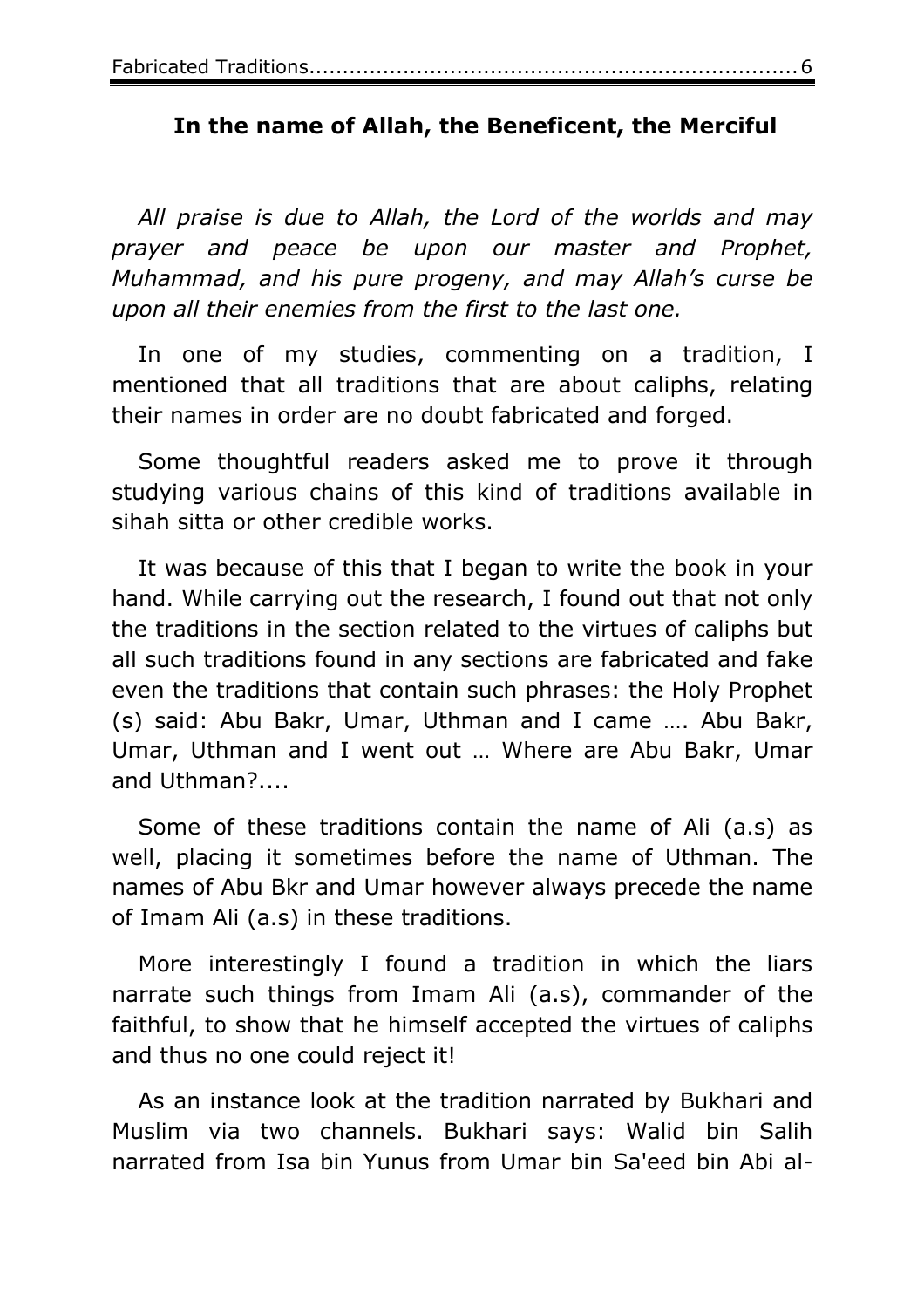### **In the name of Allah, the Beneficent, the Merciful**

*All praise is due to Allah, the Lord of the worlds and may prayer and peace be upon our master and Prophet, Muhammad, and his pure progeny, and may Allah's curse be upon all their enemies from the first to the last one.* 

In one of my studies, commenting on a tradition, I mentioned that all traditions that are about caliphs, relating their names in order are no doubt fabricated and forged.

Some thoughtful readers asked me to prove it through studying various chains of this kind of traditions available in sihah sitta or other credible works.

It was because of this that I began to write the book in your hand. While carrying out the research, I found out that not only the traditions in the section related to the virtues of caliphs but all such traditions found in any sections are fabricated and fake even the traditions that contain such phrases: the Holy Prophet (s) said: Abu Bakr, Umar, Uthman and I came …. Abu Bakr, Umar, Uthman and I went out … Where are Abu Bakr, Umar and Uthman?....

Some of these traditions contain the name of Ali (a.s) as well, placing it sometimes before the name of Uthman. The names of Abu Bkr and Umar however always precede the name of Imam Ali (a.s) in these traditions.

More interestingly I found a tradition in which the liars narrate such things from Imam Ali (a.s), commander of the faithful, to show that he himself accepted the virtues of caliphs and thus no one could reject it!

As an instance look at the tradition narrated by Bukhari and Muslim via two channels. Bukhari says: Walid bin Salih narrated from Isa bin Yunus from Umar bin Sa'eed bin Abi al-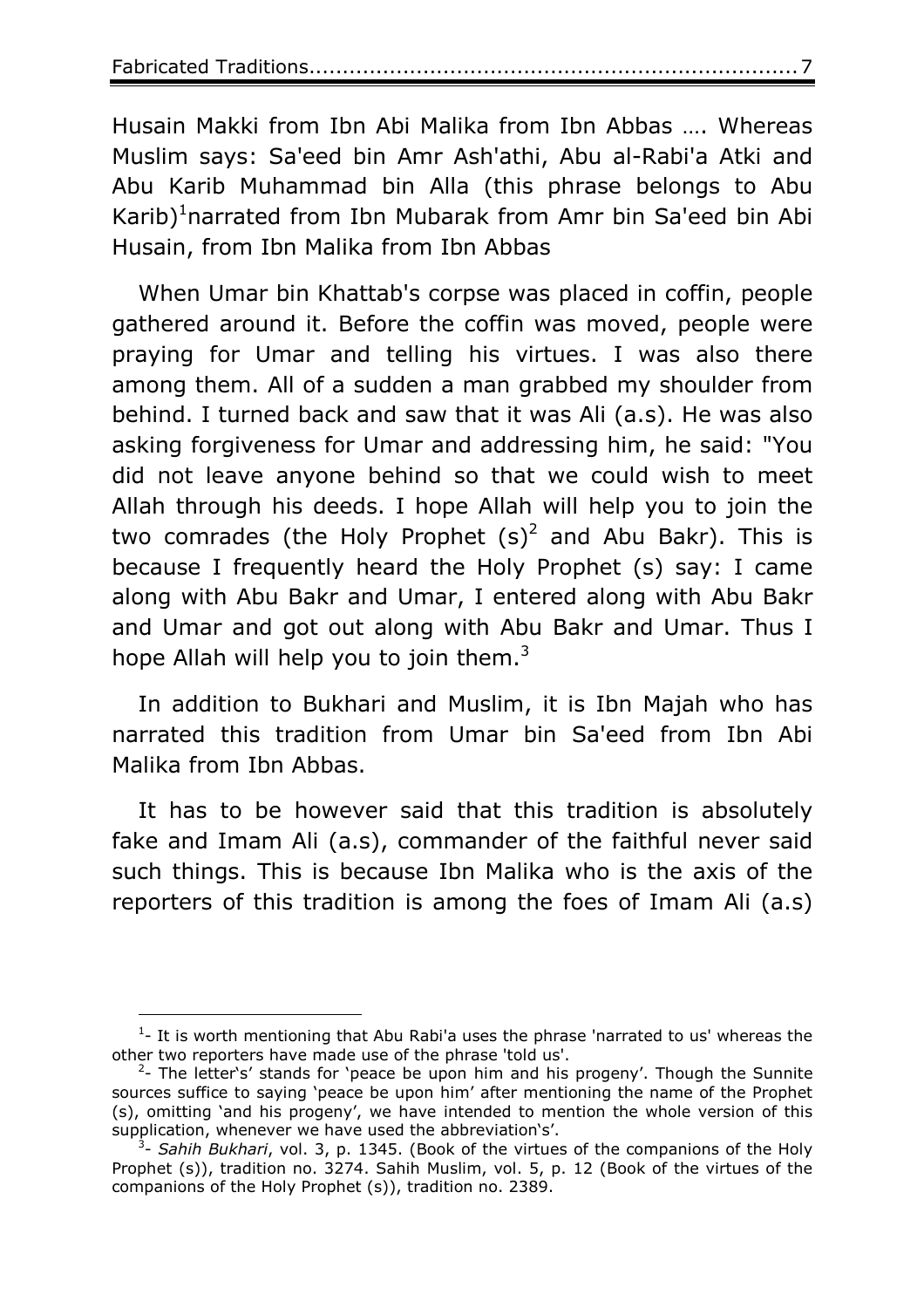Husain Makki from Ibn Abi Malika from Ibn Abbas …. Whereas Muslim says: Sa'eed bin Amr Ash'athi, Abu al-Rabi'a Atki and Abu Karib Muhammad bin Alla (this phrase belongs to Abu Karib)<sup>1</sup>narrated from Ibn Mubarak from Amr bin Sa'eed bin Abi Husain, from Ibn Malika from Ibn Abbas

When Umar bin Khattab's corpse was placed in coffin, people gathered around it. Before the coffin was moved, people were praying for Umar and telling his virtues. I was also there among them. All of a sudden a man grabbed my shoulder from behind. I turned back and saw that it was Ali (a.s). He was also asking forgiveness for Umar and addressing him, he said: "You did not leave anyone behind so that we could wish to meet Allah through his deeds. I hope Allah will help you to join the two comrades (the Holy Prophet  $(s)^2$  and Abu Bakr). This is because I frequently heard the Holy Prophet (s) say: I came along with Abu Bakr and Umar, I entered along with Abu Bakr and Umar and got out along with Abu Bakr and Umar. Thus I hope Allah will help you to join them.<sup>3</sup>

In addition to Bukhari and Muslim, it is Ibn Majah who has narrated this tradition from Umar bin Sa'eed from Ibn Abi Malika from Ibn Abbas.

It has to be however said that this tradition is absolutely fake and Imam Ali (a.s), commander of the faithful never said such things. This is because Ibn Malika who is the axis of the reporters of this tradition is among the foes of Imam Ali (a.s)

 $\overline{a}$  $<sup>1</sup>$ - It is worth mentioning that Abu Rabi'a uses the phrase 'narrated to us' whereas the</sup> other two reporters have made use of the phrase 'told us'.

 $2$ - The letter's' stands for 'peace be upon him and his progeny'. Though the Sunnite sources suffice to saying 'peace be upon him' after mentioning the name of the Prophet (s), omitting 'and his progeny', we have intended to mention the whole version of this supplication, whenever we have used the abbreviation's'.

<sup>3</sup> - *Sahih Bukhari*, vol. 3, p. 1345. (Book of the virtues of the companions of the Holy Prophet (s)), tradition no. 3274. Sahih Muslim, vol. 5, p. 12 (Book of the virtues of the companions of the Holy Prophet (s)), tradition no. 2389.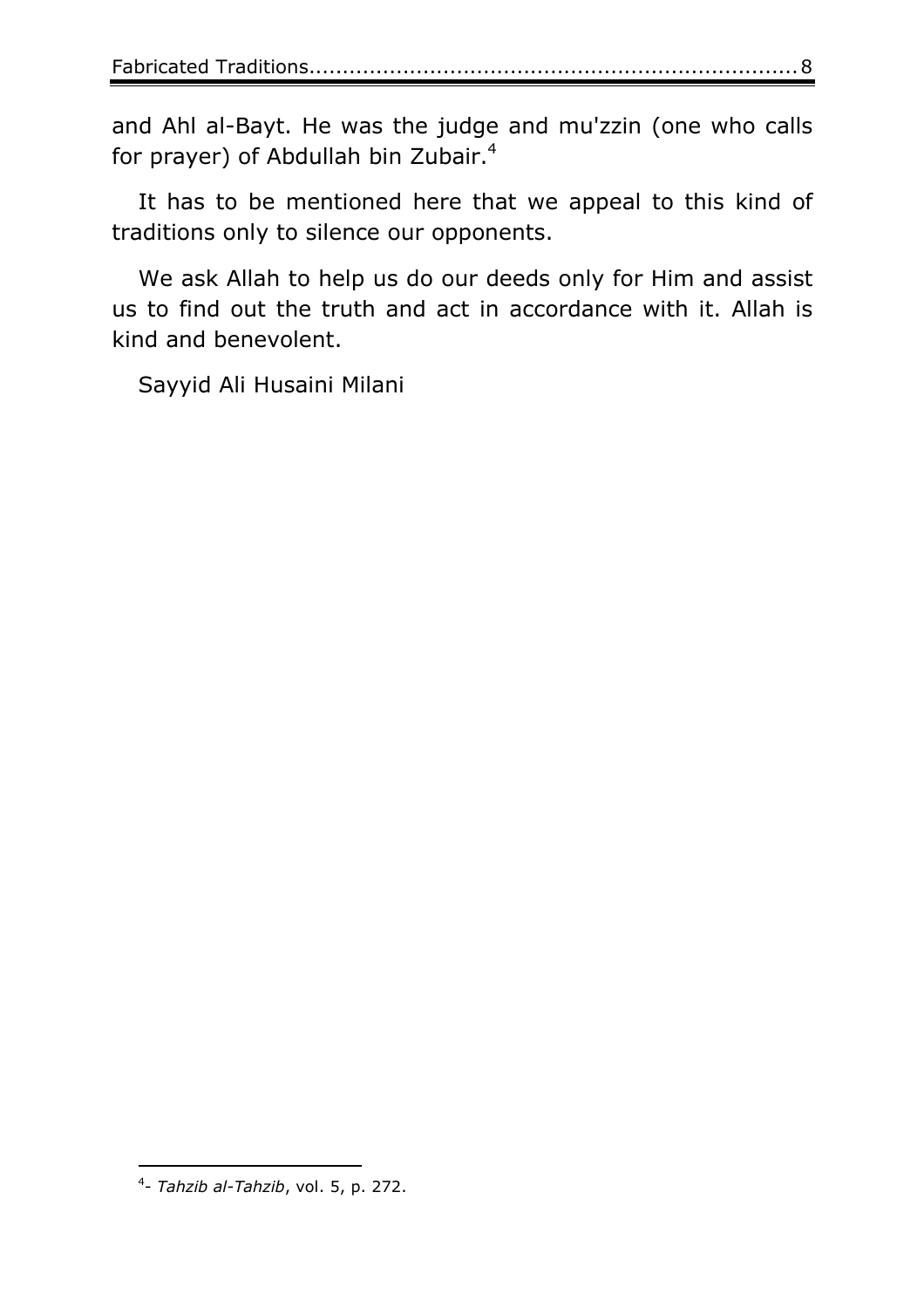and Ahl al-Bayt. He was the judge and mu'zzin (one who calls for prayer) of Abdullah bin Zubair.<sup>4</sup>

It has to be mentioned here that we appeal to this kind of traditions only to silence our opponents.

We ask Allah to help us do our deeds only for Him and assist us to find out the truth and act in accordance with it. Allah is kind and benevolent.

Sayyid Ali Husaini Milani

 4 - *Tahzib al-Tahzib*, vol. 5, p. 272.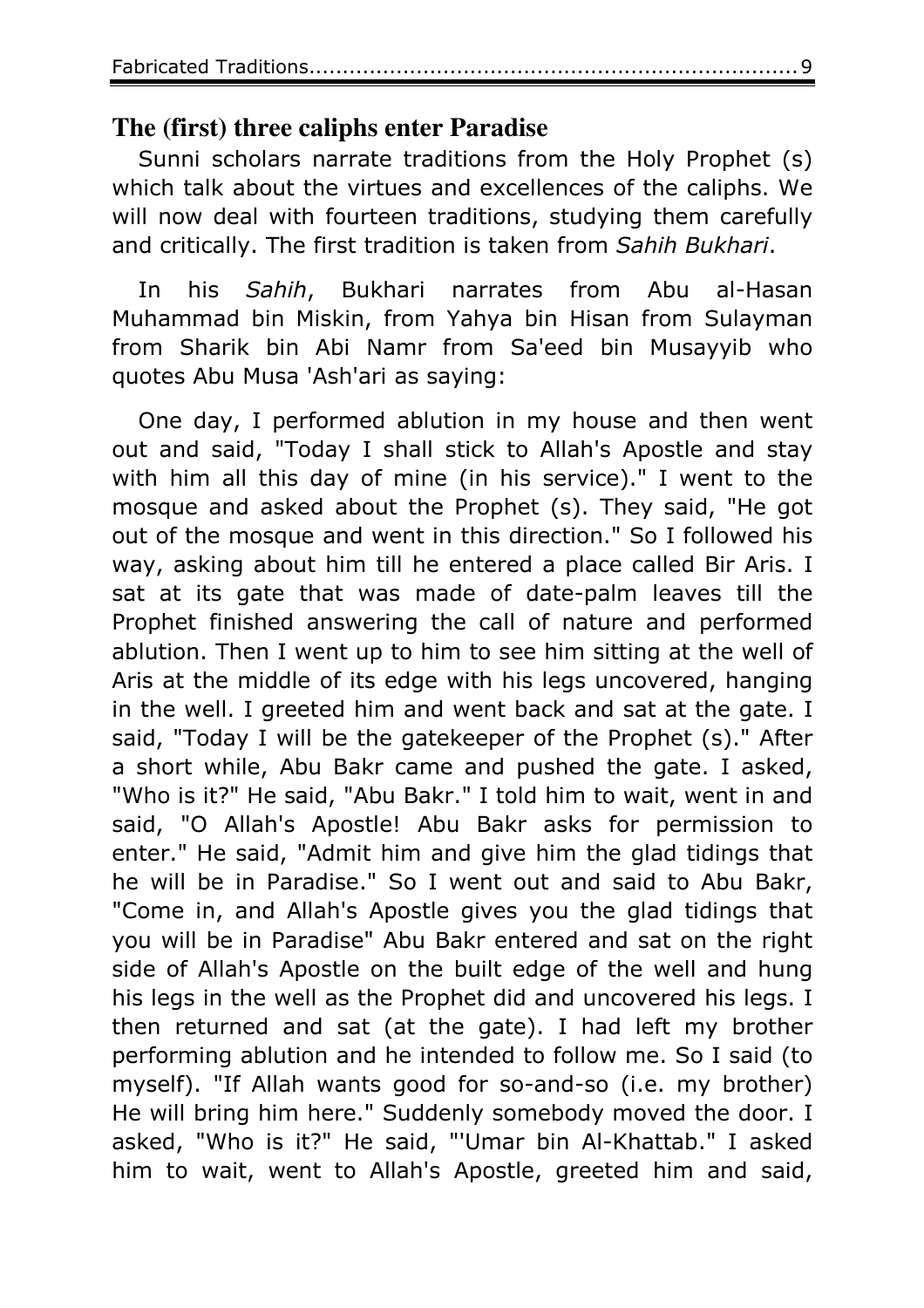|--|

#### **The (first) three caliphs enter Paradise**

Sunni scholars narrate traditions from the Holy Prophet (s) which talk about the virtues and excellences of the caliphs. We will now deal with fourteen traditions, studying them carefully and critically. The first tradition is taken from *Sahih Bukhari*.

In his *Sahih*, Bukhari narrates from Abu al-Hasan Muhammad bin Miskin, from Yahya bin Hisan from Sulayman from Sharik bin Abi Namr from Sa'eed bin Musayyib who quotes Abu Musa 'Ash'ari as saying:

One day, I performed ablution in my house and then went out and said, "Today I shall stick to Allah's Apostle and stay with him all this day of mine (in his service)." I went to the mosque and asked about the Prophet (s). They said, "He got out of the mosque and went in this direction." So I followed his way, asking about him till he entered a place called Bir Aris. I sat at its gate that was made of date-palm leaves till the Prophet finished answering the call of nature and performed ablution. Then I went up to him to see him sitting at the well of Aris at the middle of its edge with his legs uncovered, hanging in the well. I greeted him and went back and sat at the gate. I said, "Today I will be the gatekeeper of the Prophet (s)." After a short while, Abu Bakr came and pushed the gate. I asked, "Who is it?" He said, "Abu Bakr." I told him to wait, went in and said, "O Allah's Apostle! Abu Bakr asks for permission to enter." He said, "Admit him and give him the glad tidings that he will be in Paradise." So I went out and said to Abu Bakr, "Come in, and Allah's Apostle gives you the glad tidings that you will be in Paradise" Abu Bakr entered and sat on the right side of Allah's Apostle on the built edge of the well and hung his legs in the well as the Prophet did and uncovered his legs. I then returned and sat (at the gate). I had left my brother performing ablution and he intended to follow me. So I said (to myself). "If Allah wants good for so-and-so (i.e. my brother) He will bring him here." Suddenly somebody moved the door. I asked, "Who is it?" He said, "'Umar bin Al-Khattab." I asked him to wait, went to Allah's Apostle, greeted him and said,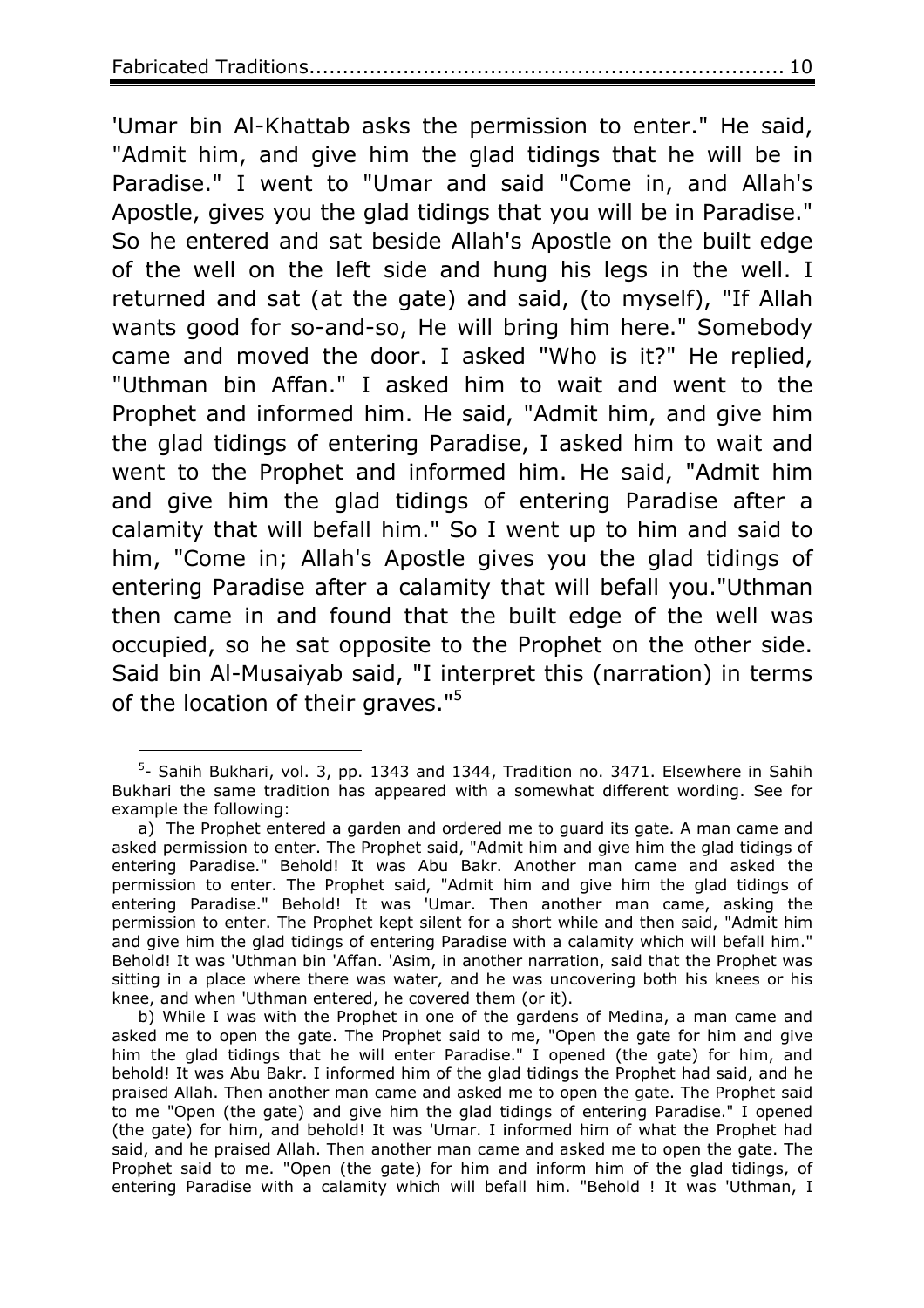|--|--|

'Umar bin Al-Khattab asks the permission to enter." He said, "Admit him, and give him the glad tidings that he will be in Paradise." I went to "Umar and said "Come in, and Allah's Apostle, gives you the glad tidings that you will be in Paradise." So he entered and sat beside Allah's Apostle on the built edge of the well on the left side and hung his legs in the well. I returned and sat (at the gate) and said, (to myself), "If Allah wants good for so-and-so, He will bring him here." Somebody came and moved the door. I asked "Who is it?" He replied, "Uthman bin Affan." I asked him to wait and went to the Prophet and informed him. He said, "Admit him, and give him the glad tidings of entering Paradise, I asked him to wait and went to the Prophet and informed him. He said, "Admit him and give him the glad tidings of entering Paradise after a calamity that will befall him." So I went up to him and said to him, "Come in; Allah's Apostle gives you the glad tidings of entering Paradise after a calamity that will befall you."Uthman then came in and found that the built edge of the well was occupied, so he sat opposite to the Prophet on the other side. Said bin Al-Musaiyab said, "I interpret this (narration) in terms of the location of their graves."<sup>5</sup>

 $\overline{a}$ <sup>5</sup>- Sahih Bukhari, vol. 3, pp. 1343 and 1344, Tradition no. 3471. Elsewhere in Sahih Bukhari the same tradition has appeared with a somewhat different wording. See for example the following:

a) The Prophet entered a garden and ordered me to guard its gate. A man came and asked permission to enter. The Prophet said, "Admit him and give him the glad tidings of entering Paradise." Behold! It was Abu Bakr. Another man came and asked the permission to enter. The Prophet said, "Admit him and give him the glad tidings of entering Paradise." Behold! It was 'Umar. Then another man came, asking the permission to enter. The Prophet kept silent for a short while and then said, "Admit him and give him the glad tidings of entering Paradise with a calamity which will befall him." Behold! It was 'Uthman bin 'Affan. 'Asim, in another narration, said that the Prophet was sitting in a place where there was water, and he was uncovering both his knees or his knee, and when 'Uthman entered, he covered them (or it).

b) While I was with the Prophet in one of the gardens of Medina, a man came and asked me to open the gate. The Prophet said to me, "Open the gate for him and give him the glad tidings that he will enter Paradise." I opened (the gate) for him, and behold! It was Abu Bakr. I informed him of the glad tidings the Prophet had said, and he praised Allah. Then another man came and asked me to open the gate. The Prophet said to me "Open (the gate) and give him the glad tidings of entering Paradise." I opened (the gate) for him, and behold! It was 'Umar. I informed him of what the Prophet had said, and he praised Allah. Then another man came and asked me to open the gate. The Prophet said to me. "Open (the gate) for him and inform him of the glad tidings, of entering Paradise with a calamity which will befall him. "Behold ! It was 'Uthman, I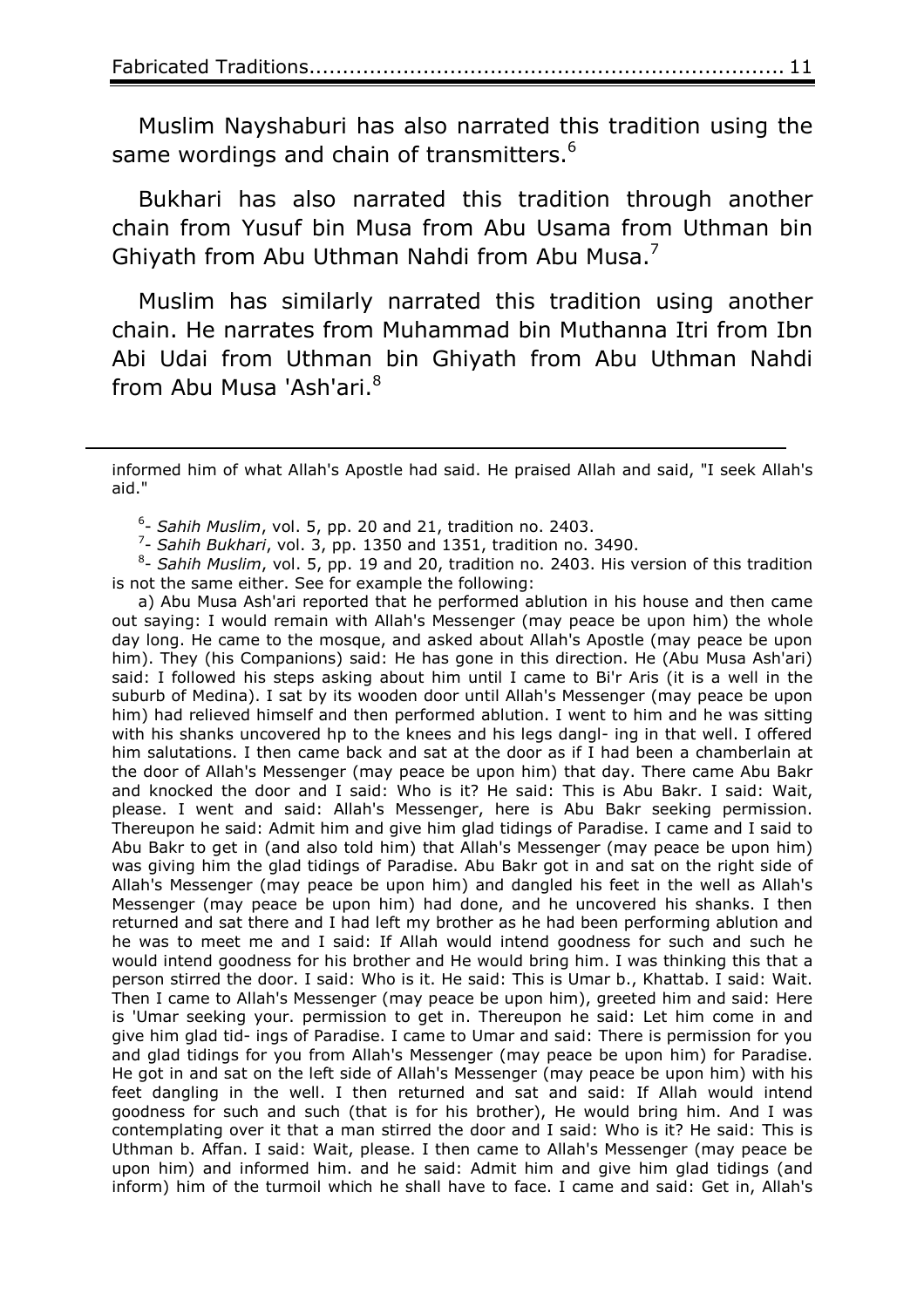Fabricated Traditions....................................................................... 11

Muslim Nayshaburi has also narrated this tradition using the same wordings and chain of transmitters.<sup>6</sup>

Bukhari has also narrated this tradition through another chain from Yusuf bin Musa from Abu Usama from Uthman bin Ghiyath from Abu Uthman Nahdi from Abu Musa.<sup>7</sup>

Muslim has similarly narrated this tradition using another chain. He narrates from Muhammad bin Muthanna Itri from Ibn Abi Udai from Uthman bin Ghiyath from Abu Uthman Nahdi from Abu Musa 'Ash'ari.<sup>8</sup>

6 - *Sahih Muslim*, vol. 5, pp. 20 and 21, tradition no. 2403.

-

7 - *Sahih Bukhari*, vol. 3, pp. 1350 and 1351, tradition no. 3490.

8 - *Sahih Muslim*, vol. 5, pp. 19 and 20, tradition no. 2403. His version of this tradition is not the same either. See for example the following:

a) Abu Musa Ash'ari reported that he performed ablution in his house and then came out saying: I would remain with Allah's Messenger (may peace be upon him) the whole day long. He came to the mosque, and asked about Allah's Apostle (may peace be upon him). They (his Companions) said: He has gone in this direction. He (Abu Musa Ash'ari) said: I followed his steps asking about him until I came to Bi'r Aris (it is a well in the suburb of Medina). I sat by its wooden door until Allah's Messenger (may peace be upon him) had relieved himself and then performed ablution. I went to him and he was sitting with his shanks uncovered hp to the knees and his legs dangl- ing in that well. I offered him salutations. I then came back and sat at the door as if I had been a chamberlain at the door of Allah's Messenger (may peace be upon him) that day. There came Abu Bakr and knocked the door and I said: Who is it? He said: This is Abu Bakr. I said: Wait, please. I went and said: Allah's Messenger, here is Abu Bakr seeking permission. Thereupon he said: Admit him and give him glad tidings of Paradise. I came and I said to Abu Bakr to get in (and also told him) that Allah's Messenger (may peace be upon him) was giving him the glad tidings of Paradise. Abu Bakr got in and sat on the right side of Allah's Messenger (may peace be upon him) and dangled his feet in the well as Allah's Messenger (may peace be upon him) had done, and he uncovered his shanks. I then returned and sat there and I had left my brother as he had been performing ablution and he was to meet me and I said: If Allah would intend goodness for such and such he would intend goodness for his brother and He would bring him. I was thinking this that a person stirred the door. I said: Who is it. He said: This is Umar b., Khattab. I said: Wait. Then I came to Allah's Messenger (may peace be upon him), greeted him and said: Here is 'Umar seeking your. permission to get in. Thereupon he said: Let him come in and give him glad tid- ings of Paradise. I came to Umar and said: There is permission for you and glad tidings for you from Allah's Messenger (may peace be upon him) for Paradise. He got in and sat on the left side of Allah's Messenger (may peace be upon him) with his feet dangling in the well. I then returned and sat and said: If Allah would intend goodness for such and such (that is for his brother), He would bring him. And I was contemplating over it that a man stirred the door and I said: Who is it? He said: This is Uthman b. Affan. I said: Wait, please. I then came to Allah's Messenger (may peace be upon him) and informed him. and he said: Admit him and give him glad tidings (and inform) him of the turmoil which he shall have to face. I came and said: Get in, Allah's

informed him of what Allah's Apostle had said. He praised Allah and said, "I seek Allah's aid."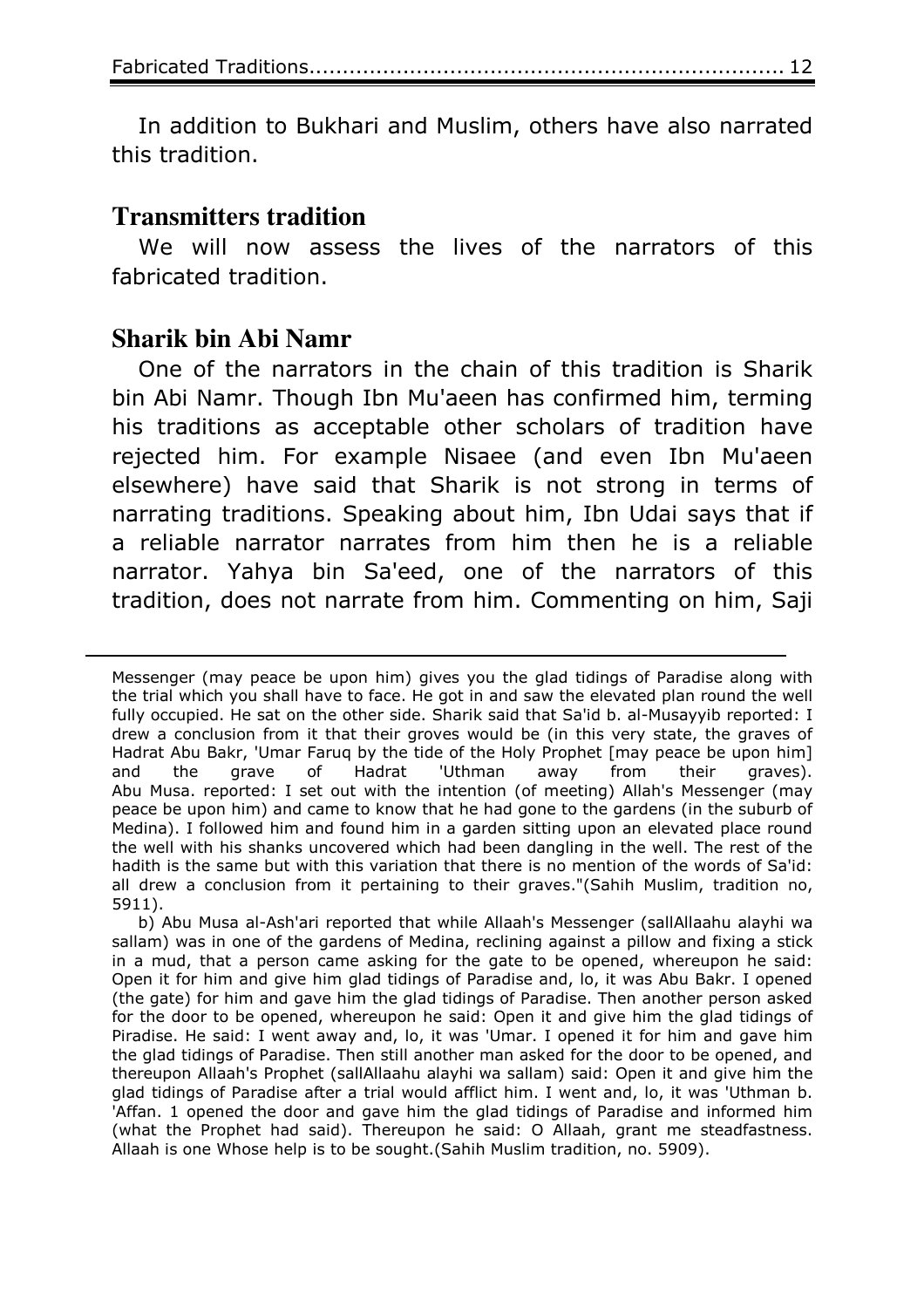In addition to Bukhari and Muslim, others have also narrated this tradition.

#### **Transmitters tradition**

We will now assess the lives of the narrators of this fabricated tradition.

#### **Sharik bin Abi Namr**

-

One of the narrators in the chain of this tradition is Sharik bin Abi Namr. Though Ibn Mu'aeen has confirmed him, terming his traditions as acceptable other scholars of tradition have rejected him. For example Nisaee (and even Ibn Mu'aeen elsewhere) have said that Sharik is not strong in terms of narrating traditions. Speaking about him, Ibn Udai says that if a reliable narrator narrates from him then he is a reliable narrator. Yahya bin Sa'eed, one of the narrators of this tradition, does not narrate from him. Commenting on him, Saji

Messenger (may peace be upon him) gives you the glad tidings of Paradise along with the trial which you shall have to face. He got in and saw the elevated plan round the well fully occupied. He sat on the other side. Sharik said that Sa'id b. al-Musayyib reported: I drew a conclusion from it that their groves would be (in this very state, the graves of Hadrat Abu Bakr, 'Umar Faruq by the tide of the Holy Prophet [may peace be upon him] and the grave of Hadrat 'Uthman away from their graves). Abu Musa. reported: I set out with the intention (of meeting) Allah's Messenger (may peace be upon him) and came to know that he had gone to the gardens (in the suburb of Medina). I followed him and found him in a garden sitting upon an elevated place round the well with his shanks uncovered which had been dangling in the well. The rest of the hadith is the same but with this variation that there is no mention of the words of Sa'id: all drew a conclusion from it pertaining to their graves."(Sahih Muslim, tradition no, 5911).

b) Abu Musa al-Ash'ari reported that while Allaah's Messenger (sallAllaahu alayhi wa sallam) was in one of the gardens of Medina, reclining against a pillow and fixing a stick in a mud, that a person came asking for the gate to be opened, whereupon he said: Open it for him and give him glad tidings of Paradise and, lo, it was Abu Bakr. I opened (the gate) for him and gave him the glad tidings of Paradise. Then another person asked for the door to be opened, whereupon he said: Open it and give him the glad tidings of Piradise. He said: I went away and, lo, it was 'Umar. I opened it for him and gave him the glad tidings of Paradise. Then still another man asked for the door to be opened, and thereupon Allaah's Prophet (sallAllaahu alayhi wa sallam) said: Open it and give him the glad tidings of Paradise after a trial would afflict him. I went and, lo, it was 'Uthman b. 'Affan. 1 opened the door and gave him the glad tidings of Paradise and informed him (what the Prophet had said). Thereupon he said: O Allaah, grant me steadfastness. Allaah is one Whose help is to be sought.(Sahih Muslim tradition, no. 5909).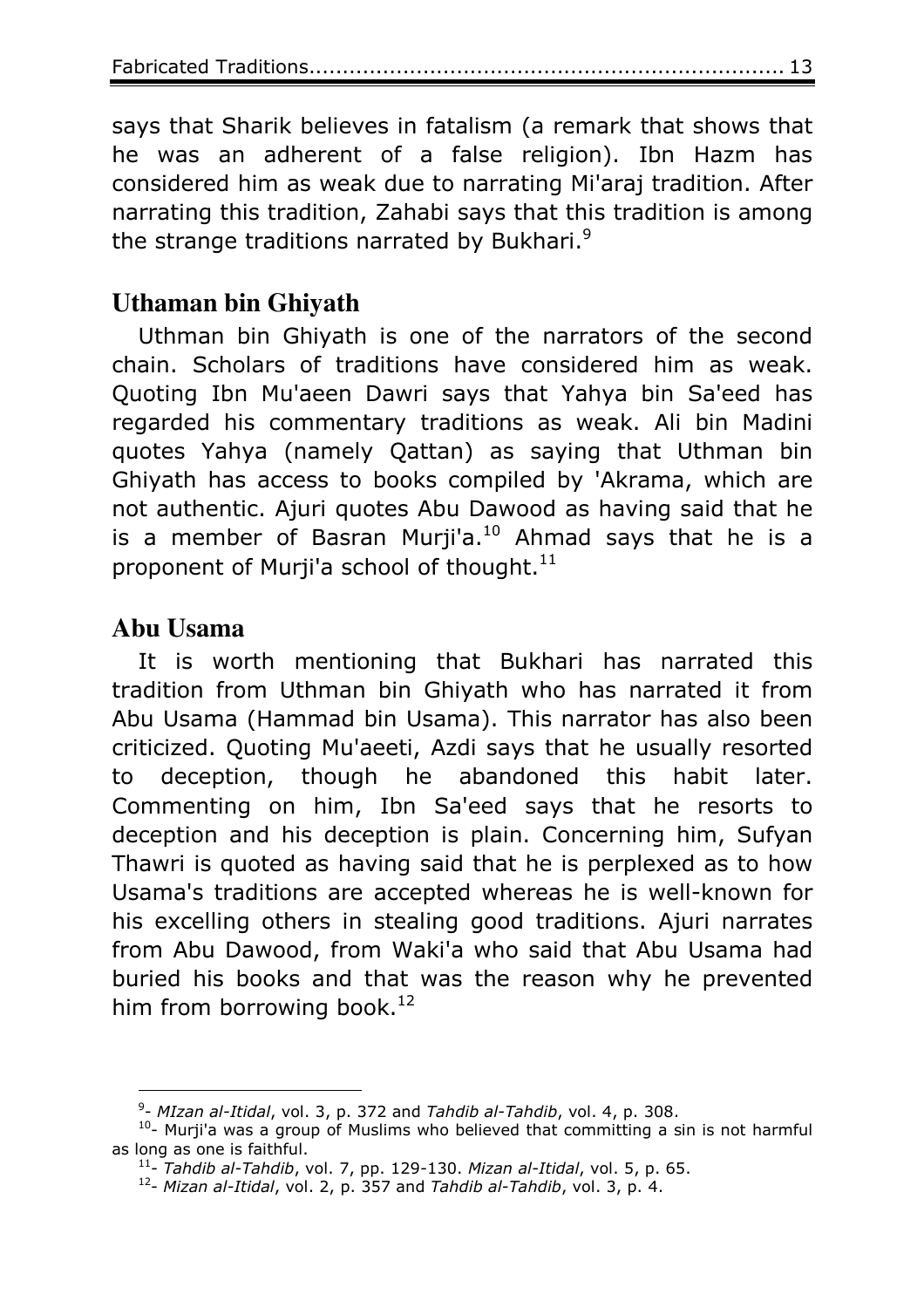|--|--|

says that Sharik believes in fatalism (a remark that shows that he was an adherent of a false religion). Ibn Hazm has considered him as weak due to narrating Mi'araj tradition. After narrating this tradition, Zahabi says that this tradition is among the strange traditions narrated by Bukhari.<sup>9</sup>

### **Uthaman bin Ghiyath**

Uthman bin Ghiyath is one of the narrators of the second chain. Scholars of traditions have considered him as weak. Quoting Ibn Mu'aeen Dawri says that Yahya bin Sa'eed has regarded his commentary traditions as weak. Ali bin Madini quotes Yahya (namely Qattan) as saying that Uthman bin Ghiyath has access to books compiled by 'Akrama, which are not authentic. Ajuri quotes Abu Dawood as having said that he is a member of Basran Murji'a. $10$  Ahmad says that he is a proponent of Murji'a school of thought. $^{11}$ 

### **Abu Usama**

It is worth mentioning that Bukhari has narrated this tradition from Uthman bin Ghiyath who has narrated it from Abu Usama (Hammad bin Usama). This narrator has also been criticized. Quoting Mu'aeeti, Azdi says that he usually resorted to deception, though he abandoned this habit later. Commenting on him, Ibn Sa'eed says that he resorts to deception and his deception is plain. Concerning him, Sufyan Thawri is quoted as having said that he is perplexed as to how Usama's traditions are accepted whereas he is well-known for his excelling others in stealing good traditions. Ajuri narrates from Abu Dawood, from Waki'a who said that Abu Usama had buried his books and that was the reason why he prevented him from borrowing book.<sup>12</sup>

 $\overline{a}$ 9 - *MIzan al-Itidal*, vol. 3, p. 372 and *Tahdib al-Tahdib*, vol. 4, p. 308.

 $10-$  Murji'a was a group of Muslims who believed that committing a sin is not harmful as long as one is faithful.

<sup>11</sup> - *Tahdib al-Tahdib*, vol. 7, pp. 129-130. *Mizan al-Itidal*, vol. 5, p. 65.

<sup>12</sup> - *Mizan al-Itidal*, vol. 2, p. 357 and *Tahdib al-Tahdib*, vol. 3, p. 4.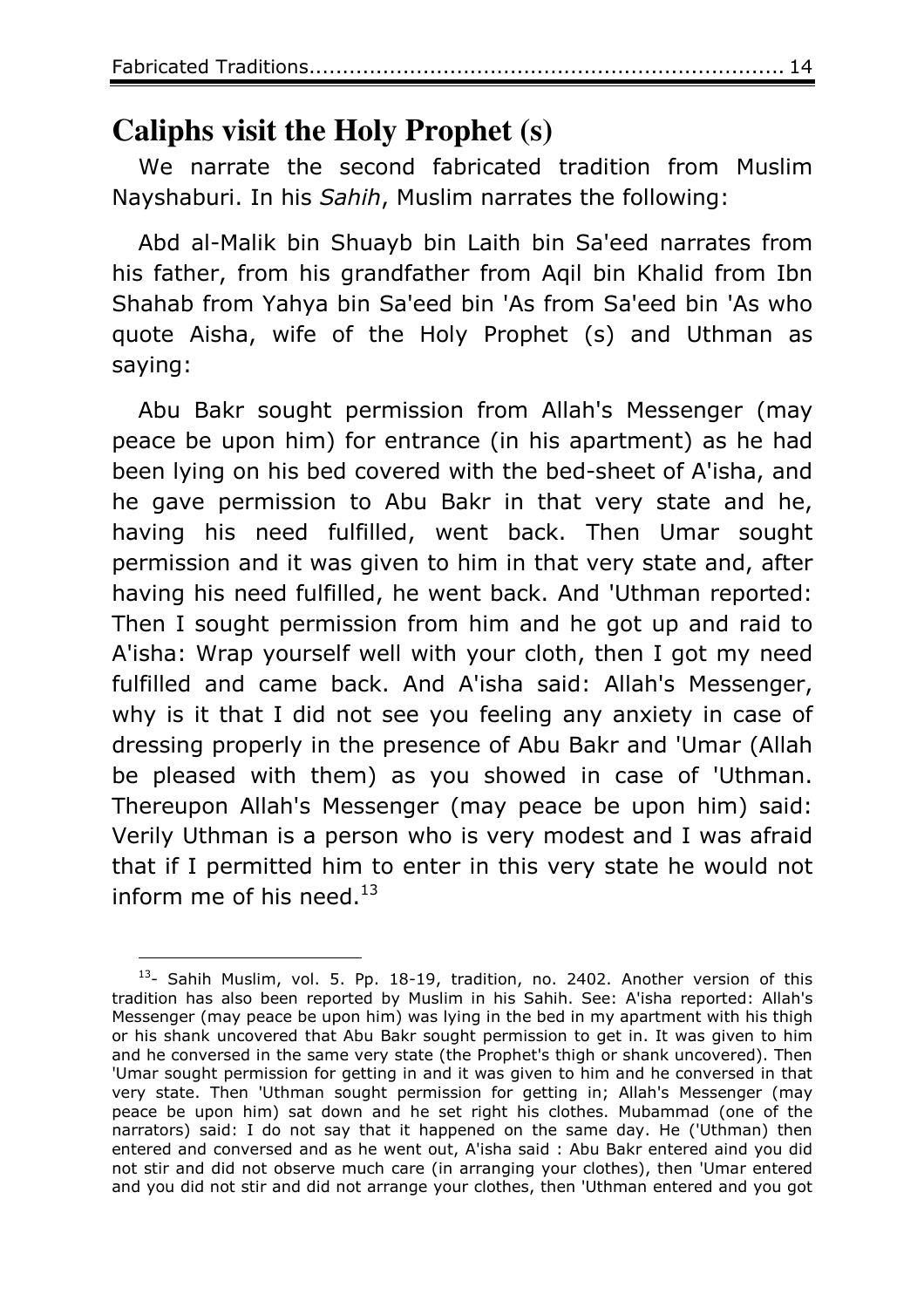# **Caliphs visit the Holy Prophet (s)**

We narrate the second fabricated tradition from Muslim Nayshaburi. In his *Sahih*, Muslim narrates the following:

Abd al-Malik bin Shuayb bin Laith bin Sa'eed narrates from his father, from his grandfather from Aqil bin Khalid from Ibn Shahab from Yahya bin Sa'eed bin 'As from Sa'eed bin 'As who quote Aisha, wife of the Holy Prophet (s) and Uthman as saying:

Abu Bakr sought permission from Allah's Messenger (may peace be upon him) for entrance (in his apartment) as he had been lying on his bed covered with the bed-sheet of A'isha, and he gave permission to Abu Bakr in that very state and he, having his need fulfilled, went back. Then Umar sought permission and it was given to him in that very state and, after having his need fulfilled, he went back. And 'Uthman reported: Then I sought permission from him and he got up and raid to A'isha: Wrap yourself well with your cloth, then I got my need fulfilled and came back. And A'isha said: Allah's Messenger, why is it that I did not see you feeling any anxiety in case of dressing properly in the presence of Abu Bakr and 'Umar (Allah be pleased with them) as you showed in case of 'Uthman. Thereupon Allah's Messenger (may peace be upon him) said: Verily Uthman is a person who is very modest and I was afraid that if I permitted him to enter in this very state he would not inform me of his need. $^{13}$ 

 $\overline{a}$ 

<sup>&</sup>lt;sup>13</sup>- Sahih Muslim, vol. 5. Pp. 18-19, tradition, no. 2402. Another version of this tradition has also been reported by Muslim in his Sahih. See: A'isha reported: Allah's Messenger (may peace be upon him) was lying in the bed in my apartment with his thigh or his shank uncovered that Abu Bakr sought permission to get in. It was given to him and he conversed in the same very state (the Prophet's thigh or shank uncovered). Then 'Umar sought permission for getting in and it was given to him and he conversed in that very state. Then 'Uthman sought permission for getting in; Allah's Messenger (may peace be upon him) sat down and he set right his clothes. Mubammad (one of the narrators) said: I do not say that it happened on the same day. He ('Uthman) then entered and conversed and as he went out, A'isha said : Abu Bakr entered aind you did not stir and did not observe much care (in arranging your clothes), then 'Umar entered and you did not stir and did not arrange your clothes, then 'Uthman entered and you got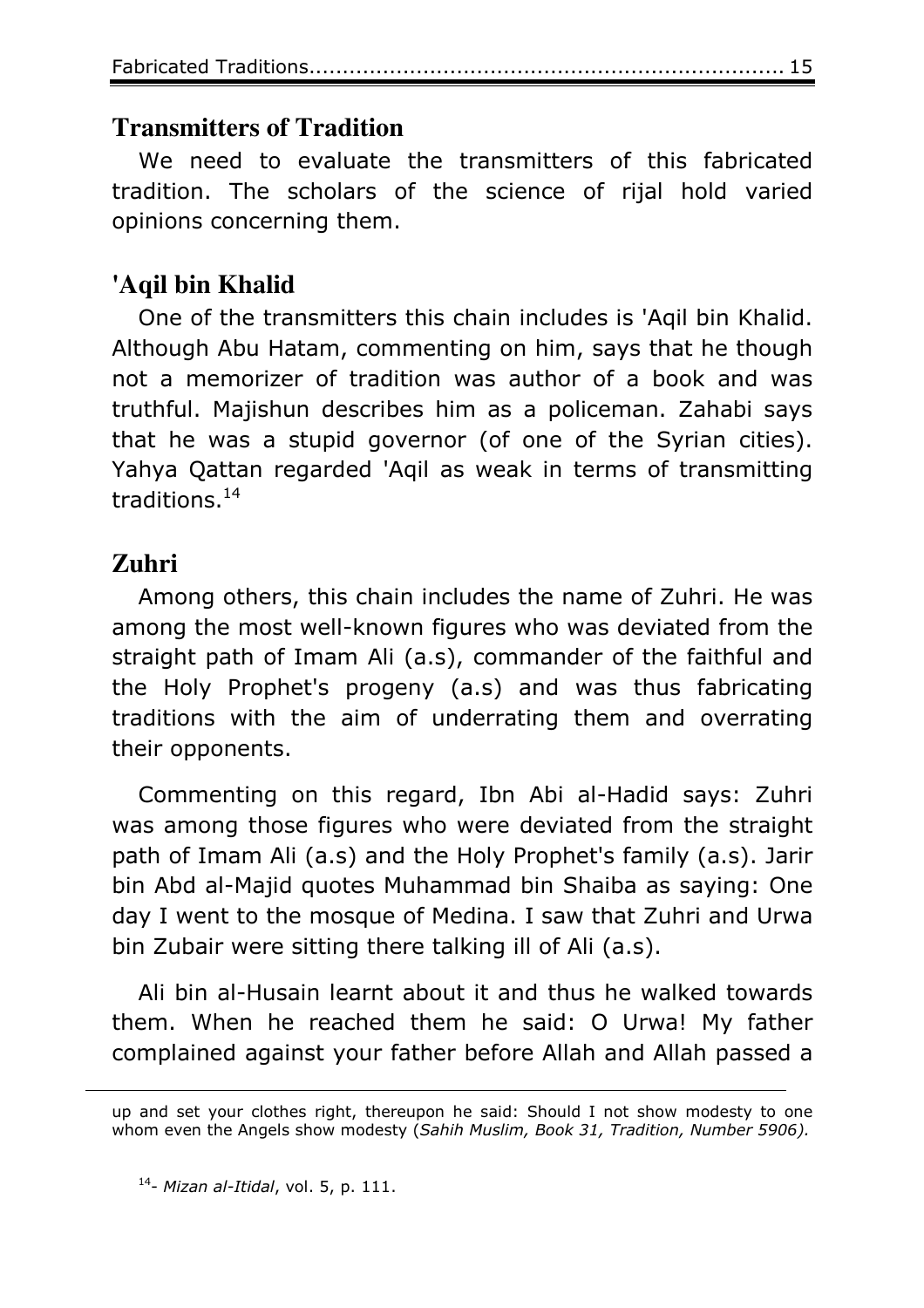|--|--|

#### **Transmitters of Tradition**

We need to evaluate the transmitters of this fabricated tradition. The scholars of the science of rijal hold varied opinions concerning them.

## **'Aqil bin Khalid**

One of the transmitters this chain includes is 'Aqil bin Khalid. Although Abu Hatam, commenting on him, says that he though not a memorizer of tradition was author of a book and was truthful. Majishun describes him as a policeman. Zahabi says that he was a stupid governor (of one of the Syrian cities). Yahya Qattan regarded 'Aqil as weak in terms of transmitting traditions.<sup>14</sup>

### **Zuhri**

-

Among others, this chain includes the name of Zuhri. He was among the most well-known figures who was deviated from the straight path of Imam Ali (a.s), commander of the faithful and the Holy Prophet's progeny (a.s) and was thus fabricating traditions with the aim of underrating them and overrating their opponents.

Commenting on this regard, Ibn Abi al-Hadid says: Zuhri was among those figures who were deviated from the straight path of Imam Ali (a.s) and the Holy Prophet's family (a.s). Jarir bin Abd al-Majid quotes Muhammad bin Shaiba as saying: One day I went to the mosque of Medina. I saw that Zuhri and Urwa bin Zubair were sitting there talking ill of Ali (a.s).

Ali bin al-Husain learnt about it and thus he walked towards them. When he reached them he said: O Urwa! My father complained against your father before Allah and Allah passed a

up and set your clothes right, thereupon he said: Should I not show modesty to one whom even the Angels show modesty (*Sahih Muslim, Book 31, Tradition, Number 5906).*

<sup>14</sup> - *Mizan al-Itidal*, vol. 5, p. 111.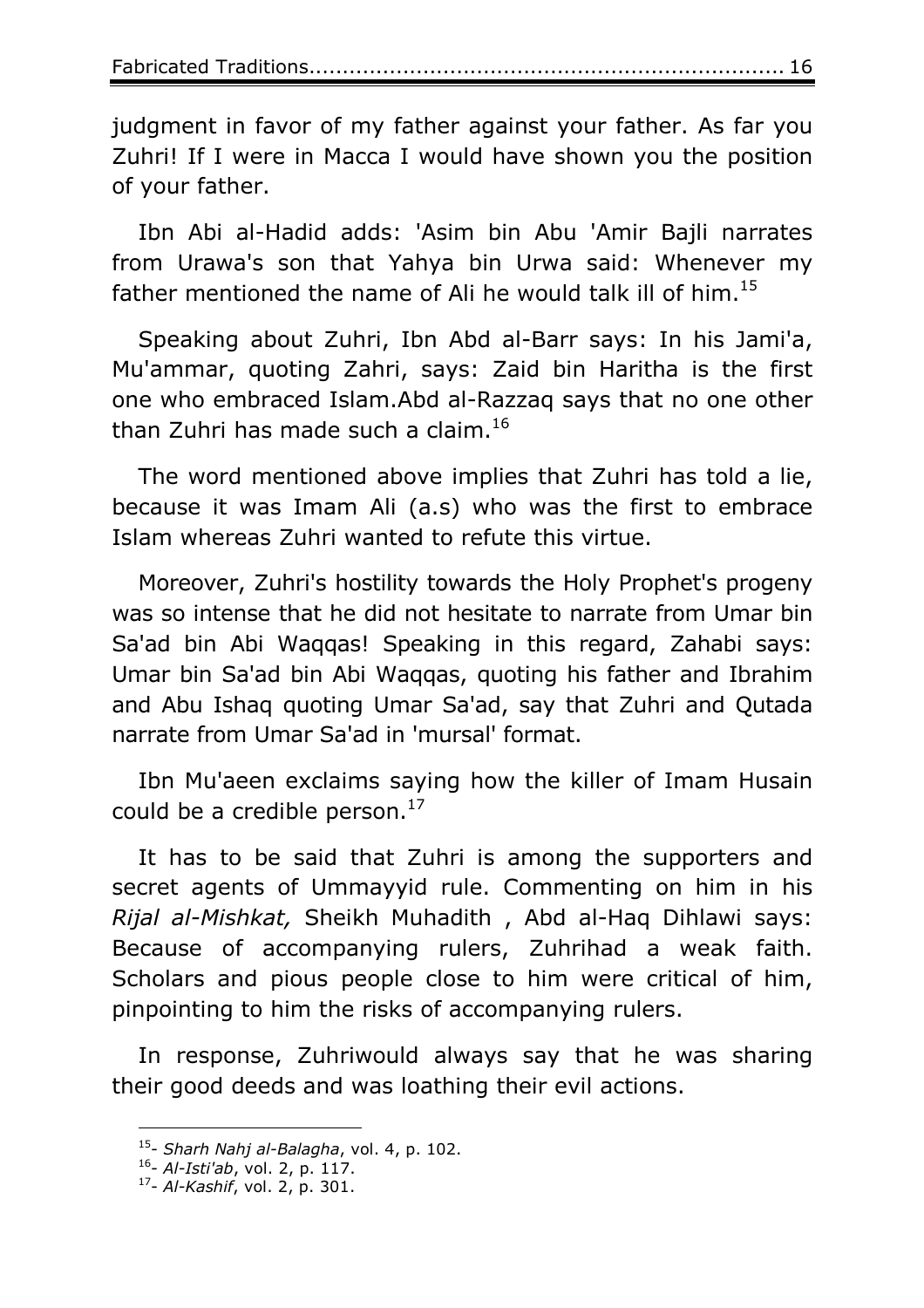judgment in favor of my father against your father. As far you Zuhri! If I were in Macca I would have shown you the position of your father.

Ibn Abi al-Hadid adds: 'Asim bin Abu 'Amir Bajli narrates from Urawa's son that Yahya bin Urwa said: Whenever my father mentioned the name of Ali he would talk ill of him.<sup>15</sup>

Speaking about Zuhri, Ibn Abd al-Barr says: In his Jami'a, Mu'ammar, quoting Zahri, says: Zaid bin Haritha is the first one who embraced Islam.Abd al-Razzaq says that no one other than Zuhri has made such a claim. $^{16}$ 

The word mentioned above implies that Zuhri has told a lie, because it was Imam Ali (a.s) who was the first to embrace Islam whereas Zuhri wanted to refute this virtue.

Moreover, Zuhri's hostility towards the Holy Prophet's progeny was so intense that he did not hesitate to narrate from Umar bin Sa'ad bin Abi Waqqas! Speaking in this regard, Zahabi says: Umar bin Sa'ad bin Abi Waqqas, quoting his father and Ibrahim and Abu Ishaq quoting Umar Sa'ad, say that Zuhri and Qutada narrate from Umar Sa'ad in 'mursal' format.

Ibn Mu'aeen exclaims saying how the killer of Imam Husain could be a credible person. $^{17}$ 

It has to be said that Zuhri is among the supporters and secret agents of Ummayyid rule. Commenting on him in his *Rijal al-Mishkat,* Sheikh Muhadith , Abd al-Haq Dihlawi says: Because of accompanying rulers, Zuhrihad a weak faith. Scholars and pious people close to him were critical of him, pinpointing to him the risks of accompanying rulers.

In response, Zuhriwould always say that he was sharing their good deeds and was loathing their evil actions.

1

<sup>15</sup> - *Sharh Nahj al-Balagha*, vol. 4, p. 102.

<sup>16</sup> - *Al-Isti'ab*, vol. 2, p. 117.

<sup>17</sup> - *Al-Kashif*, vol. 2, p. 301.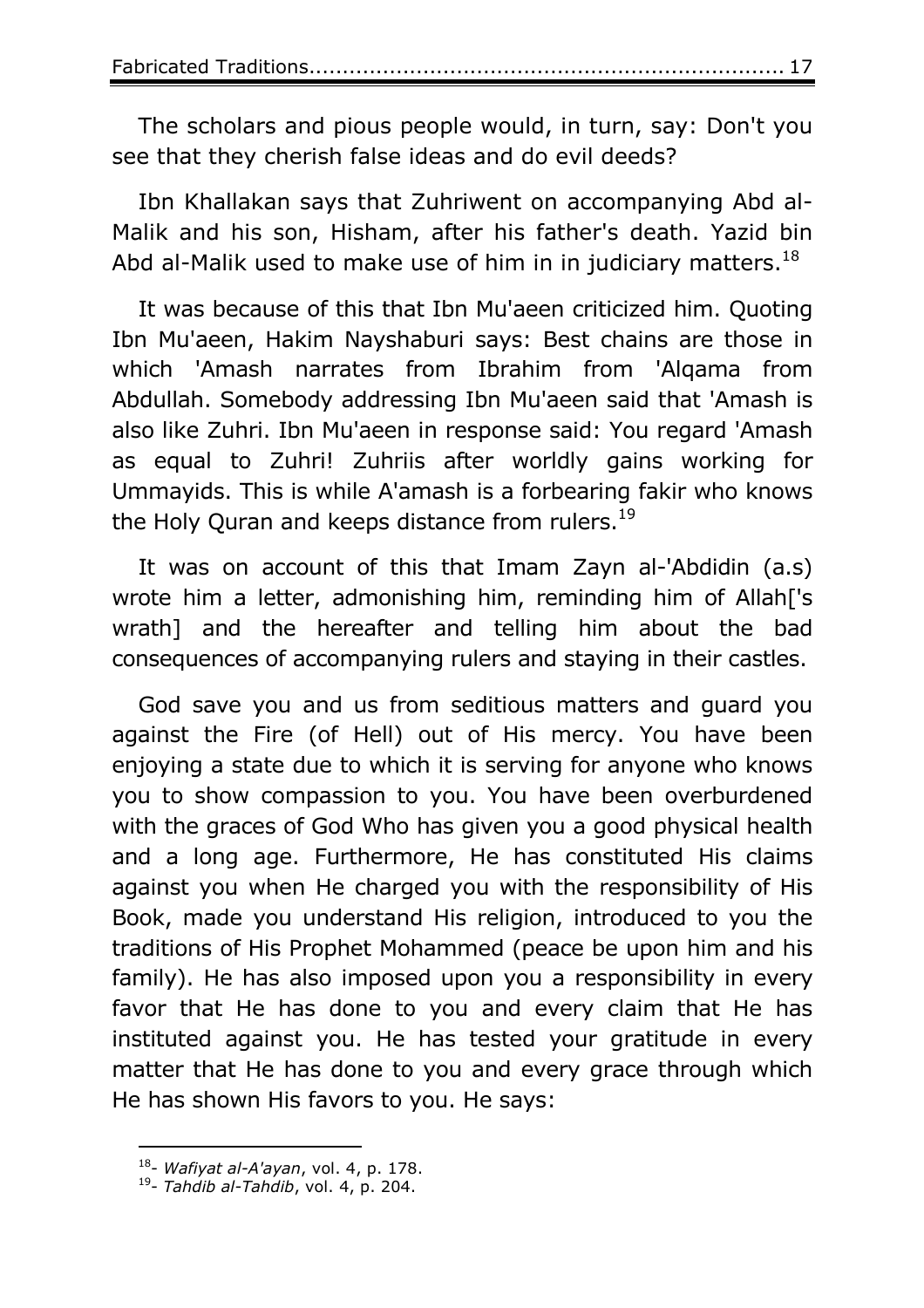|--|

The scholars and pious people would, in turn, say: Don't you see that they cherish false ideas and do evil deeds?

Ibn Khallakan says that Zuhriwent on accompanying Abd al-Malik and his son, Hisham, after his father's death. Yazid bin Abd al-Malik used to make use of him in in judiciary matters. $18$ 

It was because of this that Ibn Mu'aeen criticized him. Quoting Ibn Mu'aeen, Hakim Nayshaburi says: Best chains are those in which 'Amash narrates from Ibrahim from 'Alqama from Abdullah. Somebody addressing Ibn Mu'aeen said that 'Amash is also like Zuhri. Ibn Mu'aeen in response said: You regard 'Amash as equal to Zuhri! Zuhriis after worldly gains working for Ummayids. This is while A'amash is a forbearing fakir who knows the Holy Quran and keeps distance from rulers.<sup>19</sup>

It was on account of this that Imam Zayn al-'Abdidin (a.s) wrote him a letter, admonishing him, reminding him of Allah<sup>['s]</sup> wrath] and the hereafter and telling him about the bad consequences of accompanying rulers and staying in their castles.

God save you and us from seditious matters and guard you against the Fire (of Hell) out of His mercy. You have been enjoying a state due to which it is serving for anyone who knows you to show compassion to you. You have been overburdened with the graces of God Who has given you a good physical health and a long age. Furthermore, He has constituted His claims against you when He charged you with the responsibility of His Book, made you understand His religion, introduced to you the traditions of His Prophet Mohammed (peace be upon him and his family). He has also imposed upon you a responsibility in every favor that He has done to you and every claim that He has instituted against you. He has tested your gratitude in every matter that He has done to you and every grace through which He has shown His favors to you. He says:

 $\overline{a}$ 

<sup>18</sup> - *Wafiyat al-A'ayan*, vol. 4, p. 178.

<sup>19</sup> - *Tahdib al-Tahdib*, vol. 4, p. 204.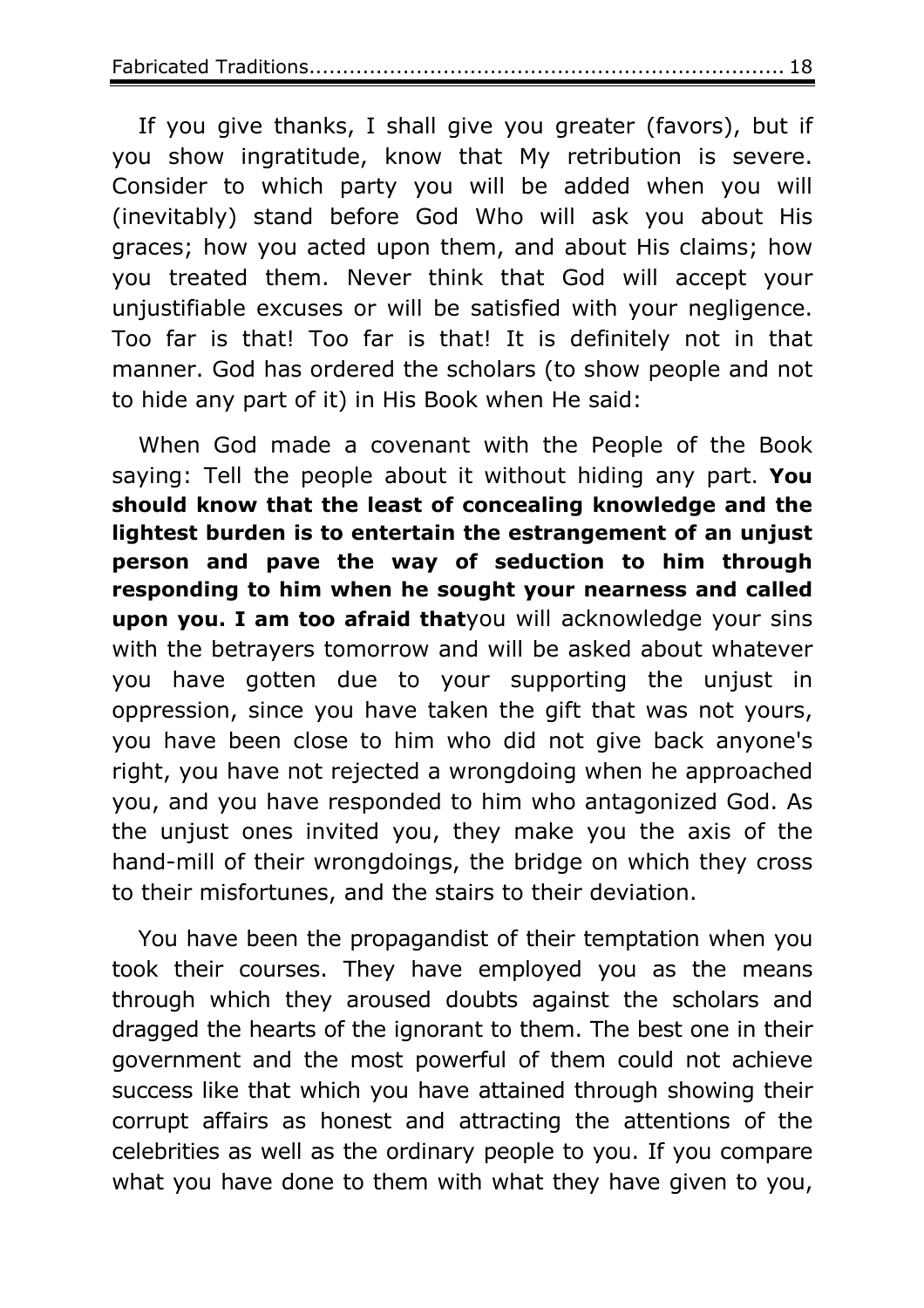|--|--|--|

If you give thanks, I shall give you greater (favors), but if you show ingratitude, know that My retribution is severe. Consider to which party you will be added when you will (inevitably) stand before God Who will ask you about His graces; how you acted upon them, and about His claims; how you treated them. Never think that God will accept your unjustifiable excuses or will be satisfied with your negligence. Too far is that! Too far is that! It is definitely not in that manner. God has ordered the scholars (to show people and not to hide any part of it) in His Book when He said:

When God made a covenant with the People of the Book saying: Tell the people about it without hiding any part. **You should know that the least of concealing knowledge and the lightest burden is to entertain the estrangement of an unjust person and pave the way of seduction to him through responding to him when he sought your nearness and called upon you. I am too afraid that**you will acknowledge your sins with the betrayers tomorrow and will be asked about whatever you have gotten due to your supporting the unjust in oppression, since you have taken the gift that was not yours, you have been close to him who did not give back anyone's right, you have not rejected a wrongdoing when he approached you, and you have responded to him who antagonized God. As the unjust ones invited you, they make you the axis of the hand-mill of their wrongdoings, the bridge on which they cross to their misfortunes, and the stairs to their deviation.

You have been the propagandist of their temptation when you took their courses. They have employed you as the means through which they aroused doubts against the scholars and dragged the hearts of the ignorant to them. The best one in their government and the most powerful of them could not achieve success like that which you have attained through showing their corrupt affairs as honest and attracting the attentions of the celebrities as well as the ordinary people to you. If you compare what you have done to them with what they have given to you,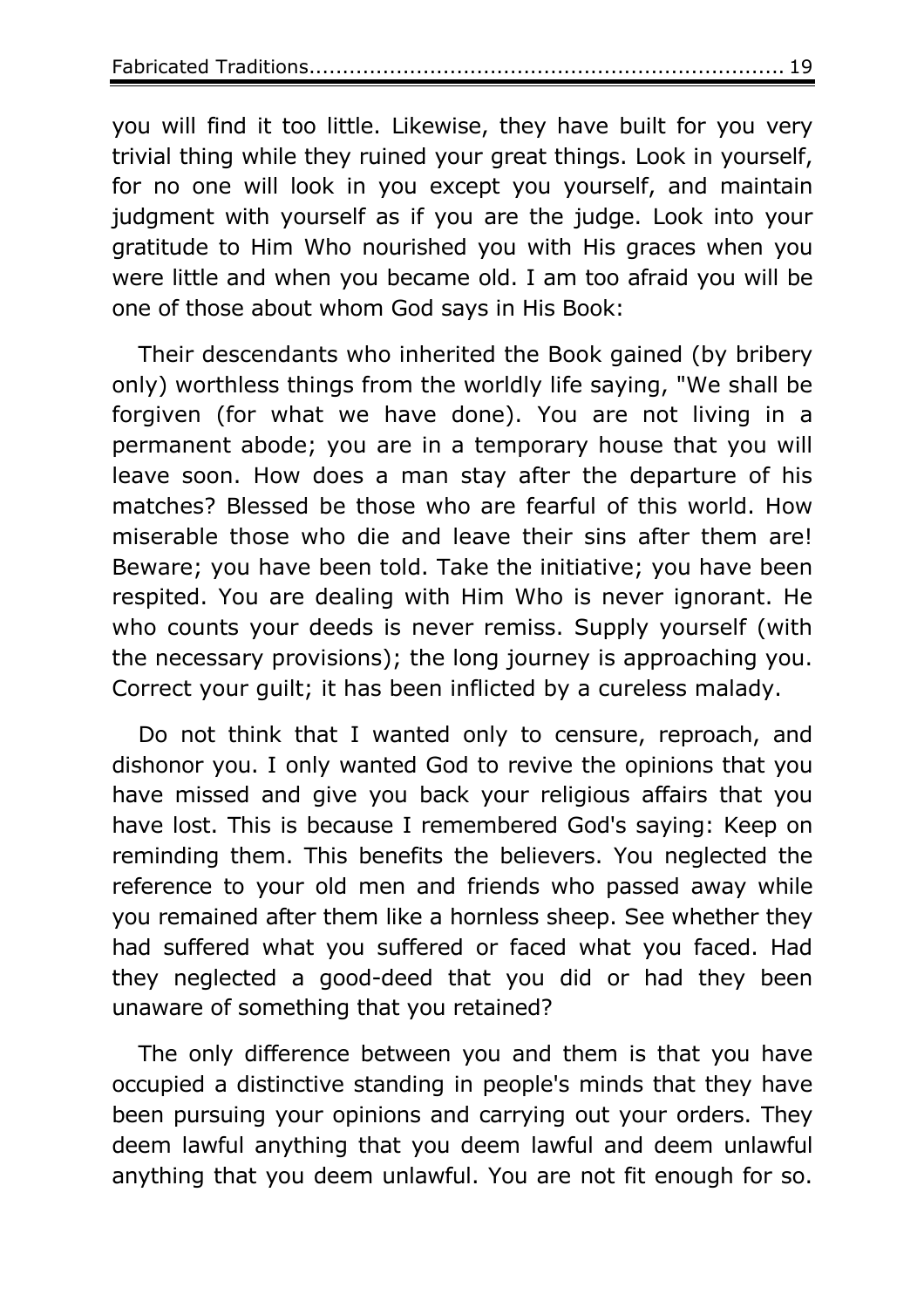|--|--|--|

you will find it too little. Likewise, they have built for you very trivial thing while they ruined your great things. Look in yourself, for no one will look in you except you yourself, and maintain judgment with yourself as if you are the judge. Look into your gratitude to Him Who nourished you with His graces when you were little and when you became old. I am too afraid you will be one of those about whom God says in His Book:

Their descendants who inherited the Book gained (by bribery only) worthless things from the worldly life saying, "We shall be forgiven (for what we have done). You are not living in a permanent abode; you are in a temporary house that you will leave soon. How does a man stay after the departure of his matches? Blessed be those who are fearful of this world. How miserable those who die and leave their sins after them are! Beware; you have been told. Take the initiative; you have been respited. You are dealing with Him Who is never ignorant. He who counts your deeds is never remiss. Supply yourself (with the necessary provisions); the long journey is approaching you. Correct your guilt; it has been inflicted by a cureless malady.

Do not think that I wanted only to censure, reproach, and dishonor you. I only wanted God to revive the opinions that you have missed and give you back your religious affairs that you have lost. This is because I remembered God's saying: Keep on reminding them. This benefits the believers. You neglected the reference to your old men and friends who passed away while you remained after them like a hornless sheep. See whether they had suffered what you suffered or faced what you faced. Had they neglected a good-deed that you did or had they been unaware of something that you retained?

The only difference between you and them is that you have occupied a distinctive standing in people's minds that they have been pursuing your opinions and carrying out your orders. They deem lawful anything that you deem lawful and deem unlawful anything that you deem unlawful. You are not fit enough for so.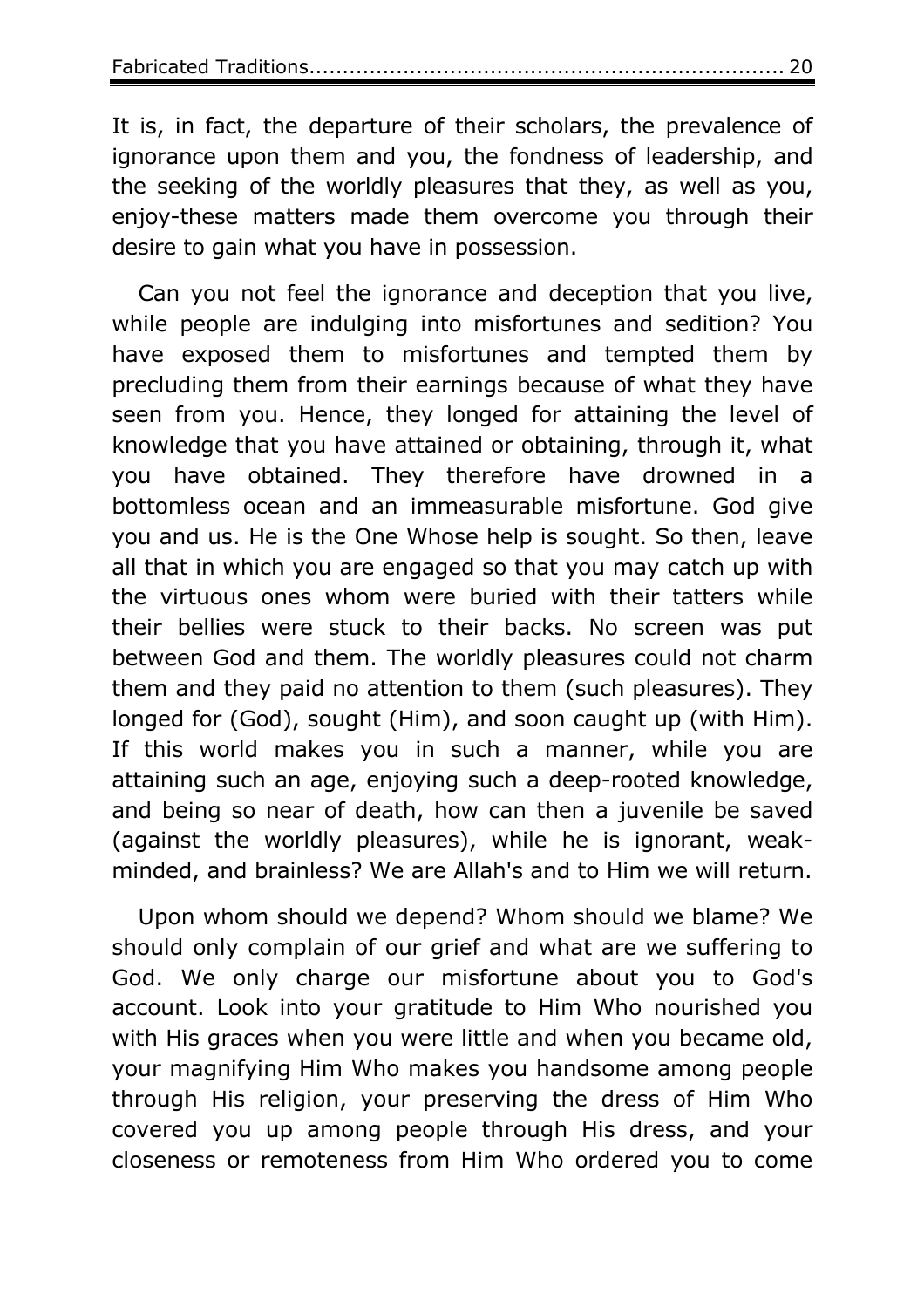It is, in fact, the departure of their scholars, the prevalence of ignorance upon them and you, the fondness of leadership, and the seeking of the worldly pleasures that they, as well as you, enjoy-these matters made them overcome you through their desire to gain what you have in possession.

Can you not feel the ignorance and deception that you live, while people are indulging into misfortunes and sedition? You have exposed them to misfortunes and tempted them by precluding them from their earnings because of what they have seen from you. Hence, they longed for attaining the level of knowledge that you have attained or obtaining, through it, what you have obtained. They therefore have drowned in a bottomless ocean and an immeasurable misfortune. God give you and us. He is the One Whose help is sought. So then, leave all that in which you are engaged so that you may catch up with the virtuous ones whom were buried with their tatters while their bellies were stuck to their backs. No screen was put between God and them. The worldly pleasures could not charm them and they paid no attention to them (such pleasures). They longed for (God), sought (Him), and soon caught up (with Him). If this world makes you in such a manner, while you are attaining such an age, enjoying such a deep-rooted knowledge, and being so near of death, how can then a juvenile be saved (against the worldly pleasures), while he is ignorant, weakminded, and brainless? We are Allah's and to Him we will return.

Upon whom should we depend? Whom should we blame? We should only complain of our grief and what are we suffering to God. We only charge our misfortune about you to God's account. Look into your gratitude to Him Who nourished you with His graces when you were little and when you became old, your magnifying Him Who makes you handsome among people through His religion, your preserving the dress of Him Who covered you up among people through His dress, and your closeness or remoteness from Him Who ordered you to come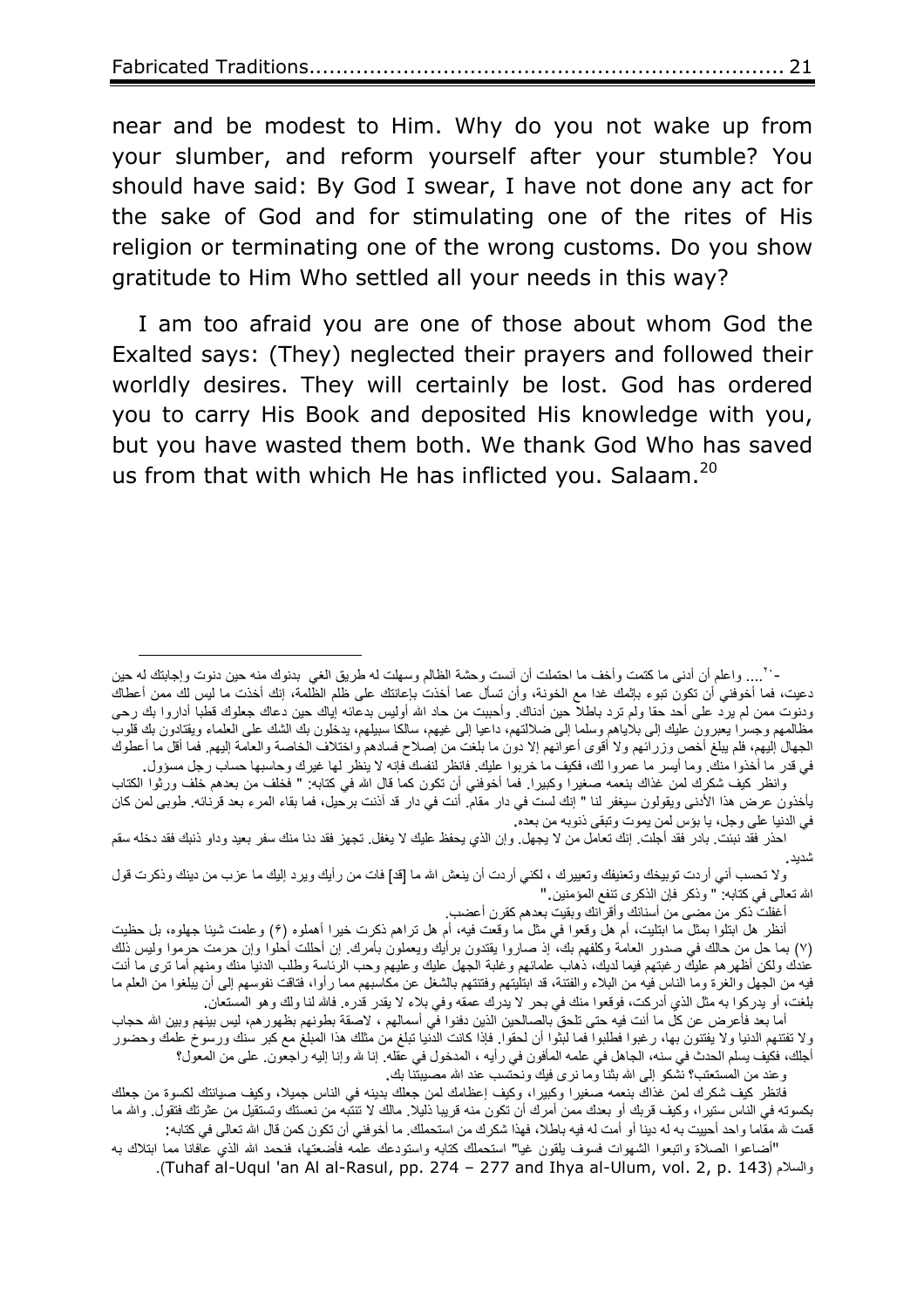|--|--|--|

near and be modest to Him. Why do you not wake up from your slumber, and reform yourself after your stumble? You should have said: By God I swear, I have not done any act for the sake of God and for stimulating one of the rites of His religion or terminating one of the wrong customs. Do you show gratitude to Him Who settled all your needs in this way?

I am too afraid you are one of those about whom God the Exalted says: (They) neglected their prayers and followed their worldly desires. They will certainly be lost. God has ordered you to carry His Book and deposited His knowledge with you, but you have wasted them both. We thank God Who has saved us from that with which He has inflicted you. Salaam.<sup>20</sup>

أغفلتٌ ذكر ٍ من مضبي من أسنانك وأقرَّ انك وبقيت بعدهم كقر ن أعضب.

<sup>1</sup> –``.... واعلم أن أدنى ما كتمت وأخف ما احتملت أن آنست وحشة الظالم وسهلت له طريق الغي بدنوك منه حين دنوت وإجابتك له حين دعيت، فما أخوفني أن تكون تبوء بإثمك غدا مع الخونة، وأن تسأل عما إعانتك على ظلم الظلمة، إنك أخذت ما ليس لك ممن أعطاك ودنوت ممن لم يرد على أحد حقا ولم ترد باطلاً حين أدناك وأحببت من حاد الله أوليس بدعائه إياك حين دعاك جعلوك قطبا أداروا بك رحى مظالمهم وجسرا يعبرون عليك إلى بلاياهم وسلما إلى ضلالتهم، داعيا إلى غيهم، سالكا سبيلهم، يدخلون بك الشك على العلماء ويقتادون بك قلوب الجهال إليهم، فلم يبلغ أخص وزرائهم ولا أقوى أعوانهم إلا دون ما بلغت من إصلاح فسادهم واختلاف الخاصة والعامة إليهم. فما أقل ما أعطوك في قدر ما أخذوا منك. وما أيسر ما عمروا لك، فكيف ما خربوا عليك. فانظر لنفسك فإنه لا ينظر لها غيرك وحاسبها حساب رجل مسؤول.

وانظر كيف شكرك لمن غذاك بنعمه صغيرا وكبيرا. فما أخوفني أن تكون كما قال الله في كتابه: " فخلف من بعدهم خلف ورثوا الكتاب يأخذون عرض هذا الأدنى ويقولون سيغفر لنا " إنك لست في دار مقام. أنت في دار قد آذنت برحيل، فما بقاء المرء بعد قرنائه. طوبي لمن كان في الدنيا على وجل، يا بؤس لمن يموت ونبقى ذنوبه من بعده.

احذر فقد نبئت بادر فقد أجلت. إنك تعامل من لا يجهل وإن الذي يحفظ عليك لا يغفل تجهز فقد دنا منك سفر بعيد وداو ذنبك فقد دخله سقم شدید .

و لا تحسب أني أردت توبيخك وتعنيفك وتعييرك ، لكني أردت أن ينعش الله ما [قد] فات من ر أيك ويرد إليك ما عزب من دينك وذكرت قول الله تعالى في كتابه: " وذكر فإن الذكر ى تنفع المؤمنين ـ"

أنظر هل ابتلوا بمثل ما ابتليت، أم هل وقعوا في مثل ما وقعت فيه، أم هل تراهم ذكرت خيرا أهملوه (۶) وعلمت شيئا جهلوه، بل حظيت (٧) بما حل من حالك في صدور العامة وكلفهم بك، إذ صاروا يقتدون برأيك ويعملون بأمرك. إن أحللت أحلوا وإن حرمت حرموا وليس ذلك عندك ولكن أظهرهم عليك رغبتهم فيما لديك، ذهاب علمائهم وغلبة الطية وعليهم وحب الرئاسة وطلب الدنيا منك ومنهم أما نرى ما أنت فيه من الجهل والغزة وما الناس فيه من البلاء والفتنة، قد ابتليتهم وفتنتهم بالشغل عن مكاسبهم مما رأوا، فناقت نفوسهم إلى أن يبلغوا من العلم ما بلغت، أو يدركوا به مثل الذي أدركت، فوقعوا منك في بحر لا يدرك عمقه وفي بلاء لا يقدر قدره. فاش لنا ولك وهو المستعان

أما بعد فأعرض عن كل ما أنت فيه حتى تلحق بالصالحين الذين دفنوا في أسمالهم ، لاصقة بطونهم بظهور هم، ليس بينهم وبين الله حجاب ولا تغتنهم الدنيا ولا يفتنون بها، رغبوا فطلبوا فما لبثوا أن لخوا. فاذا كذا تنافغ من مثلك هذا المبلغ مع كبر سنك ورسوخ علمك وحضور أجلك، فكيف يسلم الحدث في سنه، الجاهل في علمه المأفون في رأيه ، المدخول في عقله. إنا لله وإنا إليه راجعون. على من المعول؟ وعند من المستعتب؟ نشكو إلى الله بثنا وما نرى فيك ونحتسب عند الله مصبيتنا بك

فانظر كيف شكرك لمن غذاك بنعمه صغيرا وكبيرا، وكيف إعظامك لمن جعلك بدينه في الناس جميلا، وكيف صيانتك لكسوة من جعلك بكسونه في الناس سنيرا، وكيف قربك أو بعدك ممن أمرك أن تكون منه قريبا ذليلا ٍ مالك لا تنتبه من نعستك وتستقيل من عثرتك فتقول. والله ما قمت ش مقاما واحد أحييت به له دينا أو أمت له فيه باطلا، فهذا شكرك من استحملك. ما أخوفني أن تكون كمن قال اش تعالى في كتابه :

<sup>&</sup>quot;أضاعوا الصلاة واتبعوا الشهوات فسوف يلقون غيا" استحملك كتابه واستودعك علمه فأضعتها، فنحمد الله الذي عافانا مما ابتلاك به .(Tuhaf al-Uqul 'an Al al-Rasul, pp. 274 – 277 and Ihya al-Ulum, vol. 2, p. 143)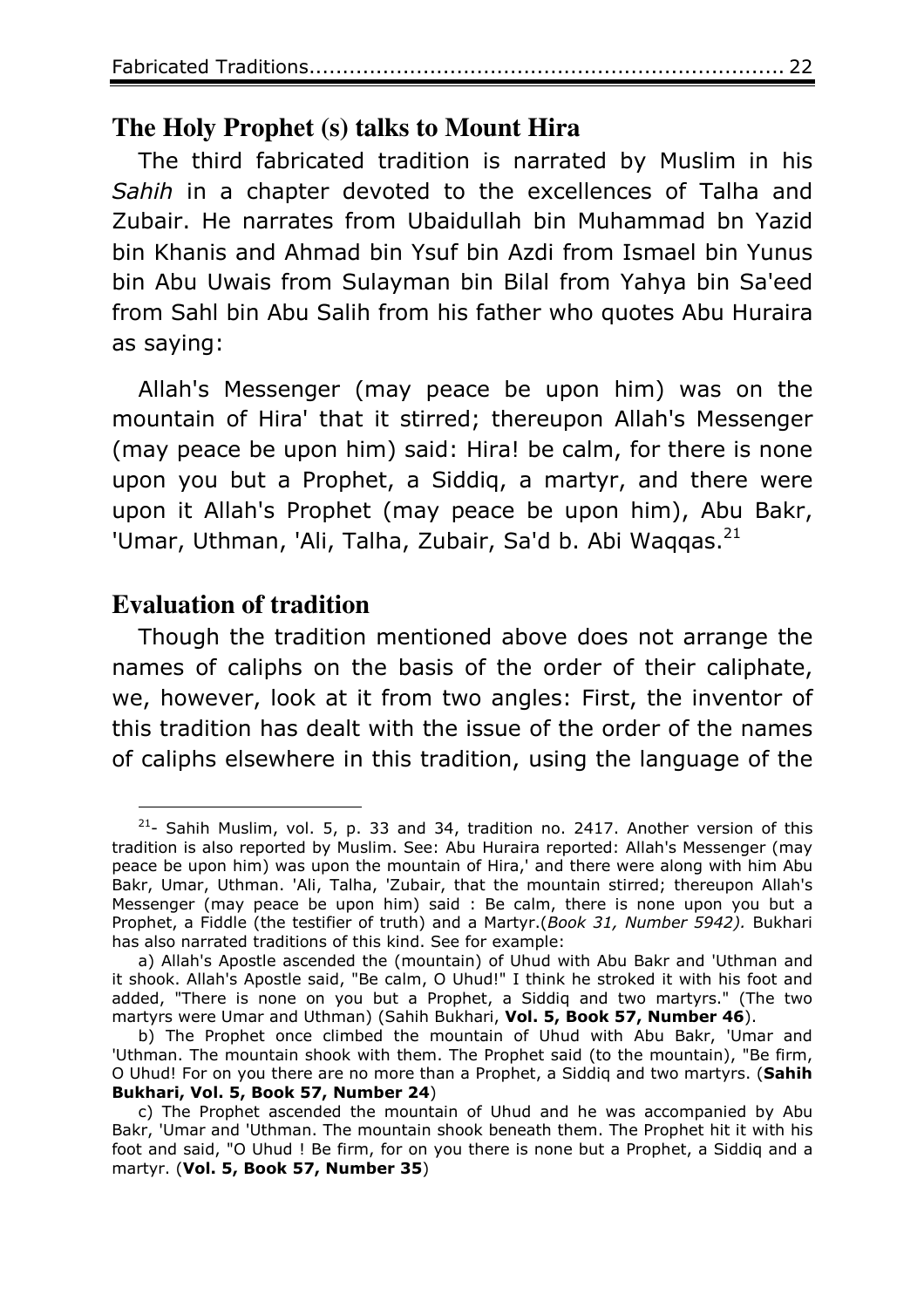|--|--|

#### **The Holy Prophet (s) talks to Mount Hira**

The third fabricated tradition is narrated by Muslim in his *Sahih* in a chapter devoted to the excellences of Talha and Zubair. He narrates from Ubaidullah bin Muhammad bn Yazid bin Khanis and Ahmad bin Ysuf bin Azdi from Ismael bin Yunus bin Abu Uwais from Sulayman bin Bilal from Yahya bin Sa'eed from Sahl bin Abu Salih from his father who quotes Abu Huraira as saying:

Allah's Messenger (may peace be upon him) was on the mountain of Hira' that it stirred; thereupon Allah's Messenger (may peace be upon him) said: Hira! be calm, for there is none upon you but a Prophet, a Siddiq, a martyr, and there were upon it Allah's Prophet (may peace be upon him), Abu Bakr, 'Umar, Uthman, 'Ali, Talha, Zubair, Sa'd b. Abi Waqqas.<sup>21</sup>

#### **Evaluation of tradition**

 $\overline{a}$ 

Though the tradition mentioned above does not arrange the names of caliphs on the basis of the order of their caliphate, we, however, look at it from two angles: First, the inventor of this tradition has dealt with the issue of the order of the names of caliphs elsewhere in this tradition, using the language of the

 $21-$  Sahih Muslim, vol. 5, p. 33 and 34, tradition no. 2417. Another version of this tradition is also reported by Muslim. See: Abu Huraira reported: Allah's Messenger (may peace be upon him) was upon the mountain of Hira,' and there were along with him Abu Bakr, Umar, Uthman. 'Ali, Talha, 'Zubair, that the mountain stirred; thereupon Allah's Messenger (may peace be upon him) said : Be calm, there is none upon you but a Prophet, a Fiddle (the testifier of truth) and a Martyr.(*Book 31, Number 5942).* Bukhari has also narrated traditions of this kind. See for example:

a) Allah's Apostle ascended the (mountain) of Uhud with Abu Bakr and 'Uthman and it shook. Allah's Apostle said, "Be calm, O Uhud!" I think he stroked it with his foot and added, "There is none on you but a Prophet, a Siddiq and two martyrs." (The two martyrs were Umar and Uthman) (Sahih Bukhari, **Vol. 5, Book 57, Number 46**).

b) The Prophet once climbed the mountain of Uhud with Abu Bakr, 'Umar and 'Uthman. The mountain shook with them. The Prophet said (to the mountain), "Be firm, O Uhud! For on you there are no more than a Prophet, a Siddiq and two martyrs. (**Sahih Bukhari, Vol. 5, Book 57, Number 24**)

c) The Prophet ascended the mountain of Uhud and he was accompanied by Abu Bakr, 'Umar and 'Uthman. The mountain shook beneath them. The Prophet hit it with his foot and said, "O Uhud ! Be firm, for on you there is none but a Prophet, a Siddiq and a martyr. (**Vol. 5, Book 57, Number 35**)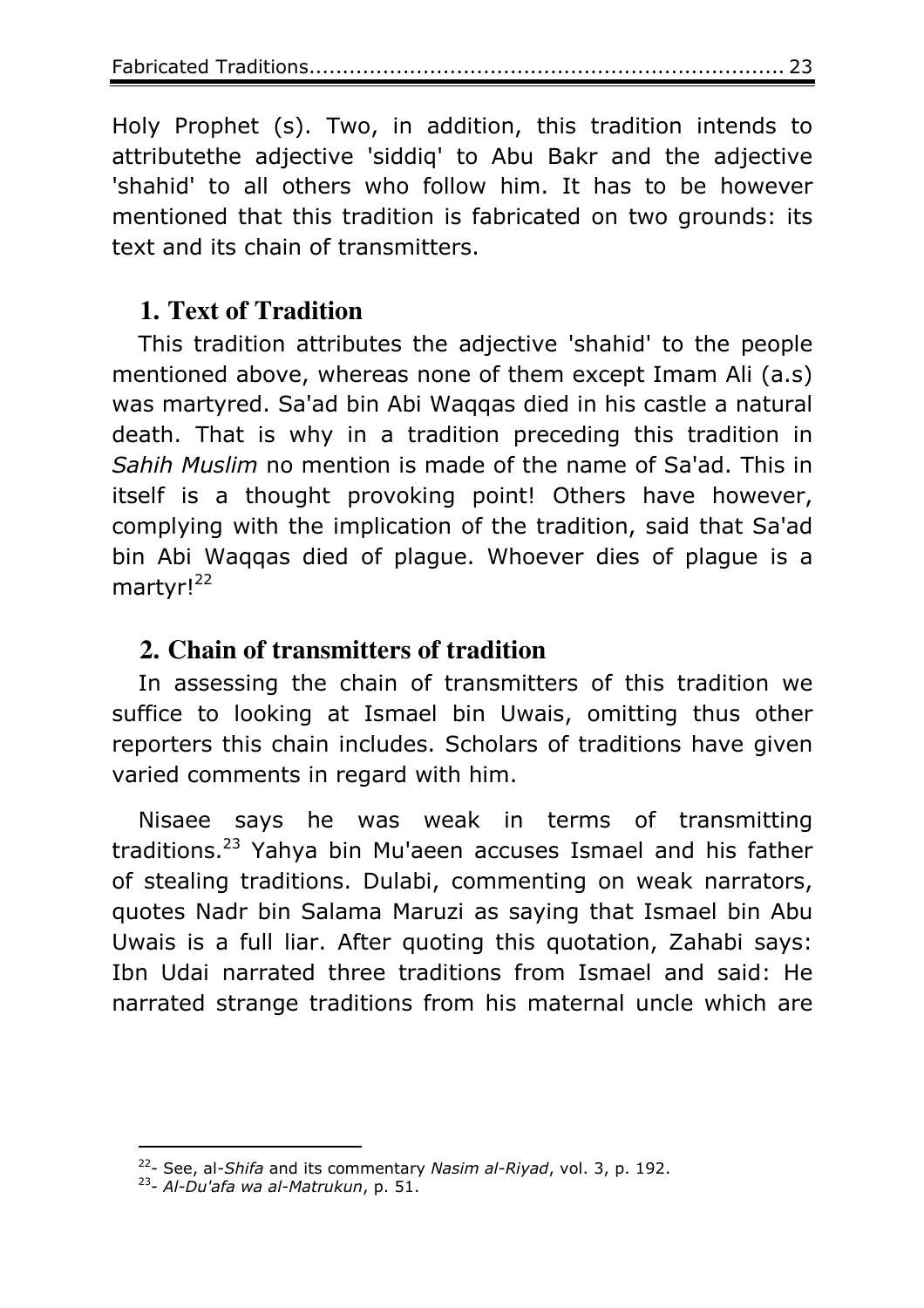Holy Prophet (s). Two, in addition, this tradition intends to attributethe adjective 'siddiq' to Abu Bakr and the adjective 'shahid' to all others who follow him. It has to be however mentioned that this tradition is fabricated on two grounds: its text and its chain of transmitters.

# **1. Text of Tradition**

This tradition attributes the adjective 'shahid' to the people mentioned above, whereas none of them except Imam Ali (a.s) was martyred. Sa'ad bin Abi Waqqas died in his castle a natural death. That is why in a tradition preceding this tradition in *Sahih Muslim* no mention is made of the name of Sa'ad. This in itself is a thought provoking point! Others have however, complying with the implication of the tradition, said that Sa'ad bin Abi Waqqas died of plague. Whoever dies of plague is a martyr!<sup>22</sup>

### **2. Chain of transmitters of tradition**

In assessing the chain of transmitters of this tradition we suffice to looking at Ismael bin Uwais, omitting thus other reporters this chain includes. Scholars of traditions have given varied comments in regard with him.

Nisaee says he was weak in terms of transmitting traditions.<sup>23</sup> Yahya bin Mu'aeen accuses Ismael and his father of stealing traditions. Dulabi, commenting on weak narrators, quotes Nadr bin Salama Maruzi as saying that Ismael bin Abu Uwais is a full liar. After quoting this quotation, Zahabi says: Ibn Udai narrated three traditions from Ismael and said: He narrated strange traditions from his maternal uncle which are

 $\overline{a}$ <sup>22</sup>- See, al-*Shifa* and its commentary *Nasim al-Riyad*, vol. 3, p. 192.

<sup>23</sup> - *Al-Du'afa wa al-Matrukun*, p. 51.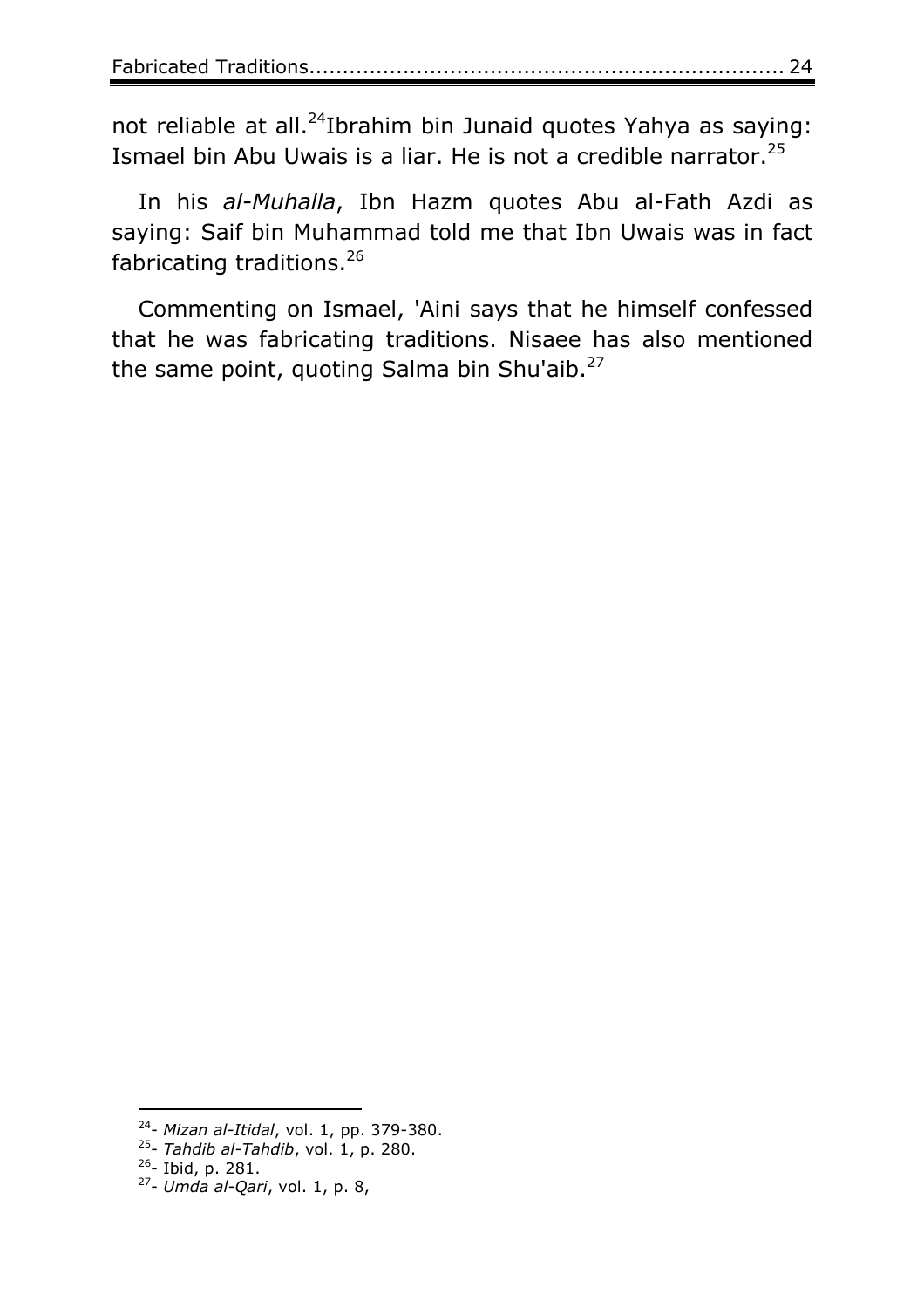not reliable at all.<sup>24</sup>Ibrahim bin Junaid quotes Yahya as saying: Ismael bin Abu Uwais is a liar. He is not a credible narrator.<sup>25</sup>

In his *al-Muhalla*, Ibn Hazm quotes Abu al-Fath Azdi as saying: Saif bin Muhammad told me that Ibn Uwais was in fact fabricating traditions.<sup>26</sup>

Commenting on Ismael, 'Aini says that he himself confessed that he was fabricating traditions. Nisaee has also mentioned the same point, quoting Salma bin Shu'aib.<sup>27</sup>

 $\overline{a}$ 

<sup>24</sup> - *Mizan al-Itidal*, vol. 1, pp. 379-380.

<sup>25</sup> - *Tahdib al-Tahdib*, vol. 1, p. 280.

<sup>&</sup>lt;sup>26</sup>- Ibid, p. 281.

<sup>27</sup> - *Umda al-Qari*, vol. 1, p. 8,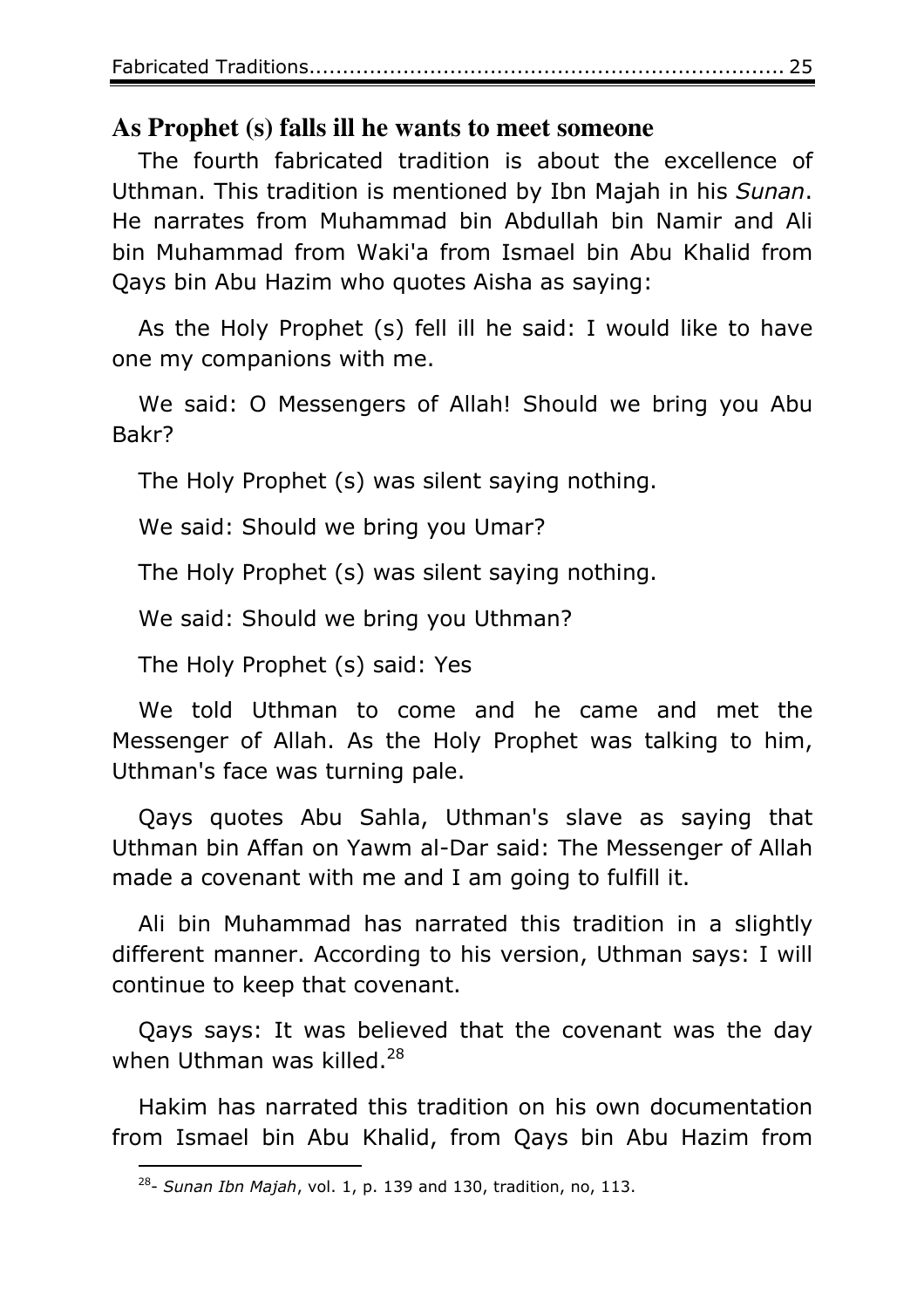|--|

#### **As Prophet (s) falls ill he wants to meet someone**

The fourth fabricated tradition is about the excellence of Uthman. This tradition is mentioned by Ibn Majah in his *Sunan*. He narrates from Muhammad bin Abdullah bin Namir and Ali bin Muhammad from Waki'a from Ismael bin Abu Khalid from Qays bin Abu Hazim who quotes Aisha as saying:

As the Holy Prophet (s) fell ill he said: I would like to have one my companions with me.

We said: O Messengers of Allah! Should we bring you Abu Bakr?

The Holy Prophet (s) was silent saying nothing.

We said: Should we bring you Umar?

The Holy Prophet (s) was silent saying nothing.

We said: Should we bring you Uthman?

The Holy Prophet (s) said: Yes

We told Uthman to come and he came and met the Messenger of Allah. As the Holy Prophet was talking to him, Uthman's face was turning pale.

Qays quotes Abu Sahla, Uthman's slave as saying that Uthman bin Affan on Yawm al-Dar said: The Messenger of Allah made a covenant with me and I am going to fulfill it.

Ali bin Muhammad has narrated this tradition in a slightly different manner. According to his version, Uthman says: I will continue to keep that covenant.

Qays says: It was believed that the covenant was the day when Uthman was killed.<sup>28</sup>

Hakim has narrated this tradition on his own documentation from Ismael bin Abu Khalid, from Qays bin Abu Hazim from

<sup>1</sup> 28 - *Sunan Ibn Majah*, vol. 1, p. 139 and 130, tradition, no, 113.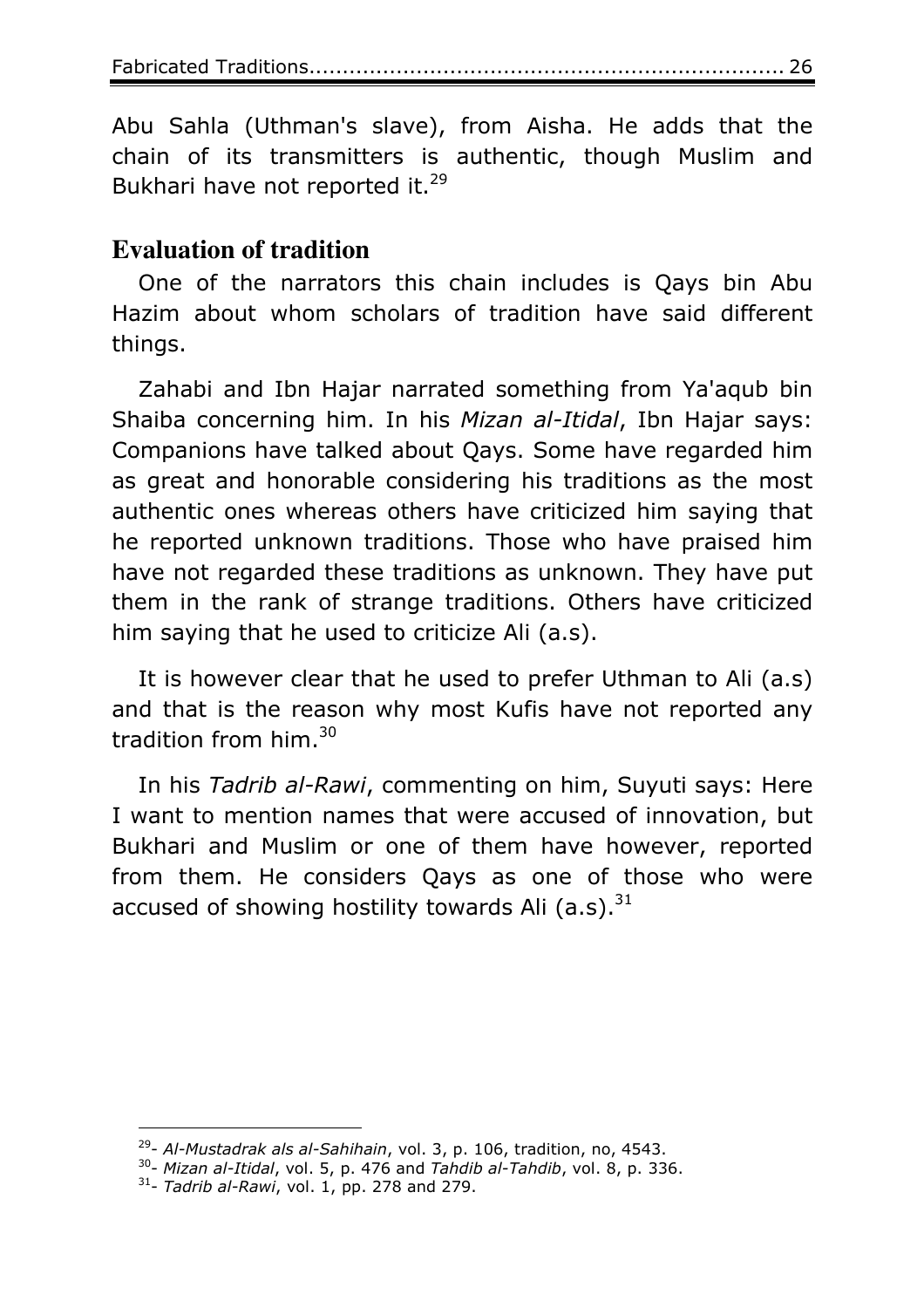Abu Sahla (Uthman's slave), from Aisha. He adds that the chain of its transmitters is authentic, though Muslim and Bukhari have not reported it.<sup>29</sup>

### **Evaluation of tradition**

One of the narrators this chain includes is Qays bin Abu Hazim about whom scholars of tradition have said different things.

Zahabi and Ibn Hajar narrated something from Ya'aqub bin Shaiba concerning him. In his *Mizan al-Itidal*, Ibn Hajar says: Companions have talked about Qays. Some have regarded him as great and honorable considering his traditions as the most authentic ones whereas others have criticized him saying that he reported unknown traditions. Those who have praised him have not regarded these traditions as unknown. They have put them in the rank of strange traditions. Others have criticized him saying that he used to criticize Ali (a.s).

It is however clear that he used to prefer Uthman to Ali (a.s) and that is the reason why most Kufis have not reported any tradition from him.<sup>30</sup>

In his *Tadrib al-Rawi*, commenting on him, Suyuti says: Here I want to mention names that were accused of innovation, but Bukhari and Muslim or one of them have however, reported from them. He considers Qays as one of those who were accused of showing hostility towards Ali  $(a.s).<sup>31</sup>$ 

<sup>1</sup> 29 - *Al-Mustadrak als al-Sahihain*, vol. 3, p. 106, tradition, no, 4543.

<sup>30</sup> - *Mizan al-Itidal*, vol. 5, p. 476 and *Tahdib al-Tahdib*, vol. 8, p. 336.

<sup>31</sup> - *Tadrib al-Rawi*, vol. 1, pp. 278 and 279.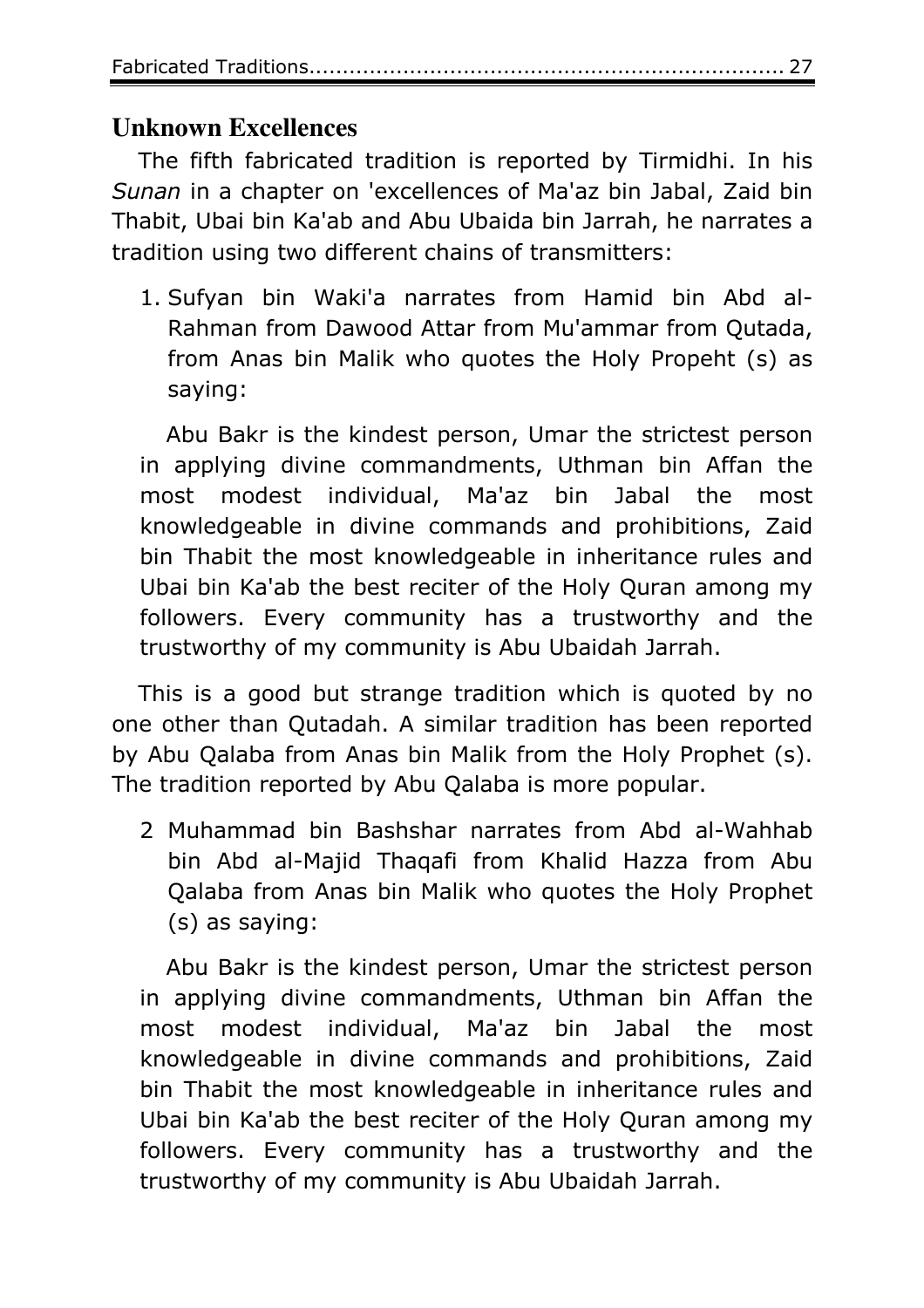|--|

#### **Unknown Excellences**

The fifth fabricated tradition is reported by Tirmidhi. In his *Sunan* in a chapter on 'excellences of Ma'az bin Jabal, Zaid bin Thabit, Ubai bin Ka'ab and Abu Ubaida bin Jarrah, he narrates a tradition using two different chains of transmitters:

1. Sufyan bin Waki'a narrates from Hamid bin Abd al-Rahman from Dawood Attar from Mu'ammar from Qutada, from Anas bin Malik who quotes the Holy Propeht (s) as saying:

Abu Bakr is the kindest person, Umar the strictest person in applying divine commandments, Uthman bin Affan the most modest individual, Ma'az bin Jabal the most knowledgeable in divine commands and prohibitions, Zaid bin Thabit the most knowledgeable in inheritance rules and Ubai bin Ka'ab the best reciter of the Holy Quran among my followers. Every community has a trustworthy and the trustworthy of my community is Abu Ubaidah Jarrah.

This is a good but strange tradition which is quoted by no one other than Qutadah. A similar tradition has been reported by Abu Qalaba from Anas bin Malik from the Holy Prophet (s). The tradition reported by Abu Qalaba is more popular.

2 Muhammad bin Bashshar narrates from Abd al-Wahhab bin Abd al-Majid Thaqafi from Khalid Hazza from Abu Qalaba from Anas bin Malik who quotes the Holy Prophet (s) as saying:

Abu Bakr is the kindest person, Umar the strictest person in applying divine commandments, Uthman bin Affan the most modest individual, Ma'az bin Jabal the most knowledgeable in divine commands and prohibitions, Zaid bin Thabit the most knowledgeable in inheritance rules and Ubai bin Ka'ab the best reciter of the Holy Quran among my followers. Every community has a trustworthy and the trustworthy of my community is Abu Ubaidah Jarrah.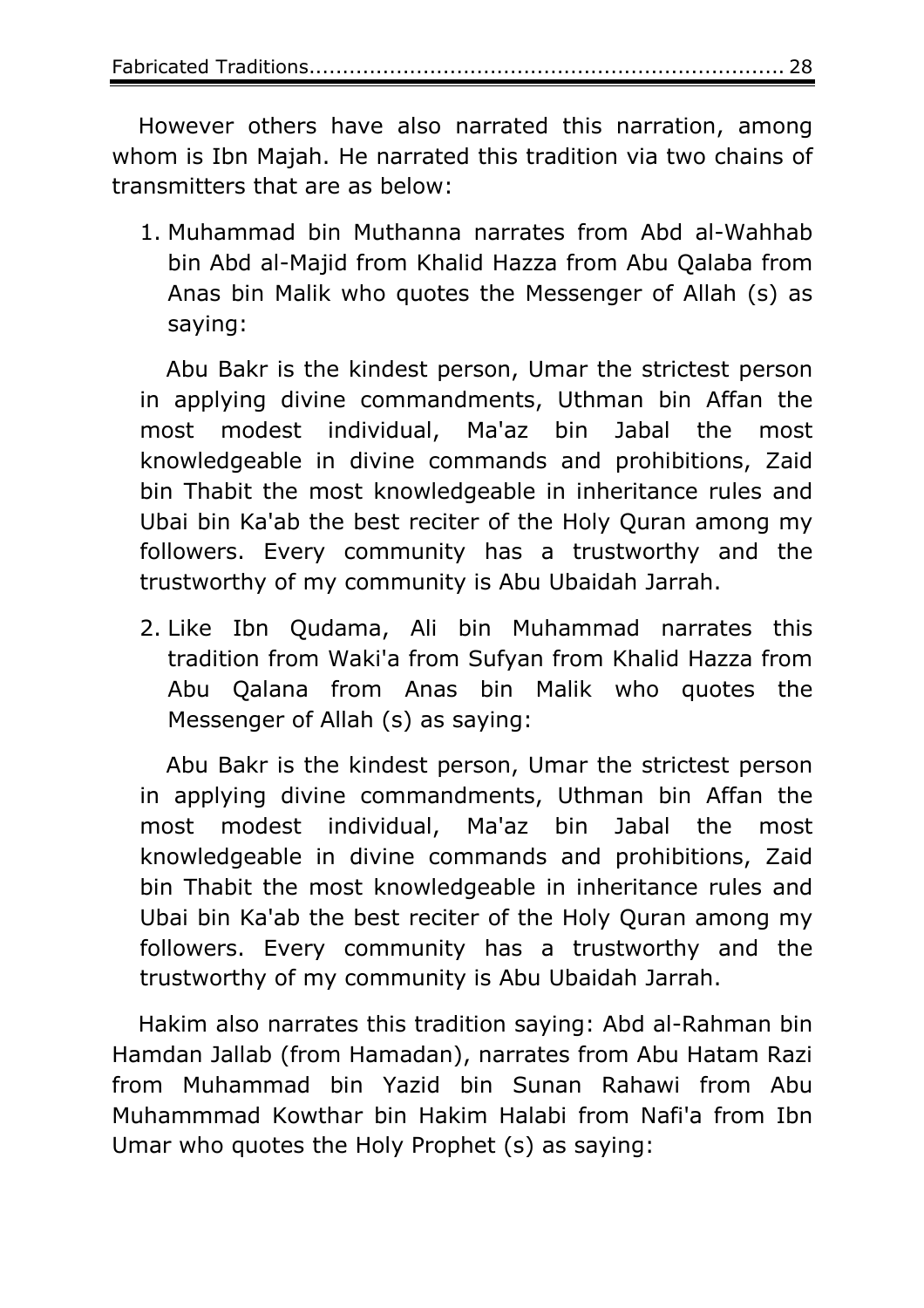However others have also narrated this narration, among whom is Ibn Majah. He narrated this tradition via two chains of transmitters that are as below:

1. Muhammad bin Muthanna narrates from Abd al-Wahhab bin Abd al-Majid from Khalid Hazza from Abu Qalaba from Anas bin Malik who quotes the Messenger of Allah (s) as saying:

Abu Bakr is the kindest person, Umar the strictest person in applying divine commandments, Uthman bin Affan the most modest individual, Ma'az bin Jabal the most knowledgeable in divine commands and prohibitions, Zaid bin Thabit the most knowledgeable in inheritance rules and Ubai bin Ka'ab the best reciter of the Holy Quran among my followers. Every community has a trustworthy and the trustworthy of my community is Abu Ubaidah Jarrah.

2. Like Ibn Qudama, Ali bin Muhammad narrates this tradition from Waki'a from Sufyan from Khalid Hazza from Abu Qalana from Anas bin Malik who quotes the Messenger of Allah (s) as saying:

Abu Bakr is the kindest person, Umar the strictest person in applying divine commandments, Uthman bin Affan the most modest individual, Ma'az bin Jabal the most knowledgeable in divine commands and prohibitions, Zaid bin Thabit the most knowledgeable in inheritance rules and Ubai bin Ka'ab the best reciter of the Holy Quran among my followers. Every community has a trustworthy and the trustworthy of my community is Abu Ubaidah Jarrah.

Hakim also narrates this tradition saying: Abd al-Rahman bin Hamdan Jallab (from Hamadan), narrates from Abu Hatam Razi from Muhammad bin Yazid bin Sunan Rahawi from Abu Muhammmad Kowthar bin Hakim Halabi from Nafi'a from Ibn Umar who quotes the Holy Prophet (s) as saying: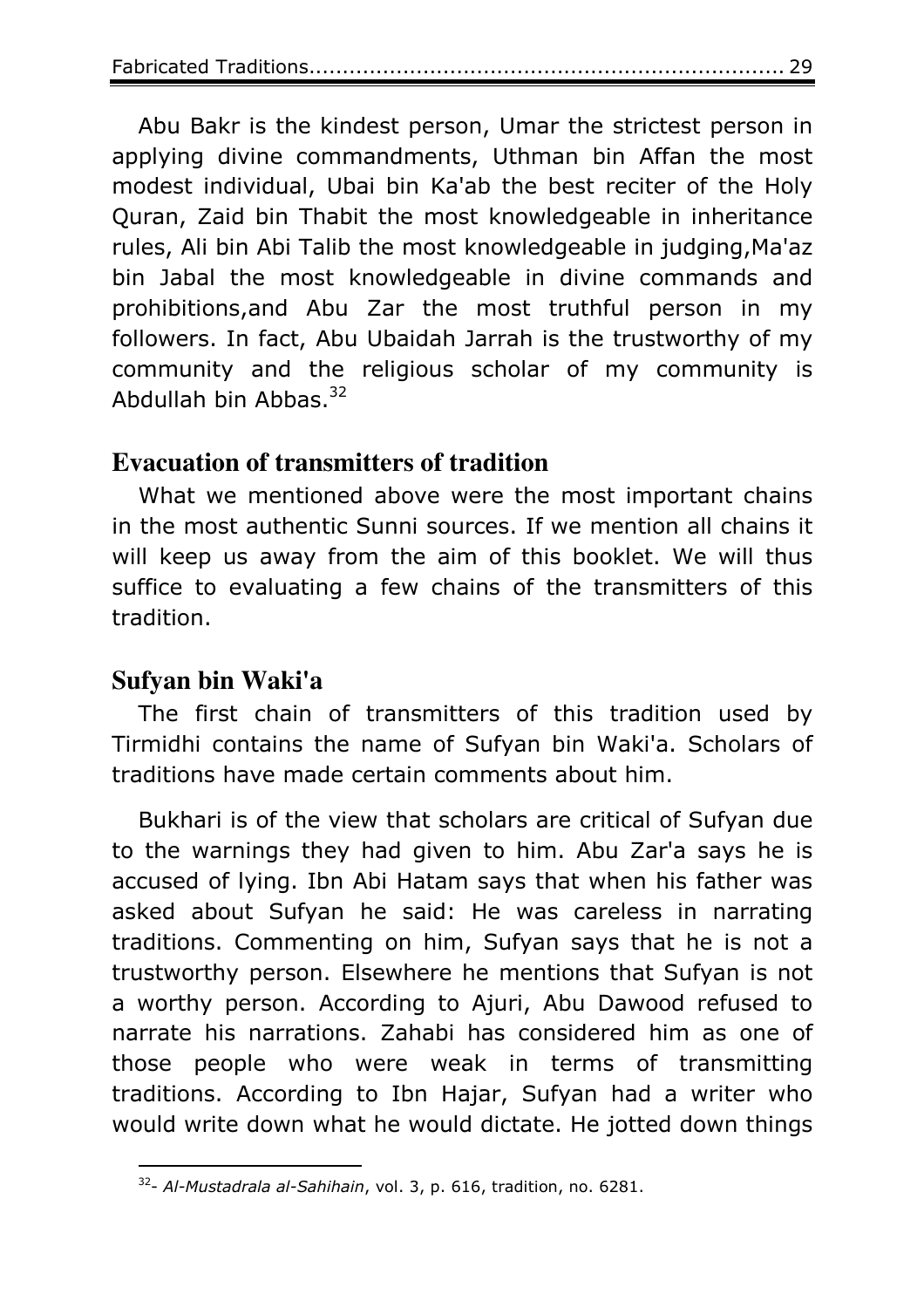|--|

Abu Bakr is the kindest person, Umar the strictest person in applying divine commandments, Uthman bin Affan the most modest individual, Ubai bin Ka'ab the best reciter of the Holy Quran, Zaid bin Thabit the most knowledgeable in inheritance rules, Ali bin Abi Talib the most knowledgeable in judging,Ma'az bin Jabal the most knowledgeable in divine commands and prohibitions,and Abu Zar the most truthful person in my followers. In fact, Abu Ubaidah Jarrah is the trustworthy of my community and the religious scholar of my community is Abdullah bin Abbas. $32$ 

#### **Evacuation of transmitters of tradition**

What we mentioned above were the most important chains in the most authentic Sunni sources. If we mention all chains it will keep us away from the aim of this booklet. We will thus suffice to evaluating a few chains of the transmitters of this tradition.

#### **Sufyan bin Waki'a**

The first chain of transmitters of this tradition used by Tirmidhi contains the name of Sufyan bin Waki'a. Scholars of traditions have made certain comments about him.

Bukhari is of the view that scholars are critical of Sufyan due to the warnings they had given to him. Abu Zar'a says he is accused of lying. Ibn Abi Hatam says that when his father was asked about Sufyan he said: He was careless in narrating traditions. Commenting on him, Sufyan says that he is not a trustworthy person. Elsewhere he mentions that Sufyan is not a worthy person. According to Ajuri, Abu Dawood refused to narrate his narrations. Zahabi has considered him as one of those people who were weak in terms of transmitting traditions. According to Ibn Hajar, Sufyan had a writer who would write down what he would dictate. He jotted down things

<sup>1</sup> 32 - *Al-Mustadrala al-Sahihain*, vol. 3, p. 616, tradition, no. 6281.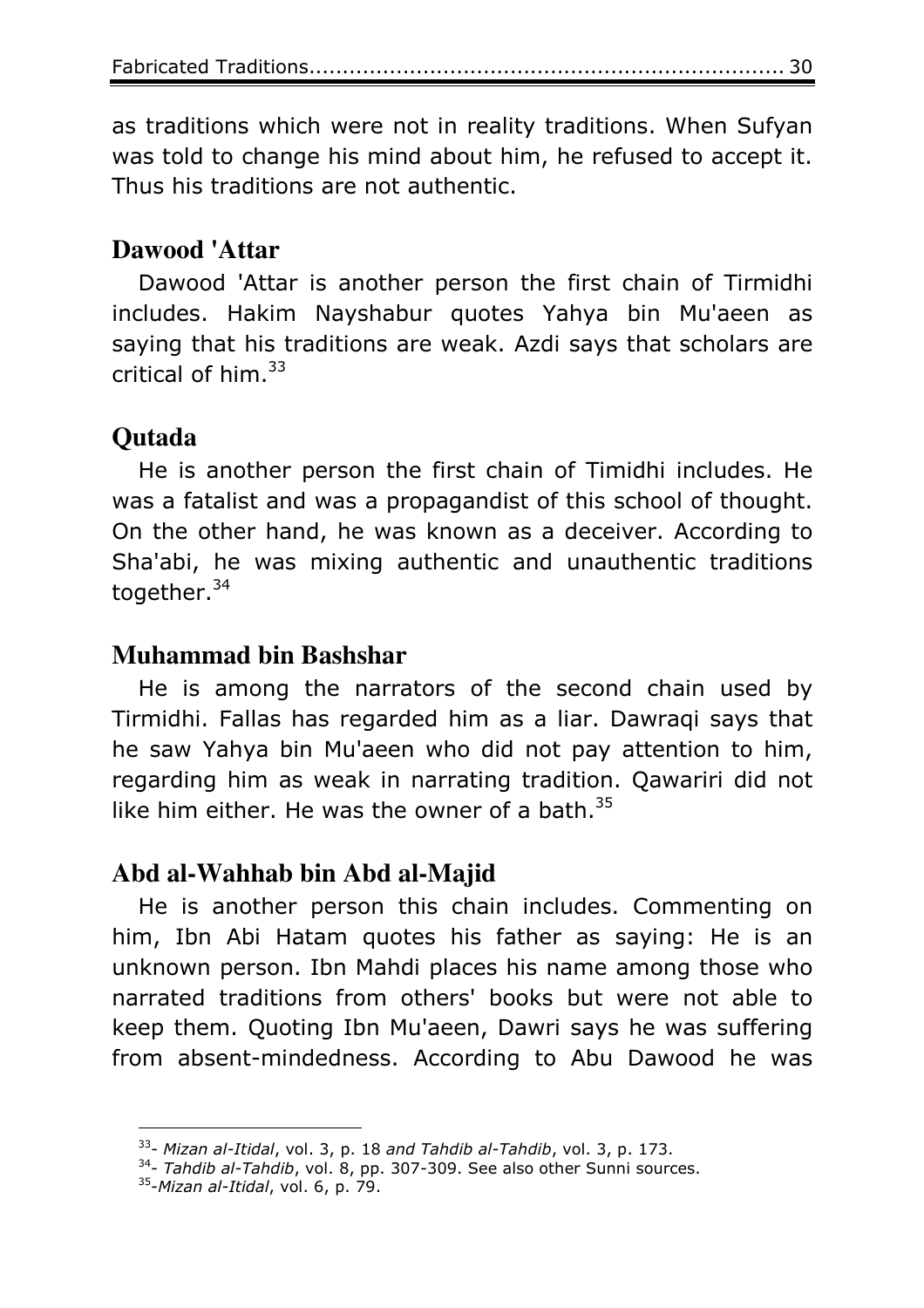as traditions which were not in reality traditions. When Sufyan was told to change his mind about him, he refused to accept it. Thus his traditions are not authentic.

### **Dawood 'Attar**

Dawood 'Attar is another person the first chain of Tirmidhi includes. Hakim Nayshabur quotes Yahya bin Mu'aeen as saying that his traditions are weak. Azdi says that scholars are critical of him. $33$ 

# **Qutada**

He is another person the first chain of Timidhi includes. He was a fatalist and was a propagandist of this school of thought. On the other hand, he was known as a deceiver. According to Sha'abi, he was mixing authentic and unauthentic traditions together.<sup>34</sup>

## **Muhammad bin Bashshar**

He is among the narrators of the second chain used by Tirmidhi. Fallas has regarded him as a liar. Dawraqi says that he saw Yahya bin Mu'aeen who did not pay attention to him, regarding him as weak in narrating tradition. Qawariri did not like him either. He was the owner of a bath. $35$ 

# **Abd al-Wahhab bin Abd al-Majid**

He is another person this chain includes. Commenting on him, Ibn Abi Hatam quotes his father as saying: He is an unknown person. Ibn Mahdi places his name among those who narrated traditions from others' books but were not able to keep them. Quoting Ibn Mu'aeen, Dawri says he was suffering from absent-mindedness. According to Abu Dawood he was

<sup>1</sup> <sup>33</sup>*- Mizan al-Itidal*, vol. 3, p. 18 *and Tahdib al-Tahdib*, vol. 3, p. 173.

<sup>&</sup>lt;sup>34</sup>- Tahdib al-Tahdib, vol. 8, pp. 307-309. See also other Sunni sources.

<sup>35</sup> -*Mizan al-Itidal*, vol. 6, p. 79.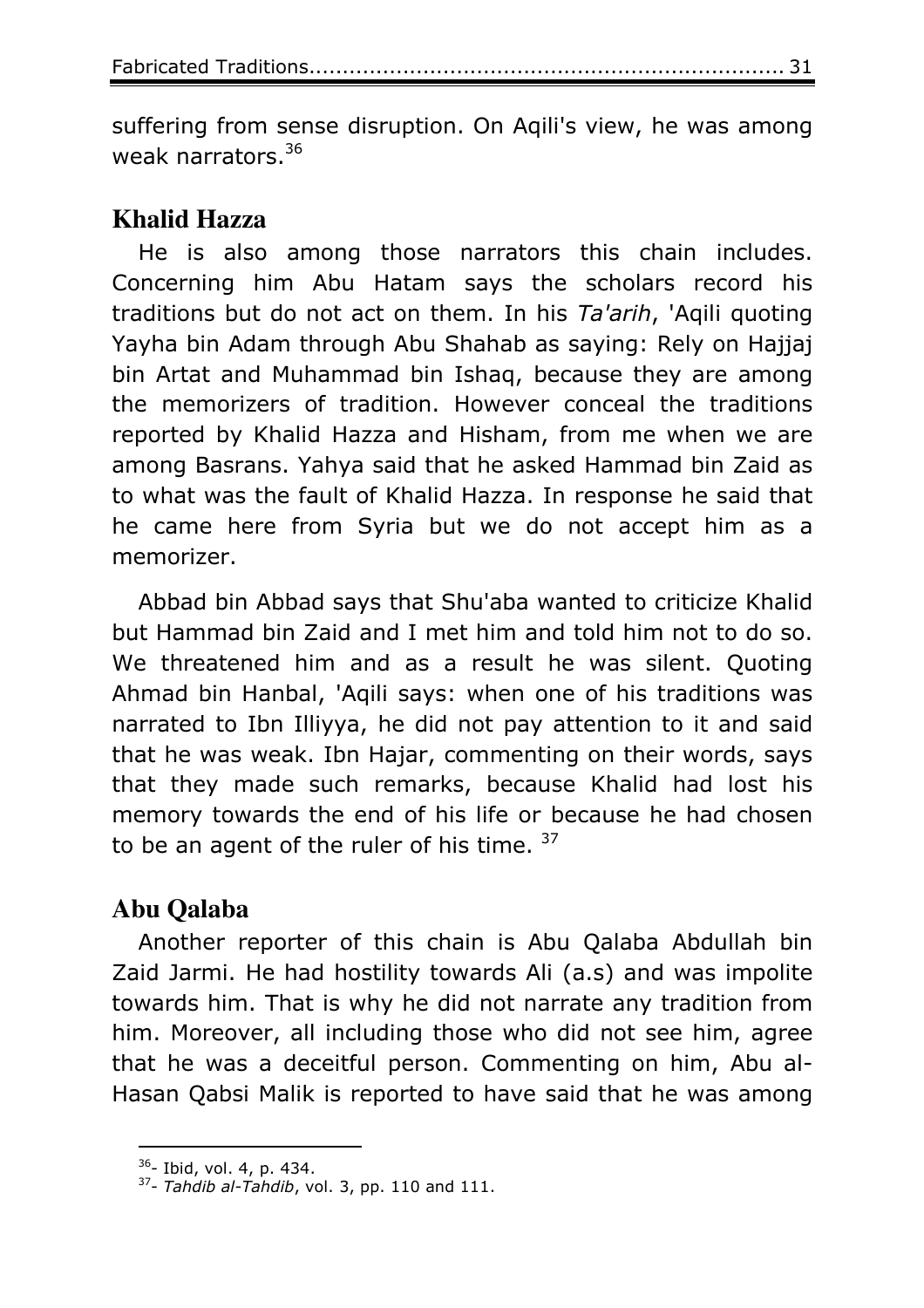suffering from sense disruption. On Aqili's view, he was among weak narrators.<sup>36</sup>

### **Khalid Hazza**

He is also among those narrators this chain includes. Concerning him Abu Hatam says the scholars record his traditions but do not act on them. In his *Ta'arih*, 'Aqili quoting Yayha bin Adam through Abu Shahab as saying: Rely on Hajjaj bin Artat and Muhammad bin Ishaq, because they are among the memorizers of tradition. However conceal the traditions reported by Khalid Hazza and Hisham, from me when we are among Basrans. Yahya said that he asked Hammad bin Zaid as to what was the fault of Khalid Hazza. In response he said that he came here from Syria but we do not accept him as a memorizer.

Abbad bin Abbad says that Shu'aba wanted to criticize Khalid but Hammad bin Zaid and I met him and told him not to do so. We threatened him and as a result he was silent. Quoting Ahmad bin Hanbal, 'Aqili says: when one of his traditions was narrated to Ibn Illiyya, he did not pay attention to it and said that he was weak. Ibn Hajar, commenting on their words, says that they made such remarks, because Khalid had lost his memory towards the end of his life or because he had chosen to be an agent of the ruler of his time.  $37$ 

### **Abu Qalaba**

Another reporter of this chain is Abu Qalaba Abdullah bin Zaid Jarmi. He had hostility towards Ali (a.s) and was impolite towards him. That is why he did not narrate any tradition from him. Moreover, all including those who did not see him, agree that he was a deceitful person. Commenting on him, Abu al-Hasan Qabsi Malik is reported to have said that he was among

 $\overline{a}$  $36$ - Ibid, vol. 4, p. 434.

<sup>37</sup> - *Tahdib al-Tahdib*, vol. 3, pp. 110 and 111.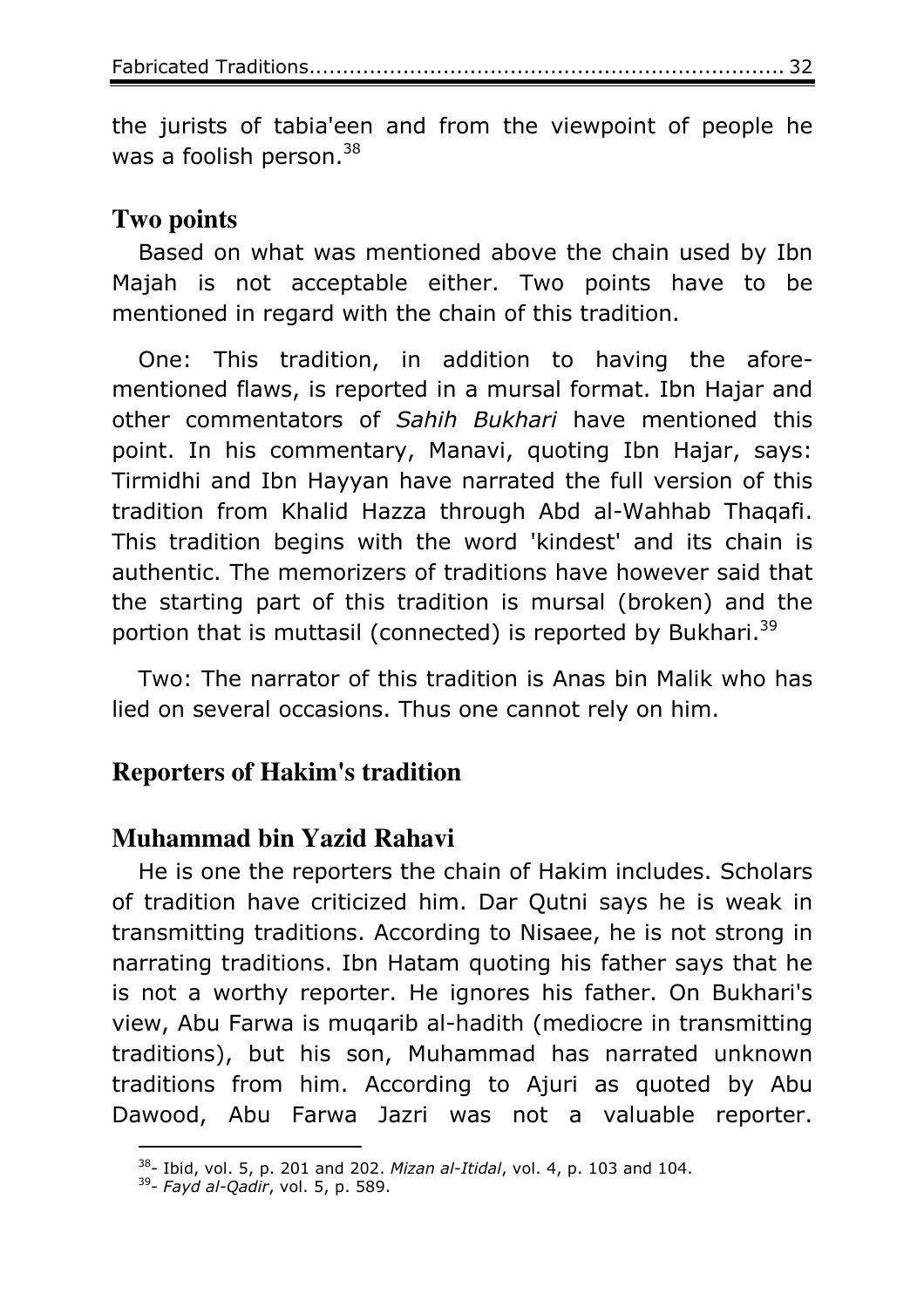the jurists of tabia'een and from the viewpoint of people he was a foolish person.<sup>38</sup>

### **Two points**

Based on what was mentioned above the chain used by Ibn Majah is not acceptable either. Two points have to be mentioned in regard with the chain of this tradition.

One: This tradition, in addition to having the aforementioned flaws, is reported in a mursal format. Ibn Hajar and other commentators of *Sahih Bukhari* have mentioned this point. In his commentary, Manavi, quoting Ibn Hajar, says: Tirmidhi and Ibn Hayyan have narrated the full version of this tradition from Khalid Hazza through Abd al-Wahhab Thaqafi. This tradition begins with the word 'kindest' and its chain is authentic. The memorizers of traditions have however said that the starting part of this tradition is mursal (broken) and the portion that is muttasil (connected) is reported by Bukhari.<sup>39</sup>

Two: The narrator of this tradition is Anas bin Malik who has lied on several occasions. Thus one cannot rely on him.

### **Reporters of Hakim's tradition**

### **Muhammad bin Yazid Rahavi**

He is one the reporters the chain of Hakim includes. Scholars of tradition have criticized him. Dar Qutni says he is weak in transmitting traditions. According to Nisaee, he is not strong in narrating traditions. Ibn Hatam quoting his father says that he is not a worthy reporter. He ignores his father. On Bukhari's view, Abu Farwa is muqarib al-hadith (mediocre in transmitting traditions), but his son, Muhammad has narrated unknown traditions from him. According to Ajuri as quoted by Abu Dawood, Abu Farwa Jazri was not a valuable reporter.

 $\overline{a}$ <sup>38</sup>- Ibid, vol. 5, p. 201 and 202. *Mizan al-Itidal*, vol. 4, p. 103 and 104.

<sup>39</sup> - *Fayd al-Qadir*, vol. 5, p. 589.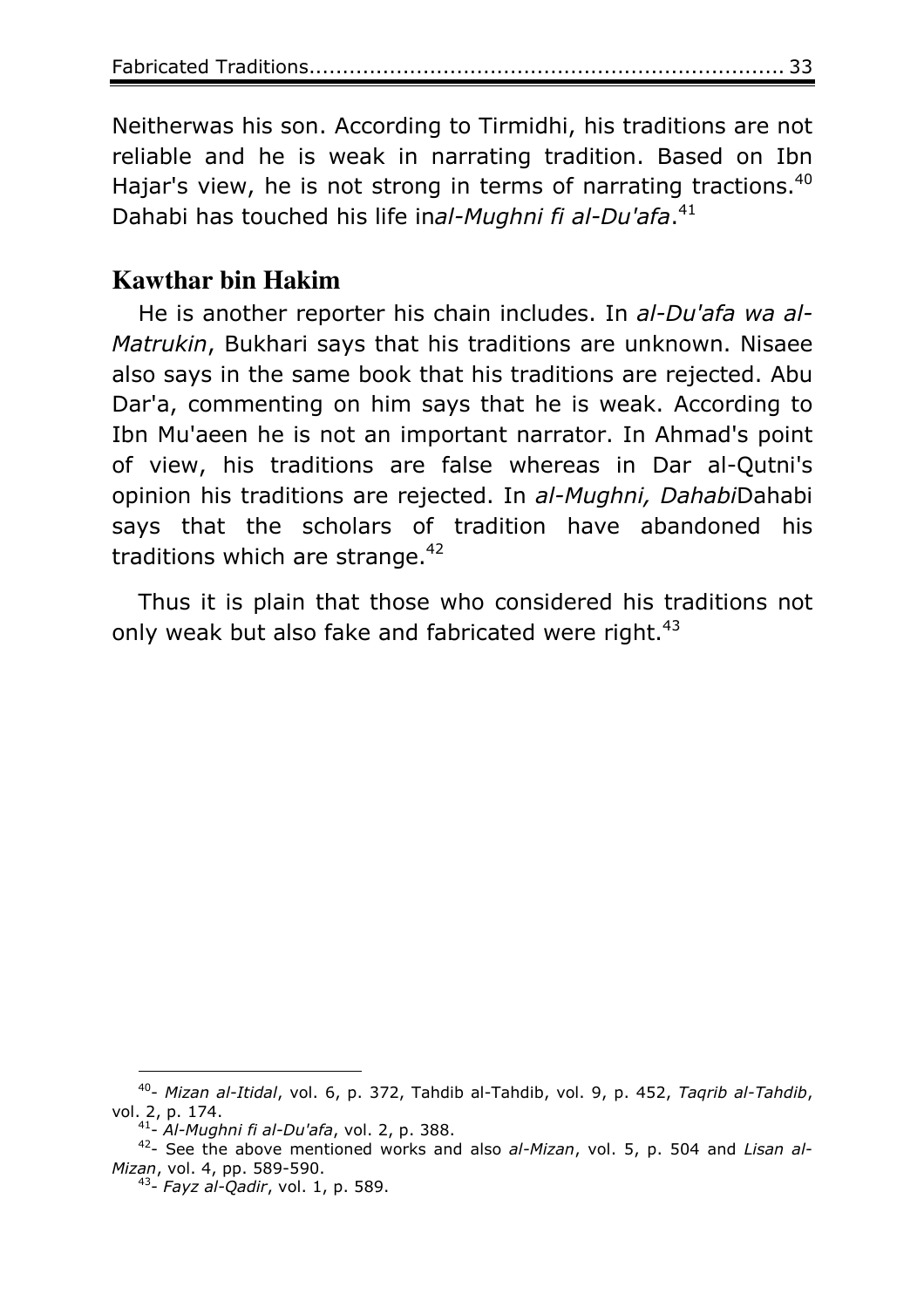Neitherwas his son. According to Tirmidhi, his traditions are not reliable and he is weak in narrating tradition. Based on Ibn Hajar's view, he is not strong in terms of narrating tractions.<sup>40</sup> Dahabi has touched his life in*al-Mughni fi al-Du'afa*. 41

### **Kawthar bin Hakim**

He is another reporter his chain includes. In *al-Du'afa wa al-Matrukin*, Bukhari says that his traditions are unknown. Nisaee also says in the same book that his traditions are rejected. Abu Dar'a, commenting on him says that he is weak. According to Ibn Mu'aeen he is not an important narrator. In Ahmad's point of view, his traditions are false whereas in Dar al-Qutni's opinion his traditions are rejected. In *al-Mughni, Dahabi*Dahabi says that the scholars of tradition have abandoned his traditions which are strange.<sup>42</sup>

Thus it is plain that those who considered his traditions not only weak but also fake and fabricated were right.<sup>43</sup>

 $\overline{a}$ 

<sup>40</sup> - *Mizan al-Itidal*, vol. 6, p. 372, Tahdib al-Tahdib, vol. 9, p. 452, *Taqrib al-Tahdib*, vol. 2, p. 174.

<sup>41</sup> - *Al-Mughni fi al-Du'afa*, vol. 2, p. 388.

<sup>42</sup>- See the above mentioned works and also *al-Mizan*, vol. 5, p. 504 and *Lisan al-Mizan*, vol. 4, pp. 589-590.

<sup>43</sup> - *Fayz al-Qadir*, vol. 1, p. 589.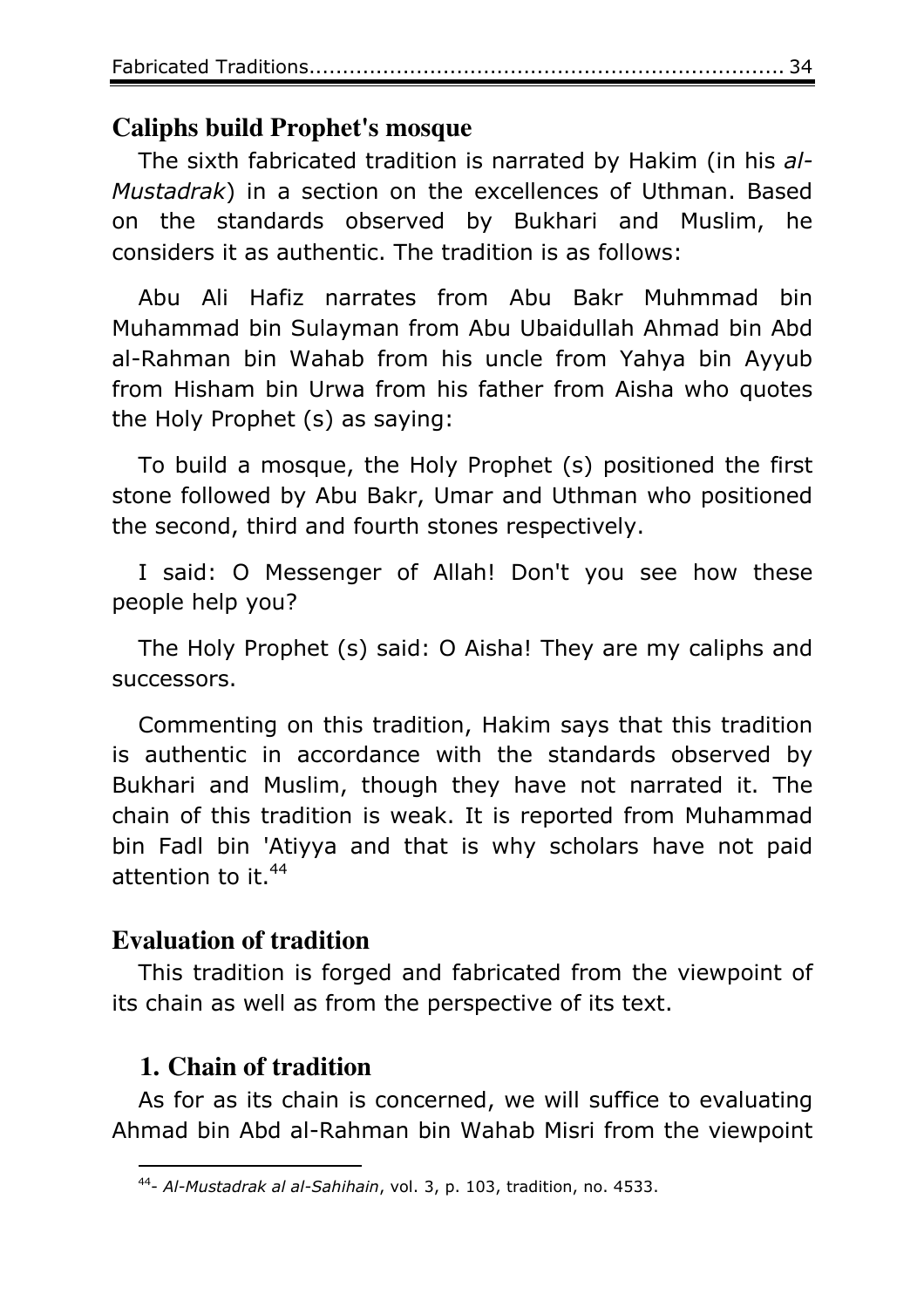|--|

#### **Caliphs build Prophet's mosque**

The sixth fabricated tradition is narrated by Hakim (in his *al-Mustadrak*) in a section on the excellences of Uthman. Based on the standards observed by Bukhari and Muslim, he considers it as authentic. The tradition is as follows:

Abu Ali Hafiz narrates from Abu Bakr Muhmmad bin Muhammad bin Sulayman from Abu Ubaidullah Ahmad bin Abd al-Rahman bin Wahab from his uncle from Yahya bin Ayyub from Hisham bin Urwa from his father from Aisha who quotes the Holy Prophet (s) as saying:

To build a mosque, the Holy Prophet (s) positioned the first stone followed by Abu Bakr, Umar and Uthman who positioned the second, third and fourth stones respectively.

I said: O Messenger of Allah! Don't you see how these people help you?

The Holy Prophet (s) said: O Aisha! They are my caliphs and successors.

Commenting on this tradition, Hakim says that this tradition is authentic in accordance with the standards observed by Bukhari and Muslim, though they have not narrated it. The chain of this tradition is weak. It is reported from Muhammad bin Fadl bin 'Atiyya and that is why scholars have not paid attention to it. $44$ 

#### **Evaluation of tradition**

This tradition is forged and fabricated from the viewpoint of its chain as well as from the perspective of its text.

### **1. Chain of tradition**

As for as its chain is concerned, we will suffice to evaluating Ahmad bin Abd al-Rahman bin Wahab Misri from the viewpoint

<sup>1</sup> 44 - *Al-Mustadrak al al-Sahihain*, vol. 3, p. 103, tradition, no. 4533.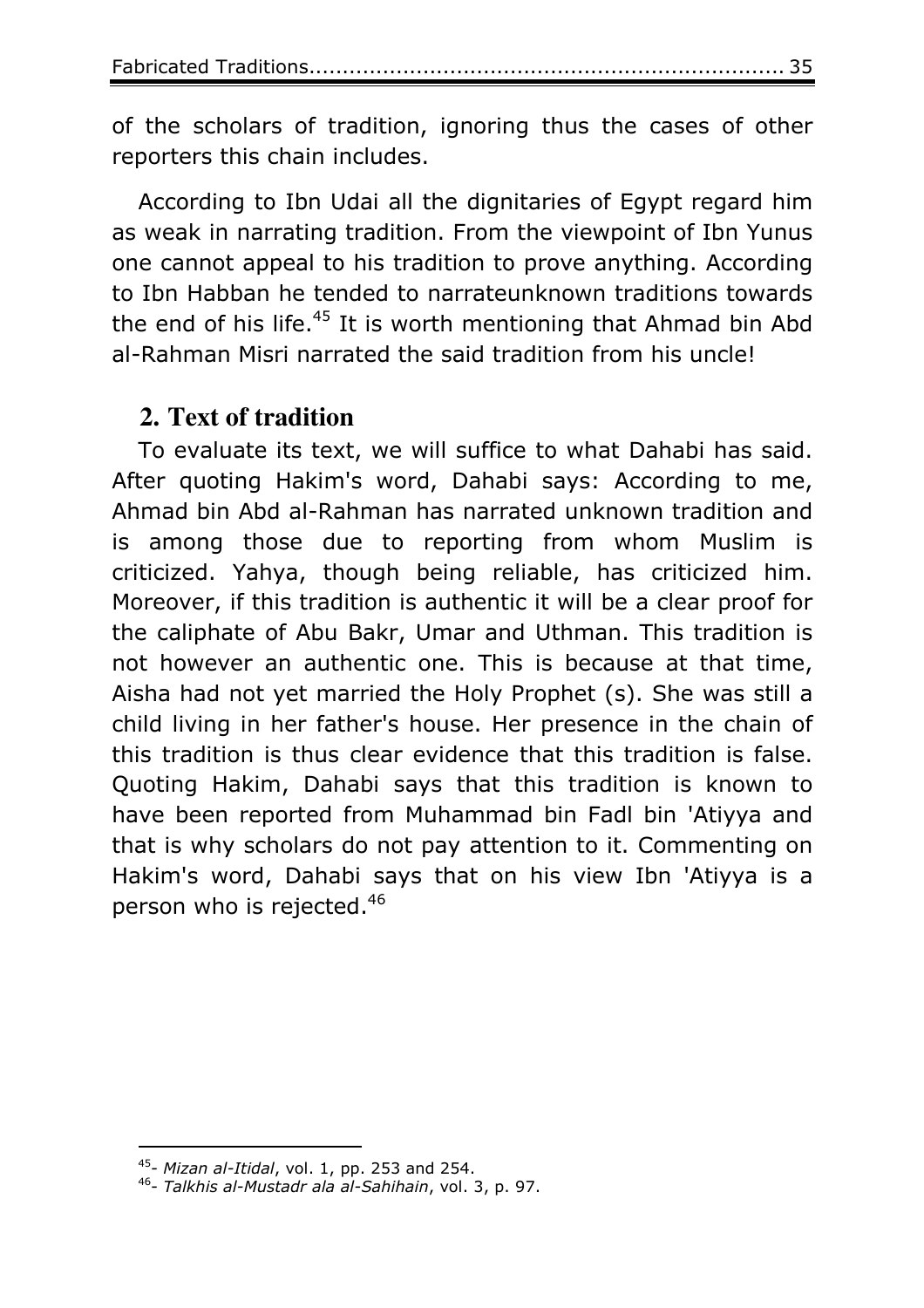of the scholars of tradition, ignoring thus the cases of other reporters this chain includes.

According to Ibn Udai all the dignitaries of Egypt regard him as weak in narrating tradition. From the viewpoint of Ibn Yunus one cannot appeal to his tradition to prove anything. According to Ibn Habban he tended to narrateunknown traditions towards the end of his life.<sup>45</sup> It is worth mentioning that Ahmad bin Abd al-Rahman Misri narrated the said tradition from his uncle!

## **2. Text of tradition**

To evaluate its text, we will suffice to what Dahabi has said. After quoting Hakim's word, Dahabi says: According to me, Ahmad bin Abd al-Rahman has narrated unknown tradition and is among those due to reporting from whom Muslim is criticized. Yahya, though being reliable, has criticized him. Moreover, if this tradition is authentic it will be a clear proof for the caliphate of Abu Bakr, Umar and Uthman. This tradition is not however an authentic one. This is because at that time, Aisha had not yet married the Holy Prophet (s). She was still a child living in her father's house. Her presence in the chain of this tradition is thus clear evidence that this tradition is false. Quoting Hakim, Dahabi says that this tradition is known to have been reported from Muhammad bin Fadl bin 'Atiyya and that is why scholars do not pay attention to it. Commenting on Hakim's word, Dahabi says that on his view Ibn 'Atiyya is a person who is rejected.<sup>46</sup>

 $\overline{a}$ 45 - *Mizan al-Itidal*, vol. 1, pp. 253 and 254.

<sup>46</sup> - *Talkhis al-Mustadr ala al-Sahihain*, vol. 3, p. 97.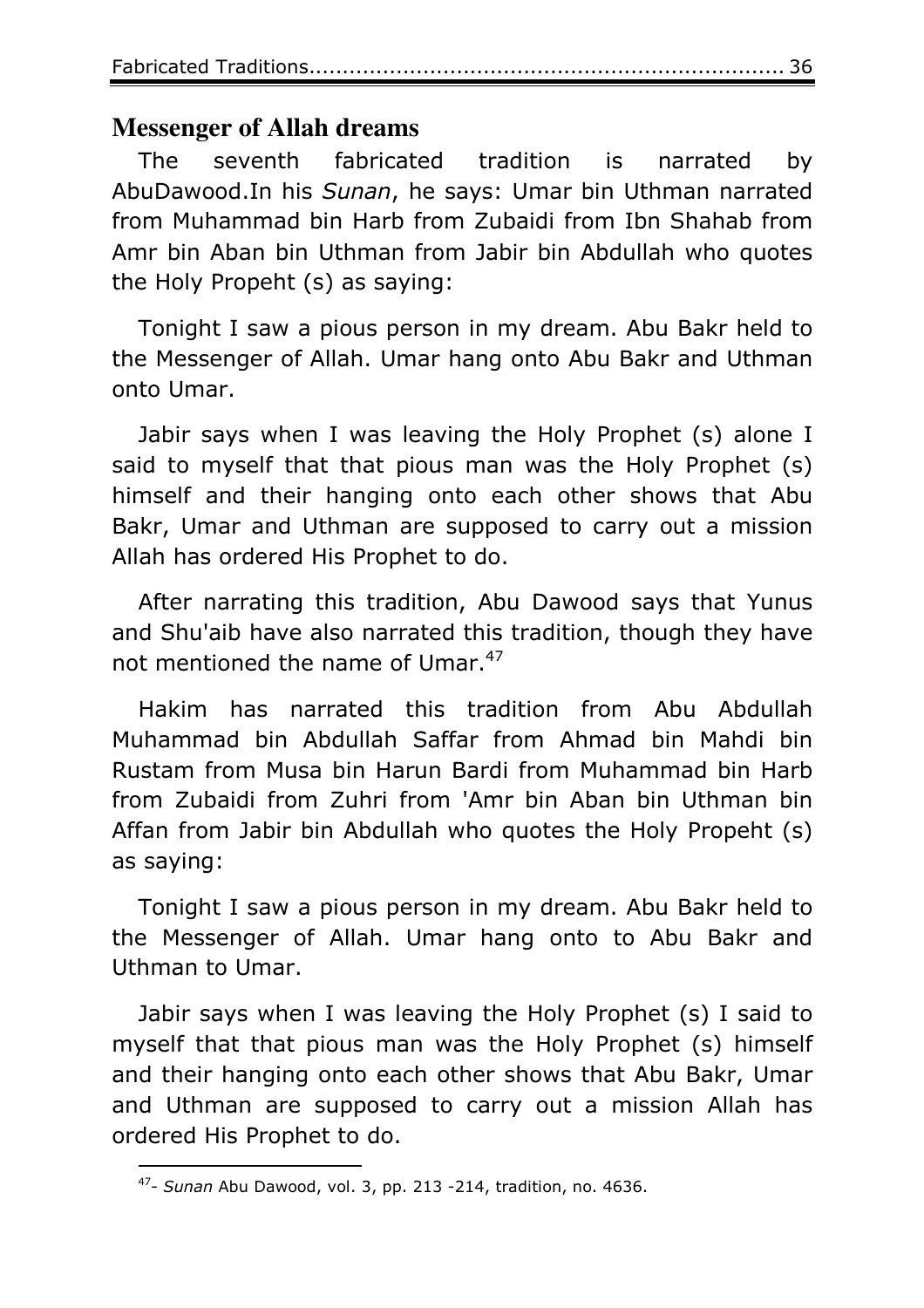|--|--|

#### **Messenger of Allah dreams**

The seventh fabricated tradition is narrated by AbuDawood.In his *Sunan*, he says: Umar bin Uthman narrated from Muhammad bin Harb from Zubaidi from Ibn Shahab from Amr bin Aban bin Uthman from Jabir bin Abdullah who quotes the Holy Propeht (s) as saying:

Tonight I saw a pious person in my dream. Abu Bakr held to the Messenger of Allah. Umar hang onto Abu Bakr and Uthman onto Umar.

Jabir says when I was leaving the Holy Prophet (s) alone I said to myself that that pious man was the Holy Prophet (s) himself and their hanging onto each other shows that Abu Bakr, Umar and Uthman are supposed to carry out a mission Allah has ordered His Prophet to do.

After narrating this tradition, Abu Dawood says that Yunus and Shu'aib have also narrated this tradition, though they have not mentioned the name of Umar.<sup>47</sup>

Hakim has narrated this tradition from Abu Abdullah Muhammad bin Abdullah Saffar from Ahmad bin Mahdi bin Rustam from Musa bin Harun Bardi from Muhammad bin Harb from Zubaidi from Zuhri from 'Amr bin Aban bin Uthman bin Affan from Jabir bin Abdullah who quotes the Holy Propeht (s) as saying:

Tonight I saw a pious person in my dream. Abu Bakr held to the Messenger of Allah. Umar hang onto to Abu Bakr and Uthman to Umar.

Jabir says when I was leaving the Holy Prophet (s) I said to myself that that pious man was the Holy Prophet (s) himself and their hanging onto each other shows that Abu Bakr, Umar and Uthman are supposed to carry out a mission Allah has ordered His Prophet to do.

 47 - *Sunan* Abu Dawood, vol. 3, pp. 213 -214, tradition, no. 4636.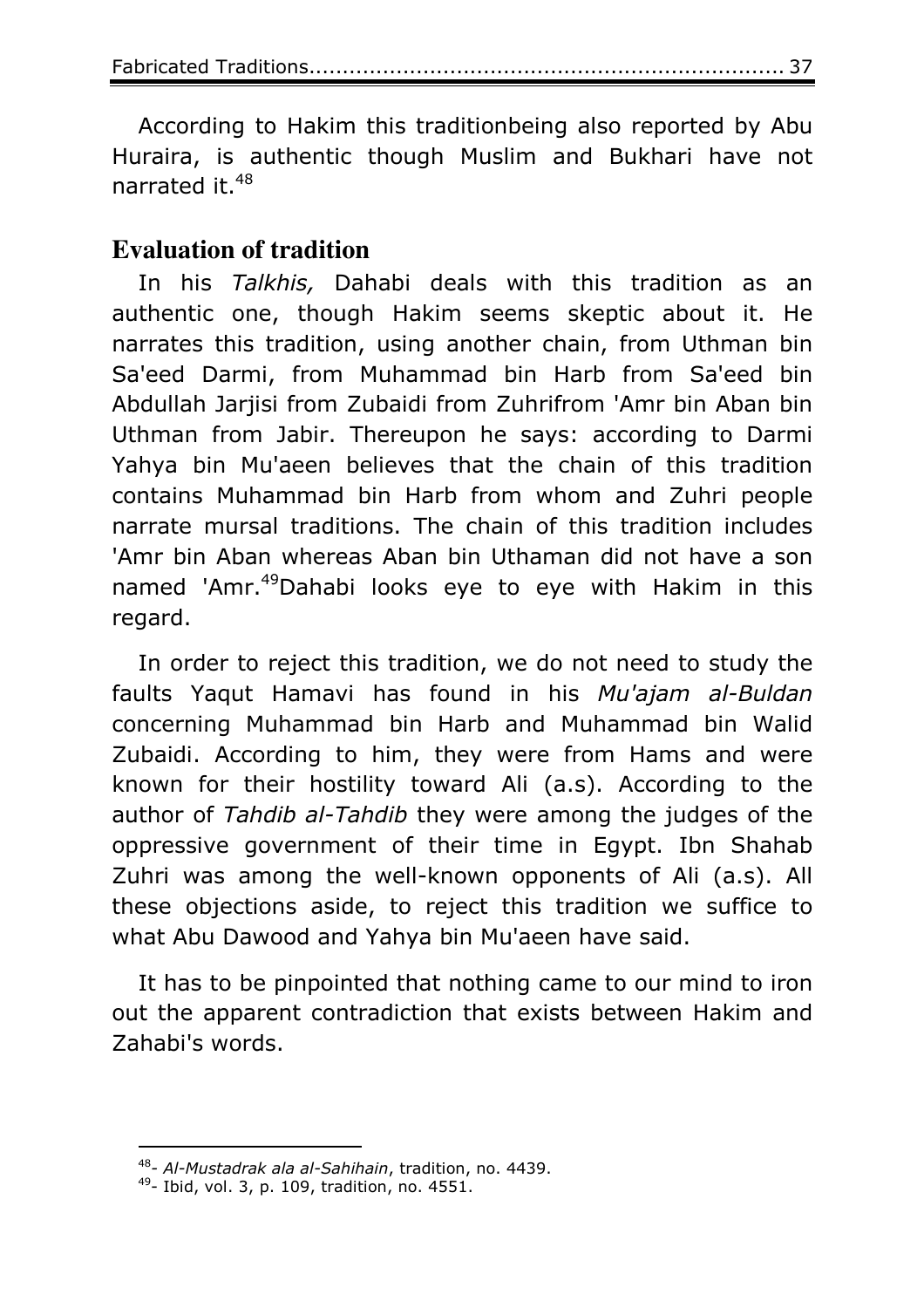According to Hakim this traditionbeing also reported by Abu Huraira, is authentic though Muslim and Bukhari have not narrated it.<sup>48</sup>

### **Evaluation of tradition**

In his *Talkhis,* Dahabi deals with this tradition as an authentic one, though Hakim seems skeptic about it. He narrates this tradition, using another chain, from Uthman bin Sa'eed Darmi, from Muhammad bin Harb from Sa'eed bin Abdullah Jarjisi from Zubaidi from Zuhrifrom 'Amr bin Aban bin Uthman from Jabir. Thereupon he says: according to Darmi Yahya bin Mu'aeen believes that the chain of this tradition contains Muhammad bin Harb from whom and Zuhri people narrate mursal traditions. The chain of this tradition includes 'Amr bin Aban whereas Aban bin Uthaman did not have a son named 'Amr.<sup>49</sup>Dahabi looks eye to eye with Hakim in this regard.

In order to reject this tradition, we do not need to study the faults Yaqut Hamavi has found in his *Mu'ajam al-Buldan* concerning Muhammad bin Harb and Muhammad bin Walid Zubaidi. According to him, they were from Hams and were known for their hostility toward Ali (a.s). According to the author of *Tahdib al-Tahdib* they were among the judges of the oppressive government of their time in Egypt. Ibn Shahab Zuhri was among the well-known opponents of Ali (a.s). All these objections aside, to reject this tradition we suffice to what Abu Dawood and Yahya bin Mu'aeen have said.

It has to be pinpointed that nothing came to our mind to iron out the apparent contradiction that exists between Hakim and Zahabi's words.

 $\overline{a}$ <sup>48</sup>*- Al-Mustadrak ala al-Sahihain*, tradition, no. 4439.

<sup>49</sup>- Ibid, vol. 3, p. 109, tradition, no. 4551.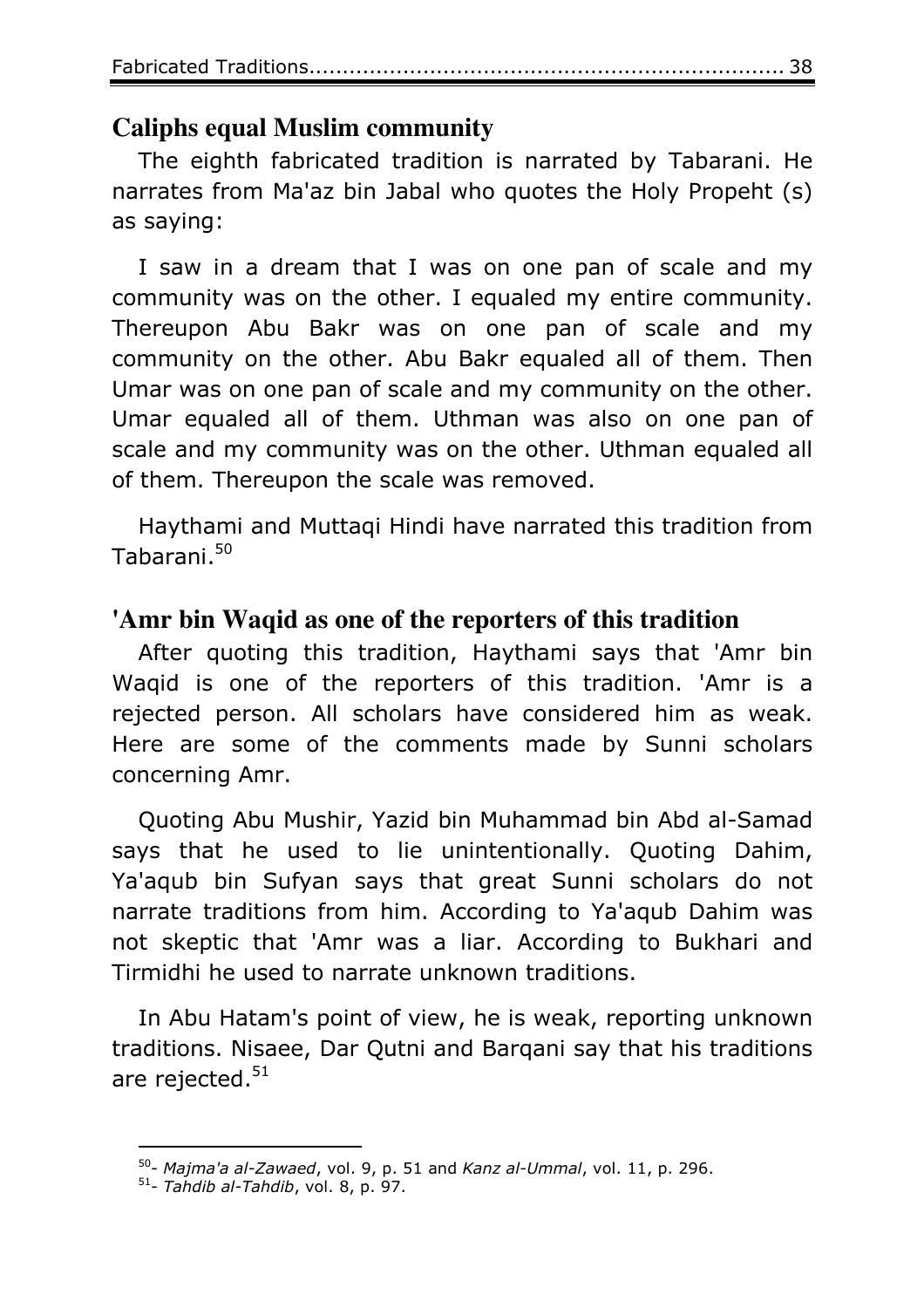|--|--|--|

#### **Caliphs equal Muslim community**

The eighth fabricated tradition is narrated by Tabarani. He narrates from Ma'az bin Jabal who quotes the Holy Propeht (s) as saying:

I saw in a dream that I was on one pan of scale and my community was on the other. I equaled my entire community. Thereupon Abu Bakr was on one pan of scale and my community on the other. Abu Bakr equaled all of them. Then Umar was on one pan of scale and my community on the other. Umar equaled all of them. Uthman was also on one pan of scale and my community was on the other. Uthman equaled all of them. Thereupon the scale was removed.

Haythami and Muttaqi Hindi have narrated this tradition from Tabarani.<sup>50</sup>

#### **'Amr bin Waqid as one of the reporters of this tradition**

After quoting this tradition, Haythami says that 'Amr bin Waqid is one of the reporters of this tradition. 'Amr is a rejected person. All scholars have considered him as weak. Here are some of the comments made by Sunni scholars concerning Amr.

Quoting Abu Mushir, Yazid bin Muhammad bin Abd al-Samad says that he used to lie unintentionally. Quoting Dahim, Ya'aqub bin Sufyan says that great Sunni scholars do not narrate traditions from him. According to Ya'aqub Dahim was not skeptic that 'Amr was a liar. According to Bukhari and Tirmidhi he used to narrate unknown traditions.

In Abu Hatam's point of view, he is weak, reporting unknown traditions. Nisaee, Dar Qutni and Barqani say that his traditions are rejected.<sup>51</sup>

 $\overline{a}$ 

<sup>50</sup> - *Majma'a al-Zawaed*, vol. 9, p. 51 and *Kanz al-Ummal*, vol. 11, p. 296.

<sup>51</sup> - *Tahdib al-Tahdib*, vol. 8, p. 97.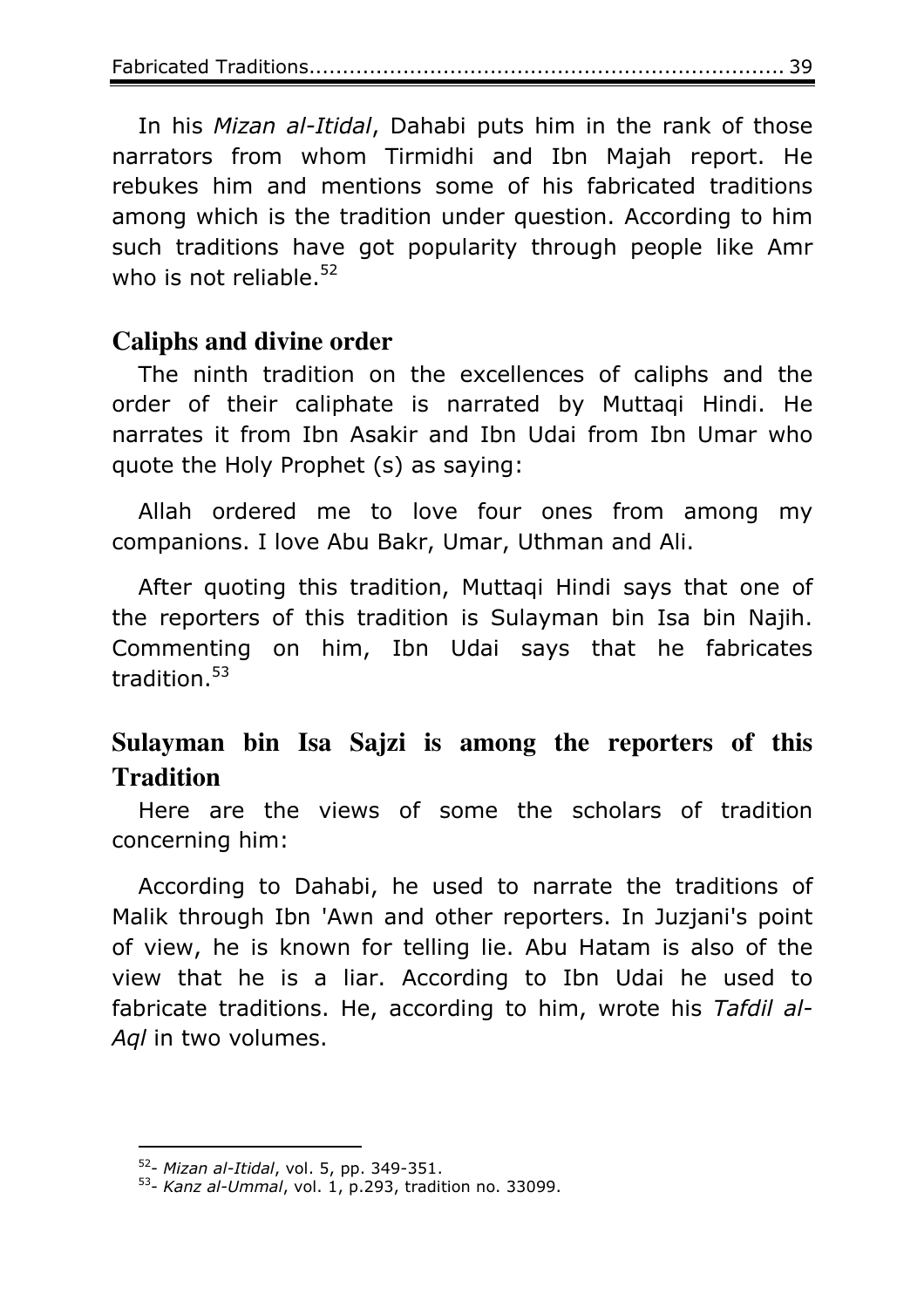|--|--|

In his *Mizan al-Itidal*, Dahabi puts him in the rank of those narrators from whom Tirmidhi and Ibn Majah report. He rebukes him and mentions some of his fabricated traditions among which is the tradition under question. According to him such traditions have got popularity through people like Amr who is not reliable. $52$ 

### **Caliphs and divine order**

The ninth tradition on the excellences of caliphs and the order of their caliphate is narrated by Muttaqi Hindi. He narrates it from Ibn Asakir and Ibn Udai from Ibn Umar who quote the Holy Prophet (s) as saying:

Allah ordered me to love four ones from among my companions. I love Abu Bakr, Umar, Uthman and Ali.

After quoting this tradition, Muttaqi Hindi says that one of the reporters of this tradition is Sulayman bin Isa bin Najih. Commenting on him, Ibn Udai says that he fabricates tradition.<sup>53</sup>

# **Sulayman bin Isa Sajzi is among the reporters of this Tradition**

Here are the views of some the scholars of tradition concerning him:

According to Dahabi, he used to narrate the traditions of Malik through Ibn 'Awn and other reporters. In Juzjani's point of view, he is known for telling lie. Abu Hatam is also of the view that he is a liar. According to Ibn Udai he used to fabricate traditions. He, according to him, wrote his *Tafdil al-*Agl in two volumes.

 $\overline{a}$ 52 - *Mizan al-Itidal*, vol. 5, pp. 349-351.

<sup>53</sup> - *Kanz al-Ummal*, vol. 1, p.293, tradition no. 33099.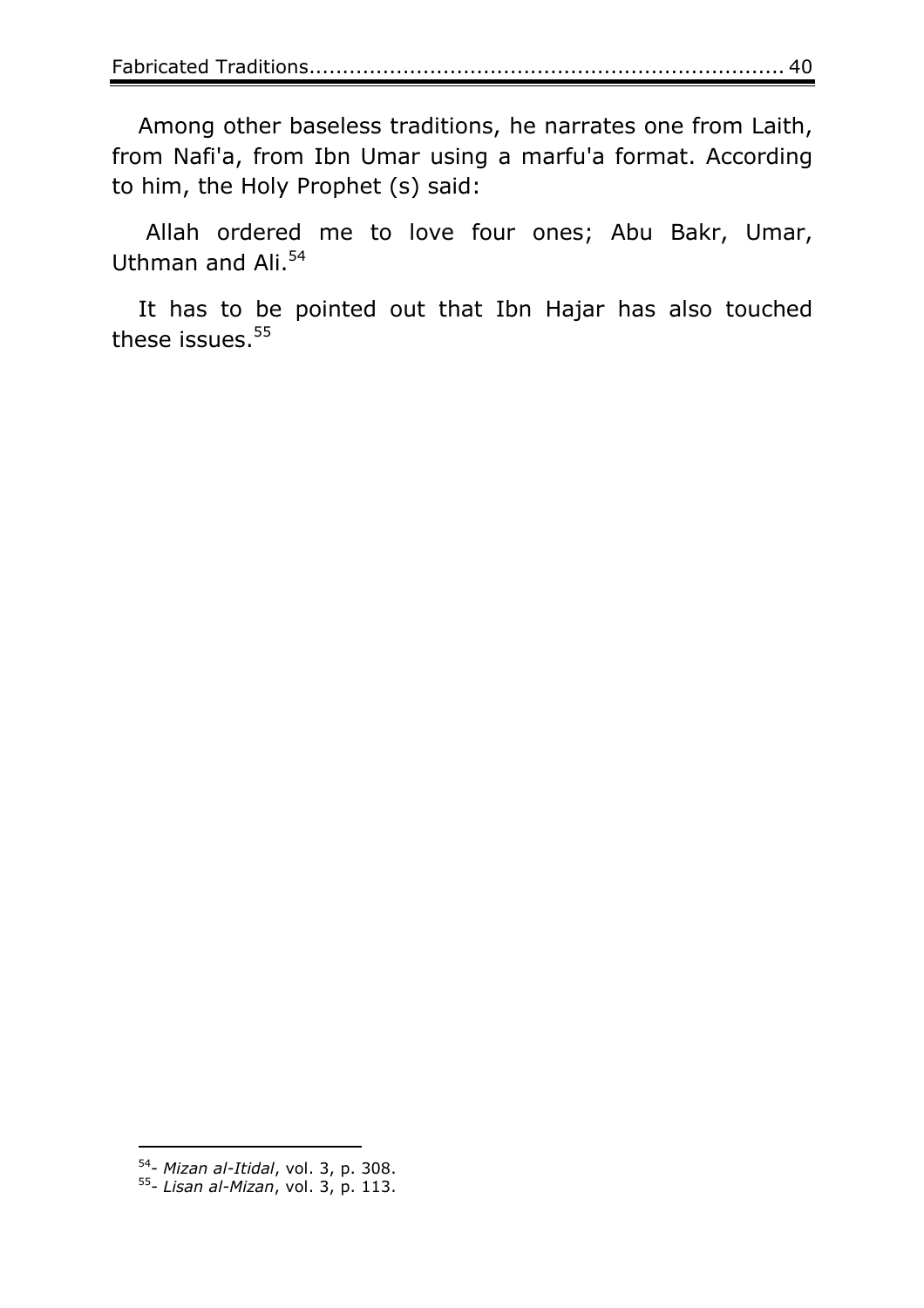Among other baseless traditions, he narrates one from Laith, from Nafi'a, from Ibn Umar using a marfu'a format. According to him, the Holy Prophet (s) said:

 Allah ordered me to love four ones; Abu Bakr, Umar, Uthman and Ali.<sup>54</sup>

It has to be pointed out that Ibn Hajar has also touched these issues.<sup>55</sup>

 54 - *Mizan al-Itidal*, vol. 3, p. 308.

<sup>55</sup>*- Lisan al-Mizan*, vol. 3, p. 113.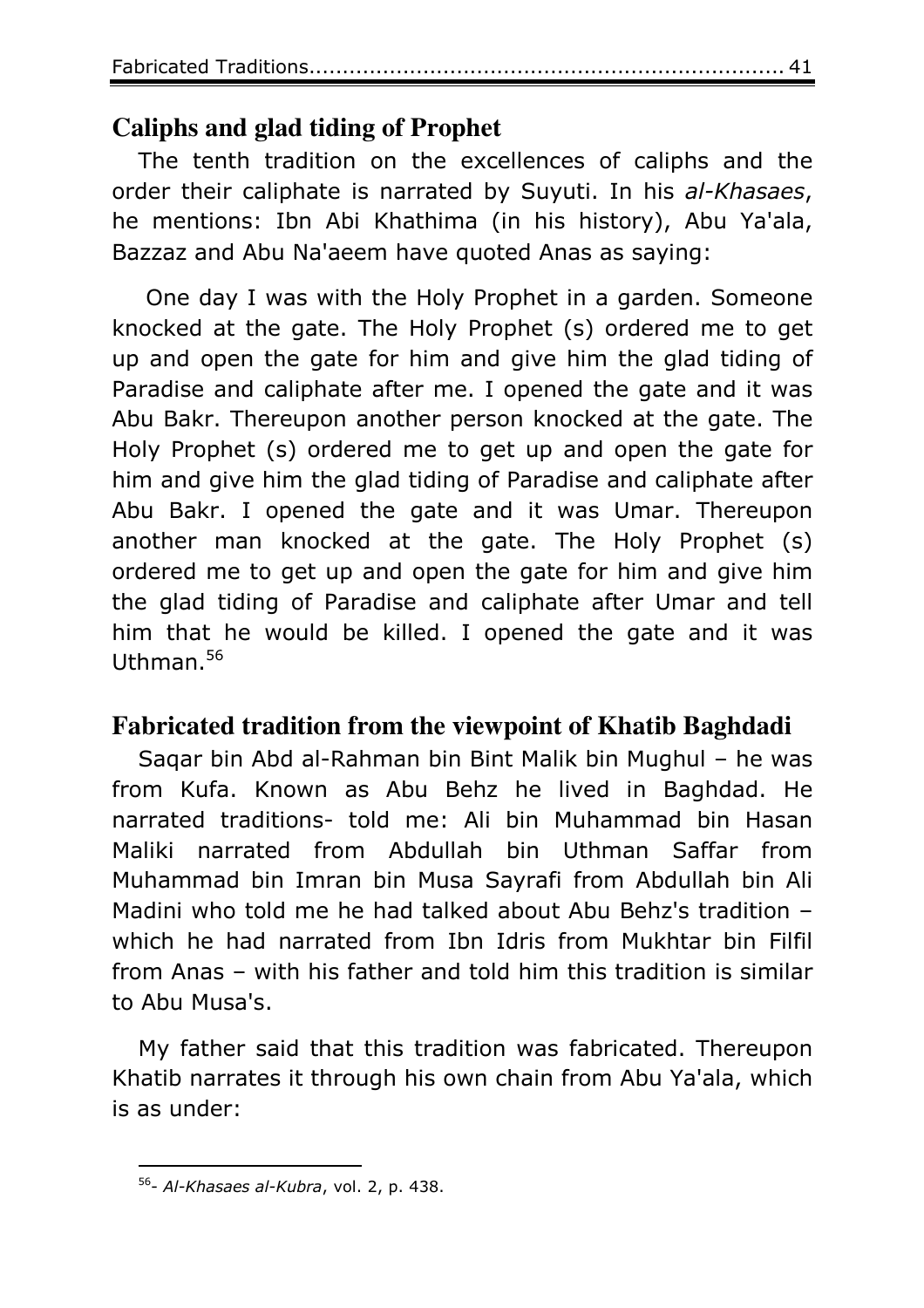|--|--|

### **Caliphs and glad tiding of Prophet**

The tenth tradition on the excellences of caliphs and the order their caliphate is narrated by Suyuti. In his *al-Khasaes*, he mentions: Ibn Abi Khathima (in his history), Abu Ya'ala, Bazzaz and Abu Na'aeem have quoted Anas as saying:

 One day I was with the Holy Prophet in a garden. Someone knocked at the gate. The Holy Prophet (s) ordered me to get up and open the gate for him and give him the glad tiding of Paradise and caliphate after me. I opened the gate and it was Abu Bakr. Thereupon another person knocked at the gate. The Holy Prophet (s) ordered me to get up and open the gate for him and give him the glad tiding of Paradise and caliphate after Abu Bakr. I opened the gate and it was Umar. Thereupon another man knocked at the gate. The Holy Prophet (s) ordered me to get up and open the gate for him and give him the glad tiding of Paradise and caliphate after Umar and tell him that he would be killed. I opened the gate and it was Uthman.<sup>56</sup>

### **Fabricated tradition from the viewpoint of Khatib Baghdadi**

Saqar bin Abd al-Rahman bin Bint Malik bin Mughul – he was from Kufa. Known as Abu Behz he lived in Baghdad. He narrated traditions- told me: Ali bin Muhammad bin Hasan Maliki narrated from Abdullah bin Uthman Saffar from Muhammad bin Imran bin Musa Sayrafi from Abdullah bin Ali Madini who told me he had talked about Abu Behz's tradition – which he had narrated from Ibn Idris from Mukhtar bin Filfil from Anas – with his father and told him this tradition is similar to Abu Musa's.

My father said that this tradition was fabricated. Thereupon Khatib narrates it through his own chain from Abu Ya'ala, which is as under:

1

<sup>56</sup> - *Al-Khasaes al-Kubra*, vol. 2, p. 438.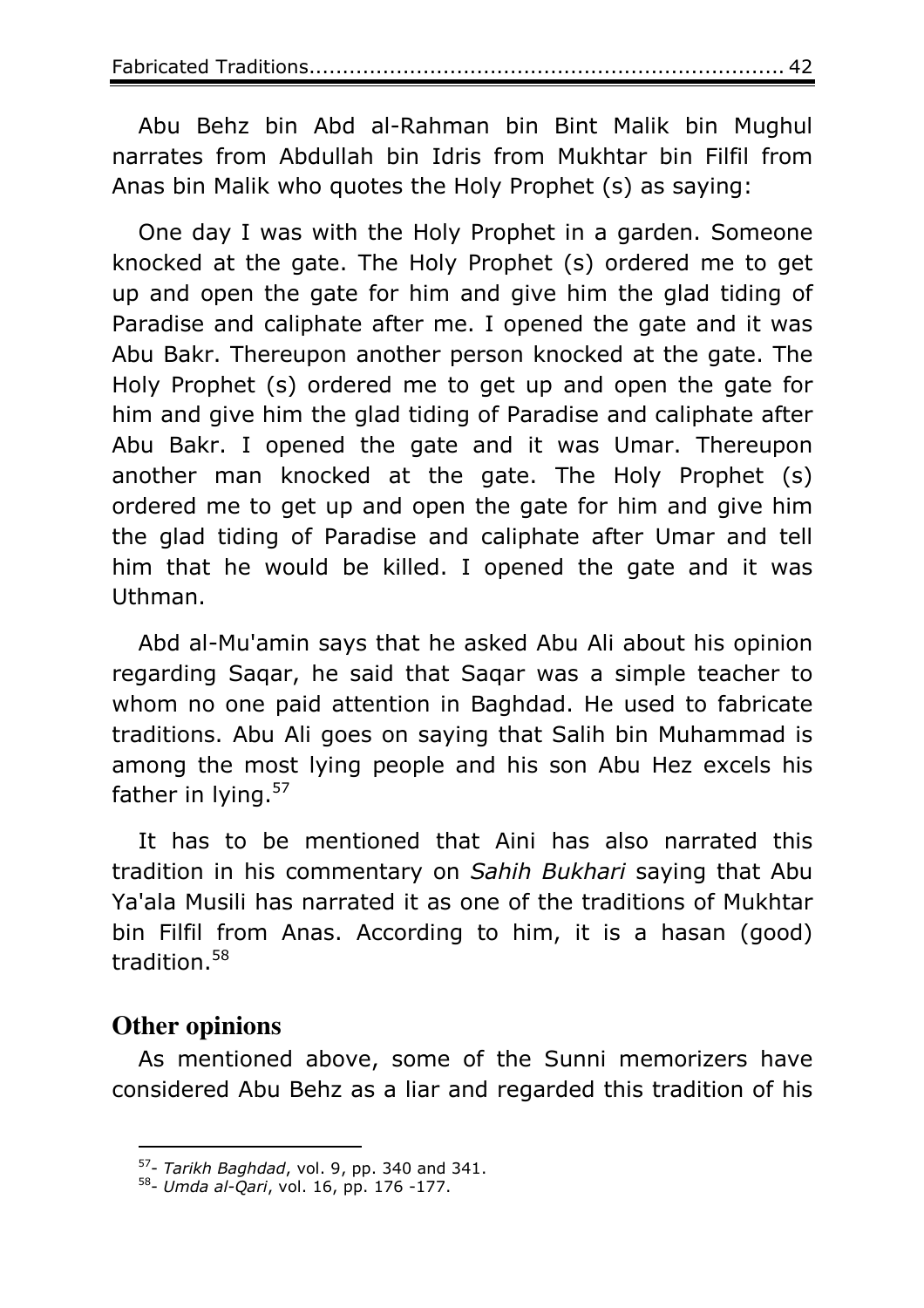|--|--|--|

Abu Behz bin Abd al-Rahman bin Bint Malik bin Mughul narrates from Abdullah bin Idris from Mukhtar bin Filfil from Anas bin Malik who quotes the Holy Prophet (s) as saying:

One day I was with the Holy Prophet in a garden. Someone knocked at the gate. The Holy Prophet (s) ordered me to get up and open the gate for him and give him the glad tiding of Paradise and caliphate after me. I opened the gate and it was Abu Bakr. Thereupon another person knocked at the gate. The Holy Prophet (s) ordered me to get up and open the gate for him and give him the glad tiding of Paradise and caliphate after Abu Bakr. I opened the gate and it was Umar. Thereupon another man knocked at the gate. The Holy Prophet (s) ordered me to get up and open the gate for him and give him the glad tiding of Paradise and caliphate after Umar and tell him that he would be killed. I opened the gate and it was Uthman.

Abd al-Mu'amin says that he asked Abu Ali about his opinion regarding Saqar, he said that Saqar was a simple teacher to whom no one paid attention in Baghdad. He used to fabricate traditions. Abu Ali goes on saying that Salih bin Muhammad is among the most lying people and his son Abu Hez excels his father in lying.<sup>57</sup>

It has to be mentioned that Aini has also narrated this tradition in his commentary on *Sahih Bukhari* saying that Abu Ya'ala Musili has narrated it as one of the traditions of Mukhtar bin Filfil from Anas. According to him, it is a hasan (good) tradition.<sup>58</sup>

#### **Other opinions**

As mentioned above, some of the Sunni memorizers have considered Abu Behz as a liar and regarded this tradition of his

 $\overline{a}$ 57 - *Tarikh Baghdad*, vol. 9, pp. 340 and 341.

<sup>58</sup> - *Umda al-Qari*, vol. 16, pp. 176 -177.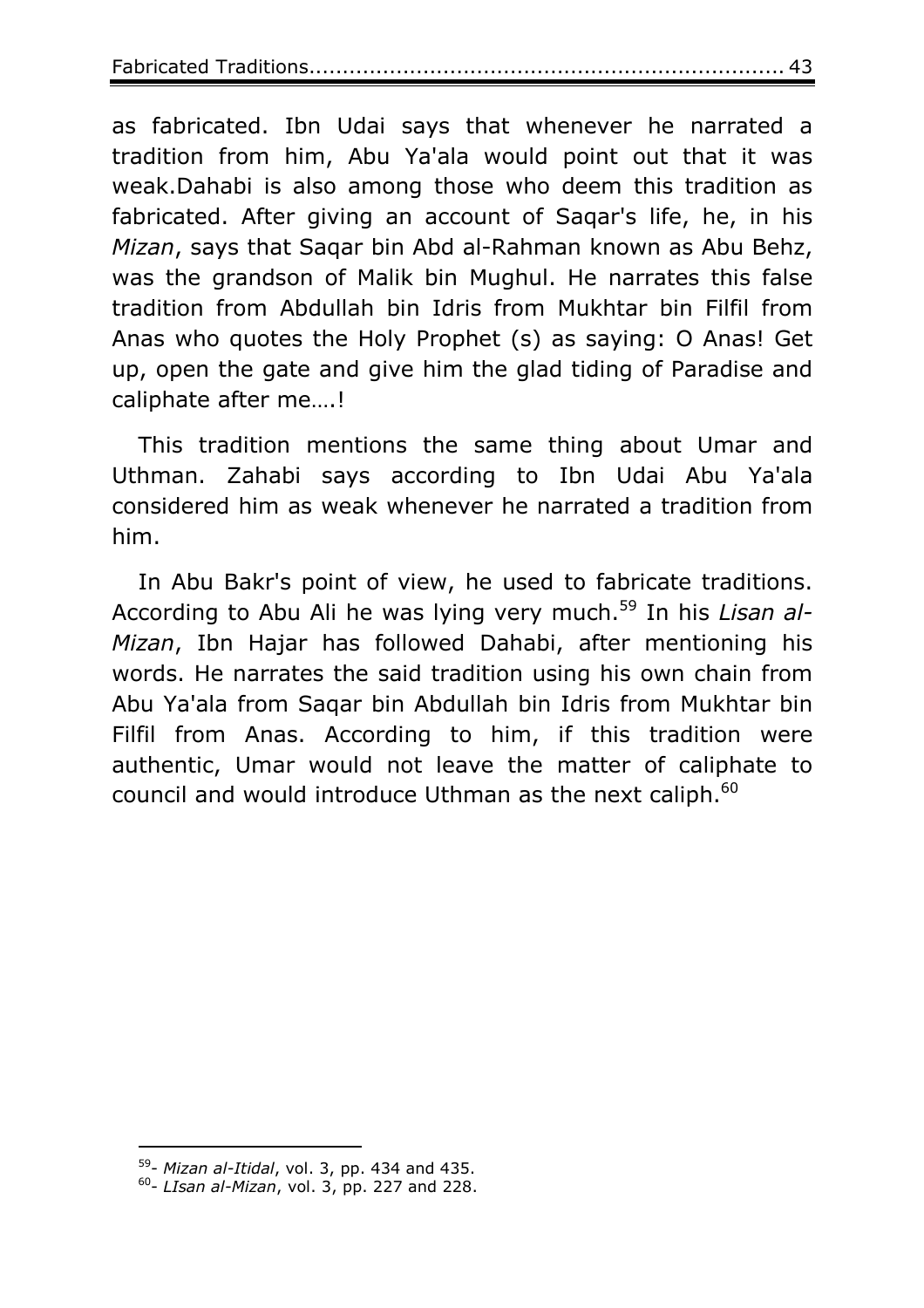|--|--|--|

as fabricated. Ibn Udai says that whenever he narrated a tradition from him, Abu Ya'ala would point out that it was weak.Dahabi is also among those who deem this tradition as fabricated. After giving an account of Saqar's life, he, in his *Mizan*, says that Saqar bin Abd al-Rahman known as Abu Behz, was the grandson of Malik bin Mughul. He narrates this false tradition from Abdullah bin Idris from Mukhtar bin Filfil from Anas who quotes the Holy Prophet (s) as saying: O Anas! Get up, open the gate and give him the glad tiding of Paradise and caliphate after me….!

This tradition mentions the same thing about Umar and Uthman. Zahabi says according to Ibn Udai Abu Ya'ala considered him as weak whenever he narrated a tradition from him.

In Abu Bakr's point of view, he used to fabricate traditions. According to Abu Ali he was lying very much.<sup>59</sup> In his *Lisan al-Mizan*, Ibn Hajar has followed Dahabi, after mentioning his words. He narrates the said tradition using his own chain from Abu Ya'ala from Saqar bin Abdullah bin Idris from Mukhtar bin Filfil from Anas. According to him, if this tradition were authentic, Umar would not leave the matter of caliphate to council and would introduce Uthman as the next caliph.<sup>60</sup>

 $\overline{a}$ 

<sup>59</sup> - *Mizan al-Itidal*, vol. 3, pp. 434 and 435.

<sup>60</sup> - *LIsan al-Mizan*, vol. 3, pp. 227 and 228.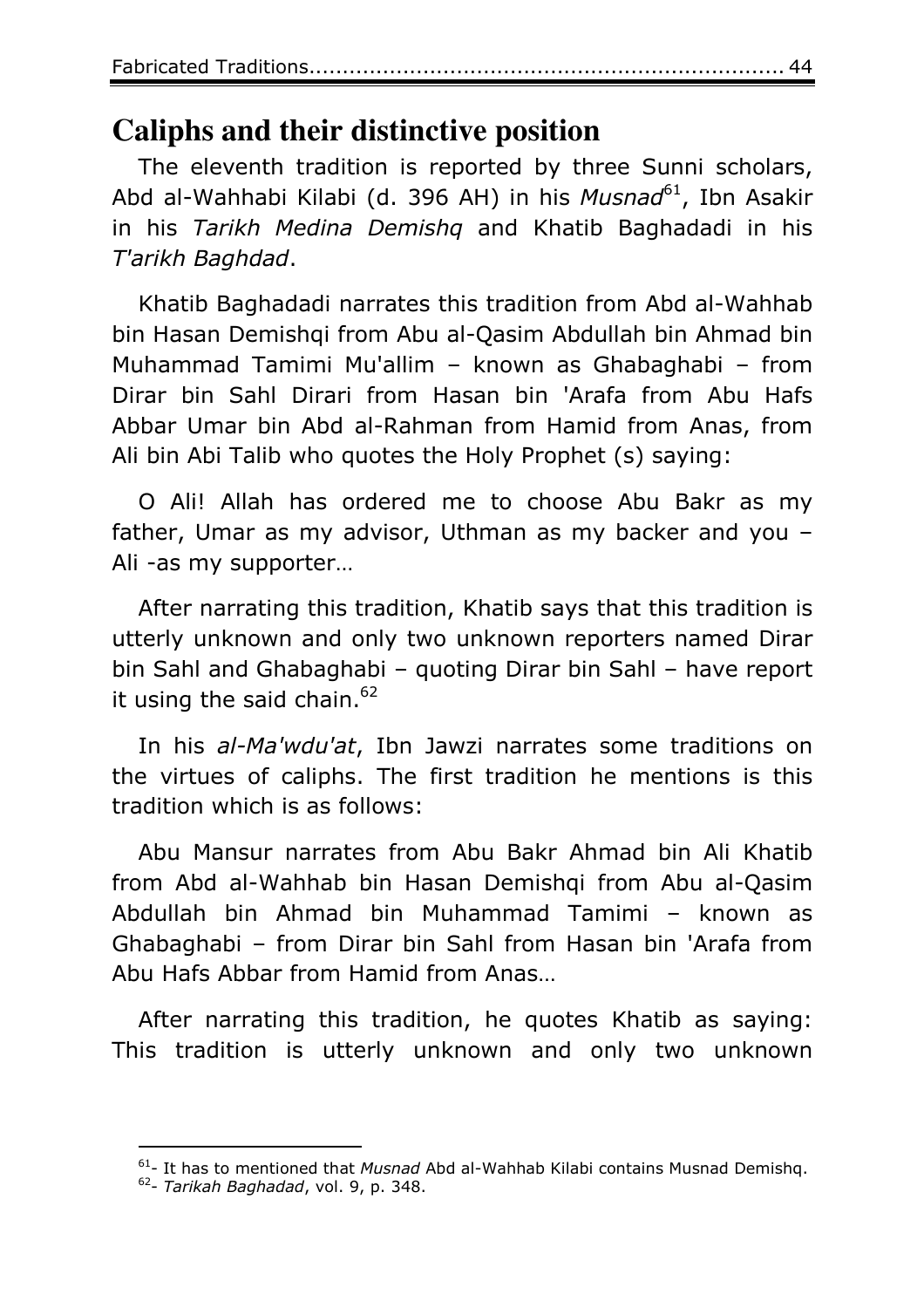# **Caliphs and their distinctive position**

The eleventh tradition is reported by three Sunni scholars, Abd al-Wahhabi Kilabi (d. 396 AH) in his *Musnad*<sup>61</sup>, Ibn Asakir in his *Tarikh Medina Demishq* and Khatib Baghadadi in his *T'arikh Baghdad*.

Khatib Baghadadi narrates this tradition from Abd al-Wahhab bin Hasan Demishqi from Abu al-Qasim Abdullah bin Ahmad bin Muhammad Tamimi Mu'allim – known as Ghabaghabi – from Dirar bin Sahl Dirari from Hasan bin 'Arafa from Abu Hafs Abbar Umar bin Abd al-Rahman from Hamid from Anas, from Ali bin Abi Talib who quotes the Holy Prophet (s) saying:

O Ali! Allah has ordered me to choose Abu Bakr as my father, Umar as my advisor, Uthman as my backer and you – Ali -as my supporter…

After narrating this tradition, Khatib says that this tradition is utterly unknown and only two unknown reporters named Dirar bin Sahl and Ghabaghabi – quoting Dirar bin Sahl – have report it using the said chain. $62$ 

In his *al-Ma'wdu'at*, Ibn Jawzi narrates some traditions on the virtues of caliphs. The first tradition he mentions is this tradition which is as follows:

Abu Mansur narrates from Abu Bakr Ahmad bin Ali Khatib from Abd al-Wahhab bin Hasan Demishqi from Abu al-Qasim Abdullah bin Ahmad bin Muhammad Tamimi – known as Ghabaghabi – from Dirar bin Sahl from Hasan bin 'Arafa from Abu Hafs Abbar from Hamid from Anas…

After narrating this tradition, he quotes Khatib as saying: This tradition is utterly unknown and only two unknown

 $\overline{a}$ <sup>61</sup>- It has to mentioned that *Musnad* Abd al-Wahhab Kilabi contains Musnad Demishq.

<sup>62</sup> - *Tarikah Baghadad*, vol. 9, p. 348.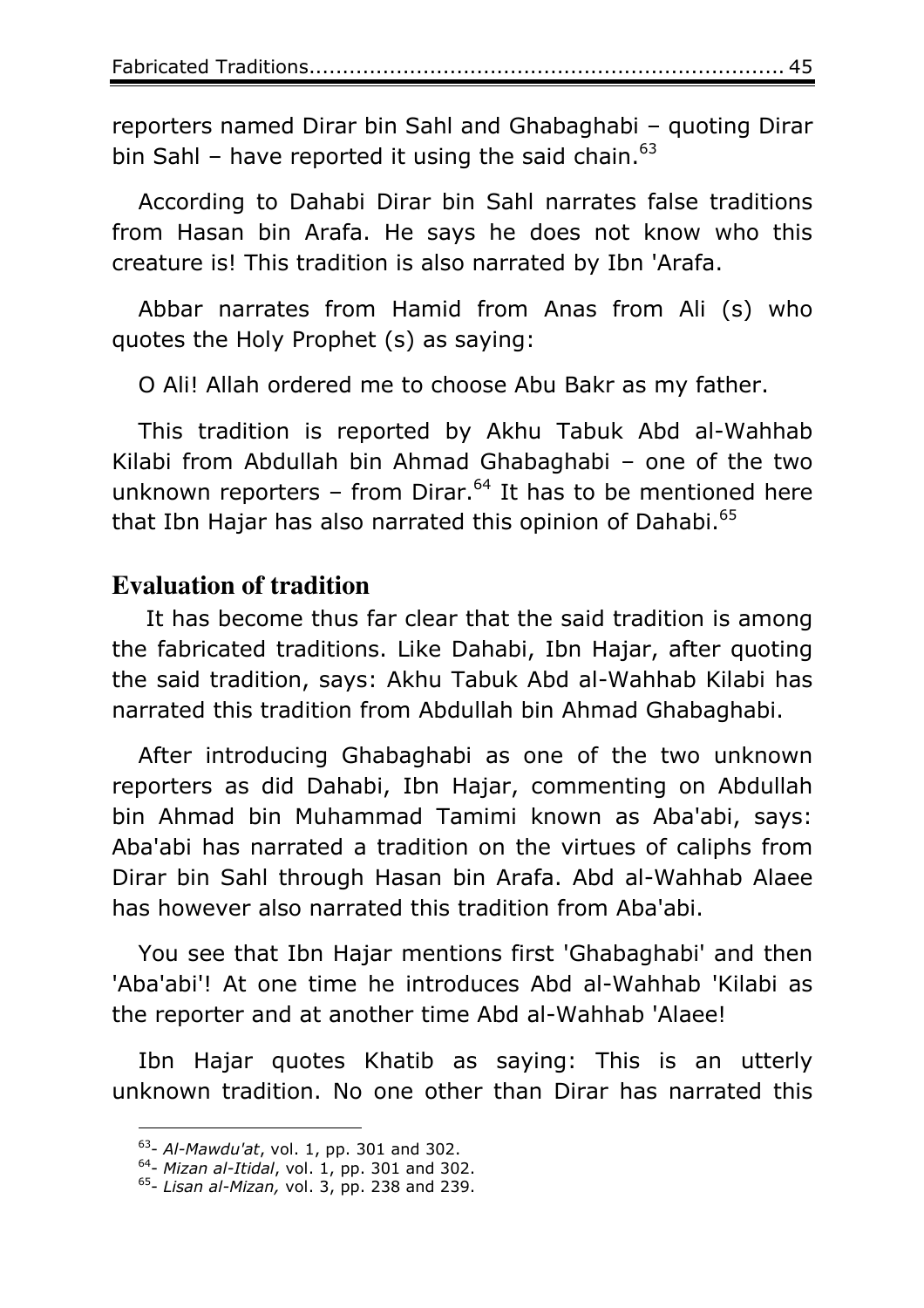reporters named Dirar bin Sahl and Ghabaghabi – quoting Dirar bin Sahl – have reported it using the said chain. $63$ 

According to Dahabi Dirar bin Sahl narrates false traditions from Hasan bin Arafa. He says he does not know who this creature is! This tradition is also narrated by Ibn 'Arafa.

Abbar narrates from Hamid from Anas from Ali (s) who quotes the Holy Prophet (s) as saying:

O Ali! Allah ordered me to choose Abu Bakr as my father.

This tradition is reported by Akhu Tabuk Abd al-Wahhab Kilabi from Abdullah bin Ahmad Ghabaghabi – one of the two unknown reporters – from Dirar. $64$  It has to be mentioned here that Ibn Hajar has also narrated this opinion of Dahabi.<sup>65</sup>

## **Evaluation of tradition**

 It has become thus far clear that the said tradition is among the fabricated traditions. Like Dahabi, Ibn Hajar, after quoting the said tradition, says: Akhu Tabuk Abd al-Wahhab Kilabi has narrated this tradition from Abdullah bin Ahmad Ghabaghabi.

After introducing Ghabaghabi as one of the two unknown reporters as did Dahabi, Ibn Hajar, commenting on Abdullah bin Ahmad bin Muhammad Tamimi known as Aba'abi, says: Aba'abi has narrated a tradition on the virtues of caliphs from Dirar bin Sahl through Hasan bin Arafa. Abd al-Wahhab Alaee has however also narrated this tradition from Aba'abi.

You see that Ibn Hajar mentions first 'Ghabaghabi' and then 'Aba'abi'! At one time he introduces Abd al-Wahhab 'Kilabi as the reporter and at another time Abd al-Wahhab 'Alaee!

Ibn Hajar quotes Khatib as saying: This is an utterly unknown tradition. No one other than Dirar has narrated this

<sup>1</sup> 63 - *Al-Mawdu'at*, vol. 1, pp. 301 and 302.

<sup>64</sup> - *Mizan al-Itidal*, vol. 1, pp. 301 and 302.

<sup>65</sup> - *Lisan al-Mizan,* vol. 3, pp. 238 and 239.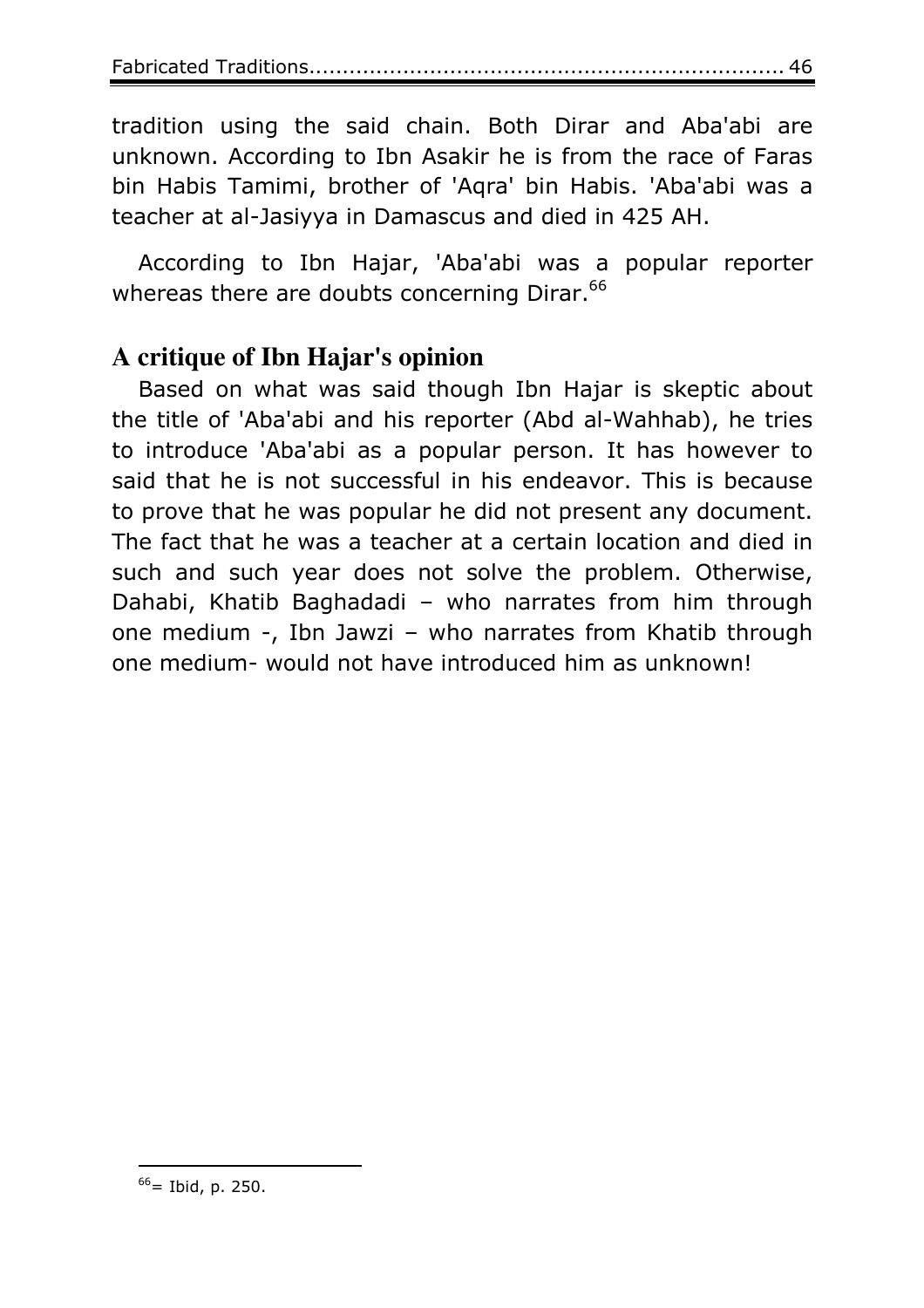|--|--|--|

tradition using the said chain. Both Dirar and Aba'abi are unknown. According to Ibn Asakir he is from the race of Faras bin Habis Tamimi, brother of 'Aqra' bin Habis. 'Aba'abi was a teacher at al-Jasiyya in Damascus and died in 425 AH.

According to Ibn Hajar, 'Aba'abi was a popular reporter whereas there are doubts concerning Dirar.<sup>66</sup>

### **A critique of Ibn Hajar's opinion**

Based on what was said though Ibn Hajar is skeptic about the title of 'Aba'abi and his reporter (Abd al-Wahhab), he tries to introduce 'Aba'abi as a popular person. It has however to said that he is not successful in his endeavor. This is because to prove that he was popular he did not present any document. The fact that he was a teacher at a certain location and died in such and such year does not solve the problem. Otherwise, Dahabi, Khatib Baghadadi – who narrates from him through one medium -, Ibn Jawzi – who narrates from Khatib through one medium- would not have introduced him as unknown!

1

 $66$  = Ibid, p. 250.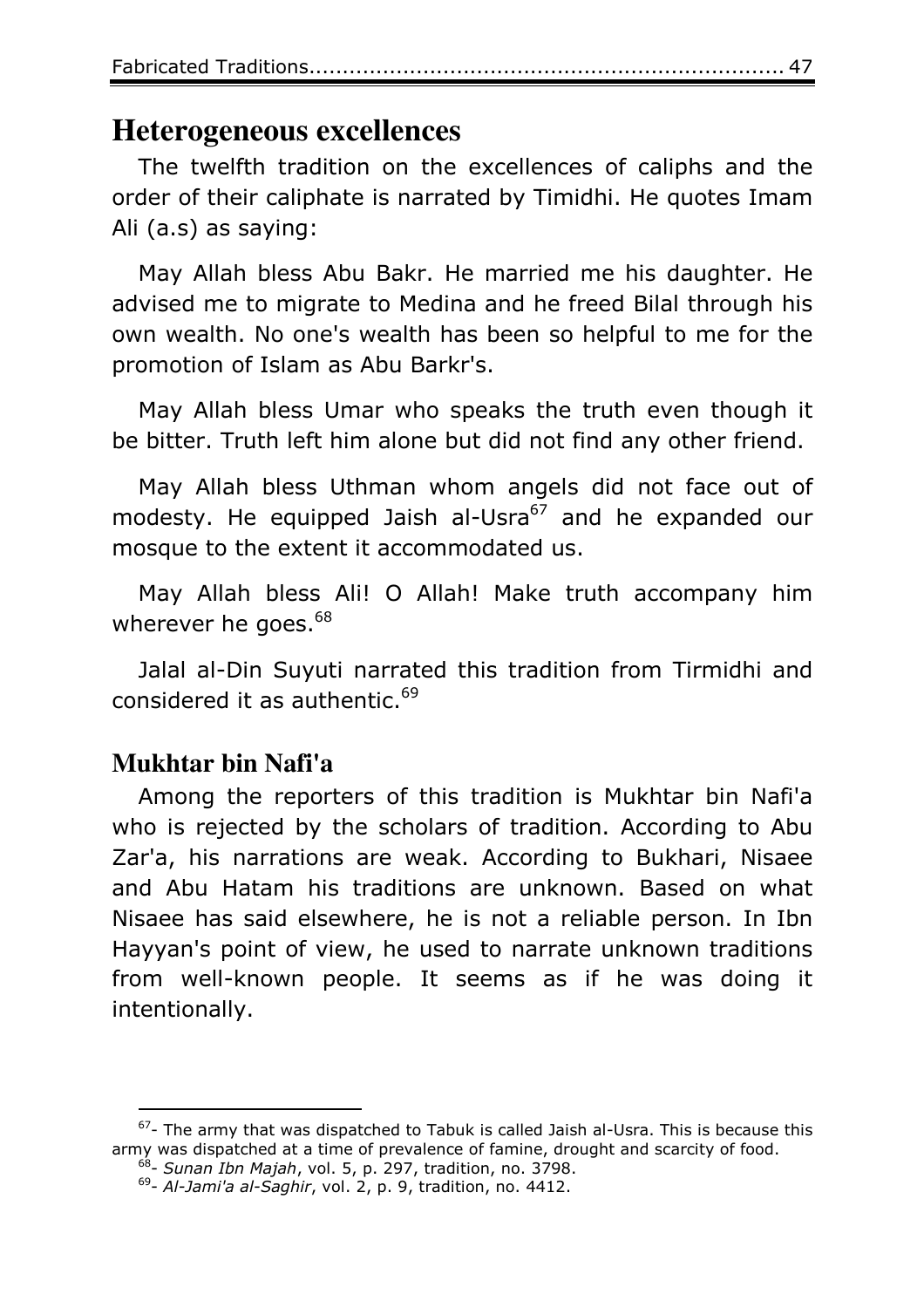|--|

### **Heterogeneous excellences**

The twelfth tradition on the excellences of caliphs and the order of their caliphate is narrated by Timidhi. He quotes Imam Ali (a.s) as saying:

May Allah bless Abu Bakr. He married me his daughter. He advised me to migrate to Medina and he freed Bilal through his own wealth. No one's wealth has been so helpful to me for the promotion of Islam as Abu Barkr's.

May Allah bless Umar who speaks the truth even though it be bitter. Truth left him alone but did not find any other friend.

May Allah bless Uthman whom angels did not face out of modesty. He equipped Jaish al-Usra<sup>67</sup> and he expanded our mosque to the extent it accommodated us.

May Allah bless Ali! O Allah! Make truth accompany him wherever he goes.<sup>68</sup>

Jalal al-Din Suyuti narrated this tradition from Tirmidhi and considered it as authentic.<sup>69</sup>

### **Mukhtar bin Nafi'a**

 $\overline{a}$ 

Among the reporters of this tradition is Mukhtar bin Nafi'a who is rejected by the scholars of tradition. According to Abu Zar'a, his narrations are weak. According to Bukhari, Nisaee and Abu Hatam his traditions are unknown. Based on what Nisaee has said elsewhere, he is not a reliable person. In Ibn Hayyan's point of view, he used to narrate unknown traditions from well-known people. It seems as if he was doing it intentionally.

 $67$ - The army that was dispatched to Tabuk is called Jaish al-Usra. This is because this army was dispatched at a time of prevalence of famine, drought and scarcity of food.

<sup>68</sup> - *Sunan Ibn Majah*, vol. 5, p. 297, tradition, no. 3798. 69 - *Al-Jami'a al-Saghir*, vol. 2, p. 9, tradition, no. 4412.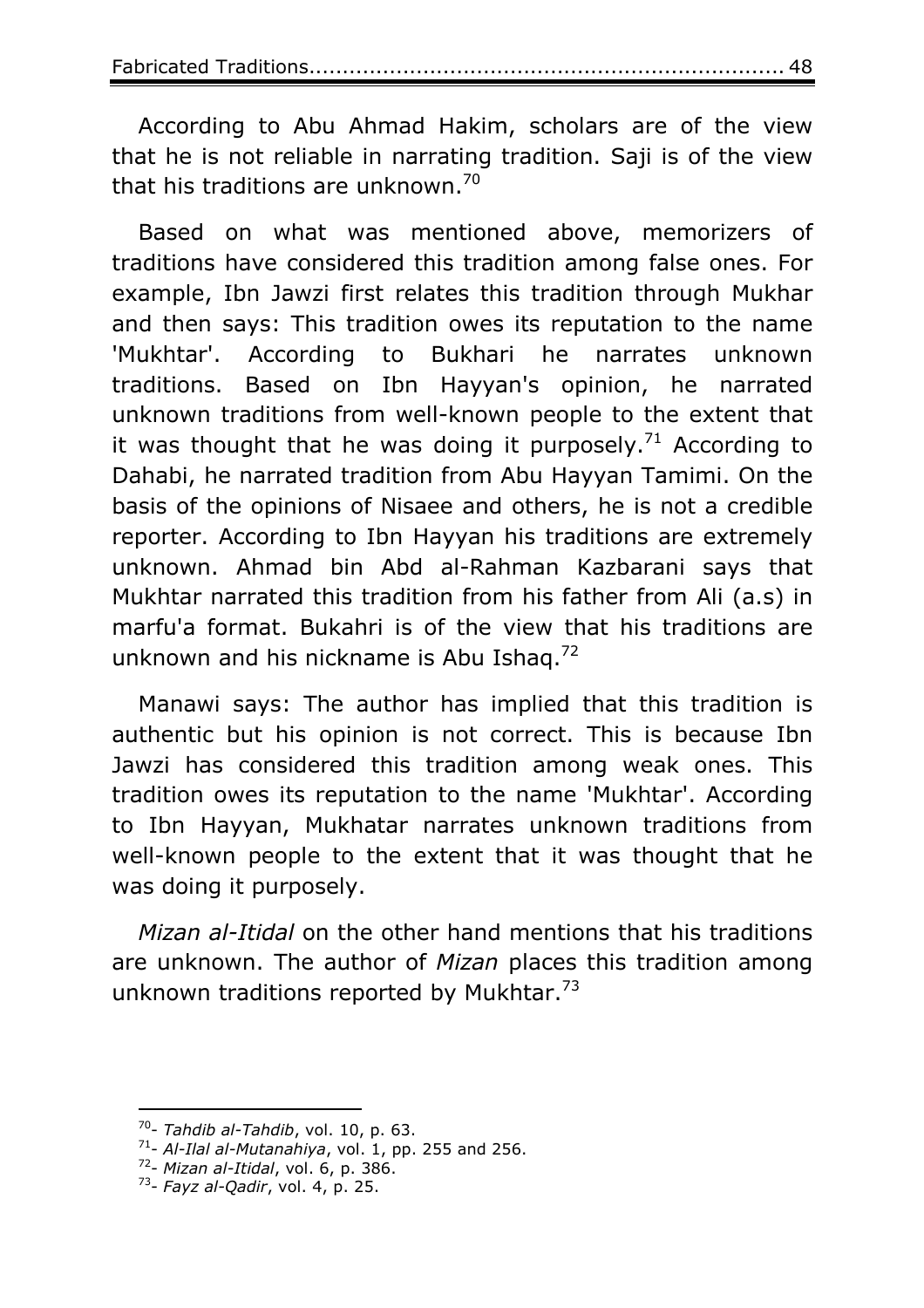According to Abu Ahmad Hakim, scholars are of the view that he is not reliable in narrating tradition. Saji is of the view that his traditions are unknown.<sup>70</sup>

Based on what was mentioned above, memorizers of traditions have considered this tradition among false ones. For example, Ibn Jawzi first relates this tradition through Mukhar and then says: This tradition owes its reputation to the name 'Mukhtar'. According to Bukhari he narrates unknown traditions. Based on Ibn Hayyan's opinion, he narrated unknown traditions from well-known people to the extent that it was thought that he was doing it purposely.<sup>71</sup> According to Dahabi, he narrated tradition from Abu Hayyan Tamimi. On the basis of the opinions of Nisaee and others, he is not a credible reporter. According to Ibn Hayyan his traditions are extremely unknown. Ahmad bin Abd al-Rahman Kazbarani says that Mukhtar narrated this tradition from his father from Ali (a.s) in marfu'a format. Bukahri is of the view that his traditions are unknown and his nickname is Abu Ishaq.<sup>72</sup>

Manawi says: The author has implied that this tradition is authentic but his opinion is not correct. This is because Ibn Jawzi has considered this tradition among weak ones. This tradition owes its reputation to the name 'Mukhtar'. According to Ibn Hayyan, Mukhatar narrates unknown traditions from well-known people to the extent that it was thought that he was doing it purposely.

*Mizan al-Itidal* on the other hand mentions that his traditions are unknown. The author of *Mizan* places this tradition among unknown traditions reported by Mukhtar. $73$ 

 $\overline{a}$ 70 - *Tahdib al-Tahdib*, vol. 10, p. 63.

<sup>71</sup> - *Al-Ilal al-Mutanahiya*, vol. 1, pp. 255 and 256.

<sup>72</sup> - *Mizan al-Itidal*, vol. 6, p. 386.

<sup>73</sup> - *Fayz al-Qadir*, vol. 4, p. 25.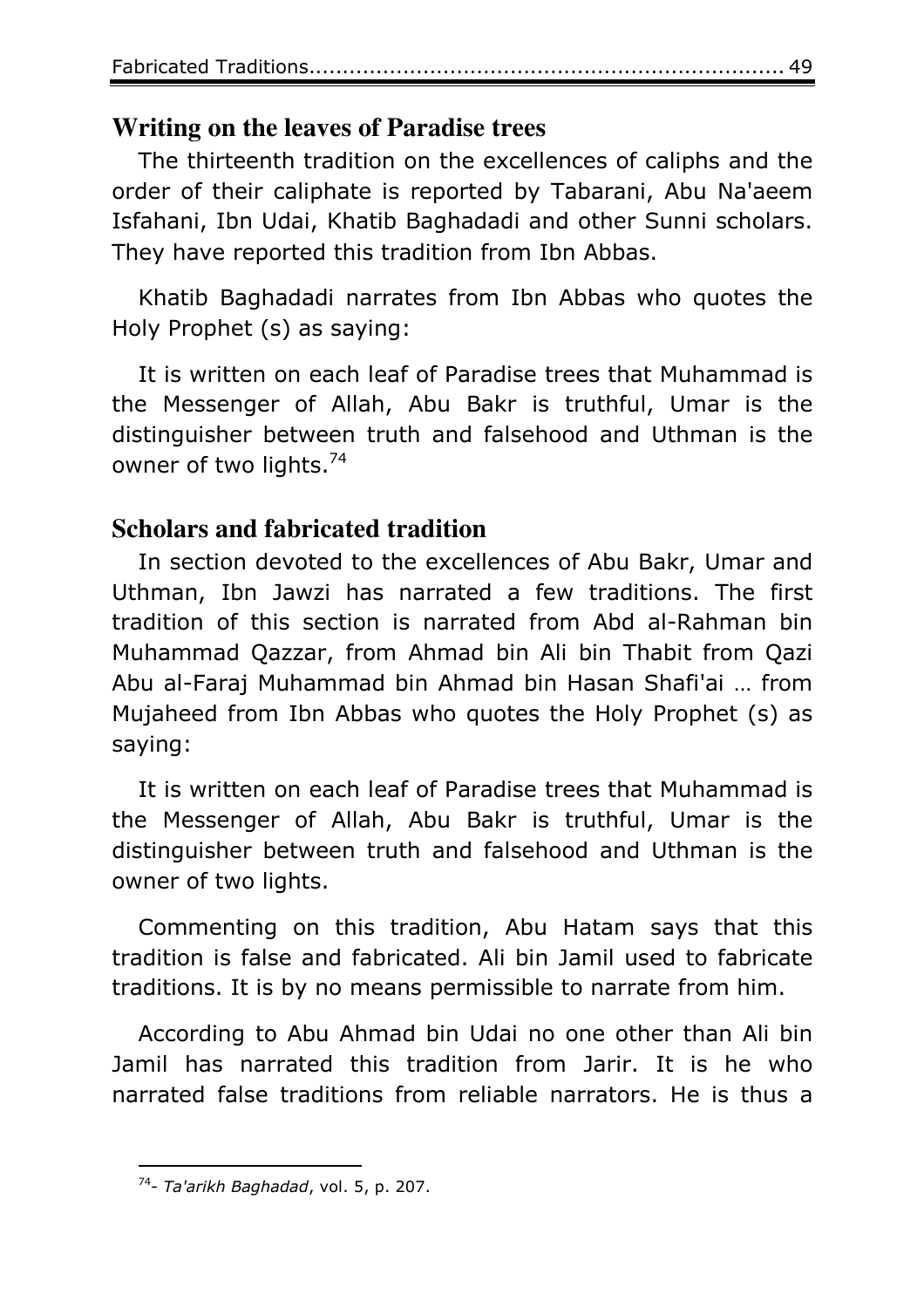#### **Writing on the leaves of Paradise trees**

The thirteenth tradition on the excellences of caliphs and the order of their caliphate is reported by Tabarani, Abu Na'aeem Isfahani, Ibn Udai, Khatib Baghadadi and other Sunni scholars. They have reported this tradition from Ibn Abbas.

Khatib Baghadadi narrates from Ibn Abbas who quotes the Holy Prophet (s) as saying:

It is written on each leaf of Paradise trees that Muhammad is the Messenger of Allah, Abu Bakr is truthful, Umar is the distinguisher between truth and falsehood and Uthman is the owner of two lights.<sup>74</sup>

### **Scholars and fabricated tradition**

In section devoted to the excellences of Abu Bakr, Umar and Uthman, Ibn Jawzi has narrated a few traditions. The first tradition of this section is narrated from Abd al-Rahman bin Muhammad Qazzar, from Ahmad bin Ali bin Thabit from Qazi Abu al-Faraj Muhammad bin Ahmad bin Hasan Shafi'ai … from Mujaheed from Ibn Abbas who quotes the Holy Prophet (s) as saying:

It is written on each leaf of Paradise trees that Muhammad is the Messenger of Allah, Abu Bakr is truthful, Umar is the distinguisher between truth and falsehood and Uthman is the owner of two lights.

Commenting on this tradition, Abu Hatam says that this tradition is false and fabricated. Ali bin Jamil used to fabricate traditions. It is by no means permissible to narrate from him.

According to Abu Ahmad bin Udai no one other than Ali bin Jamil has narrated this tradition from Jarir. It is he who narrated false traditions from reliable narrators. He is thus a

<sup>1</sup> 74 - *Ta'arikh Baghadad*, vol. 5, p. 207.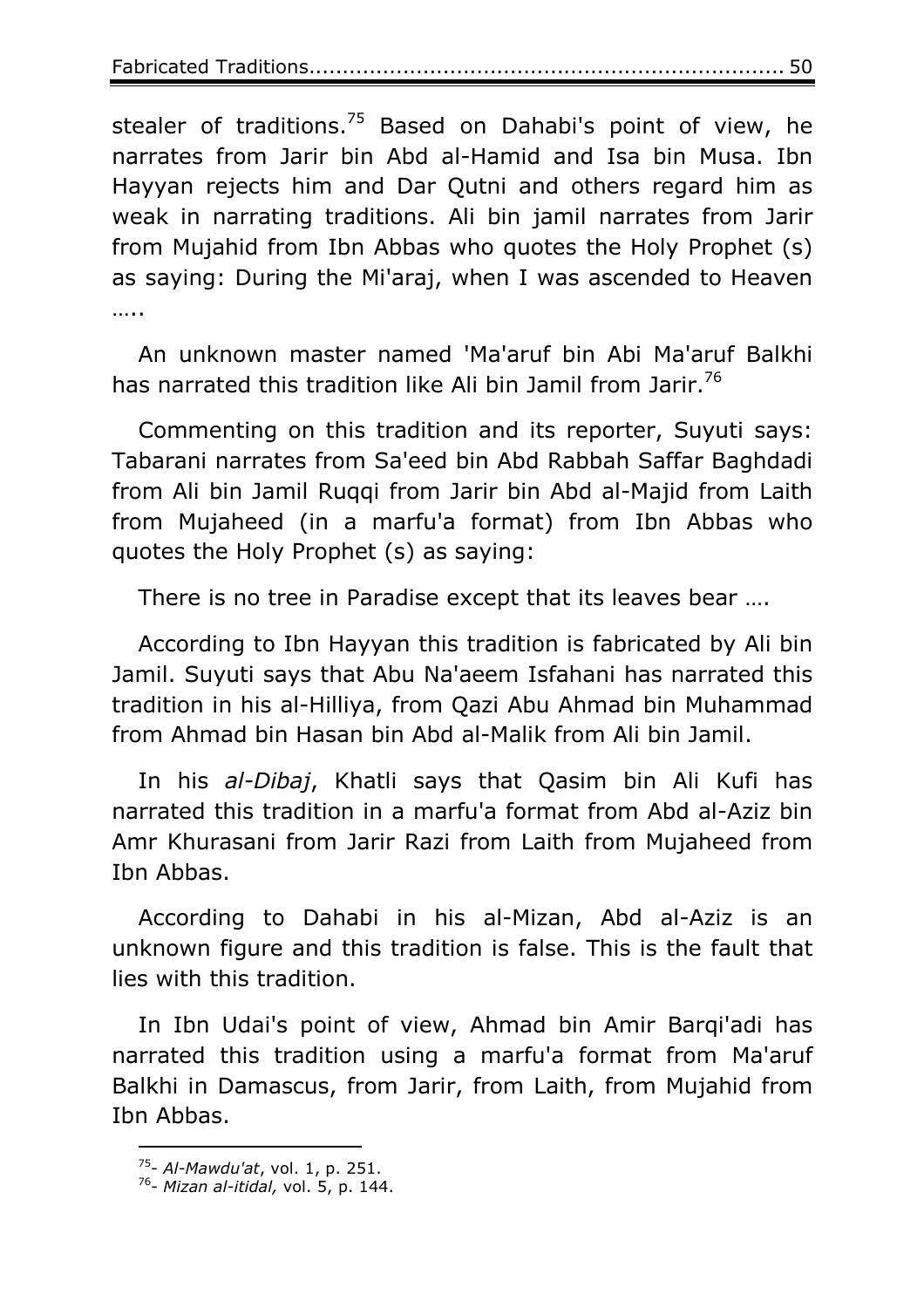stealer of traditions.<sup>75</sup> Based on Dahabi's point of view, he narrates from Jarir bin Abd al-Hamid and Isa bin Musa. Ibn Hayyan rejects him and Dar Qutni and others regard him as weak in narrating traditions. Ali bin jamil narrates from Jarir from Mujahid from Ibn Abbas who quotes the Holy Prophet (s) as saying: During the Mi'araj, when I was ascended to Heaven ……

An unknown master named 'Ma'aruf bin Abi Ma'aruf Balkhi has narrated this tradition like Ali bin Jamil from Jarir.<sup>76</sup>

Commenting on this tradition and its reporter, Suyuti says: Tabarani narrates from Sa'eed bin Abd Rabbah Saffar Baghdadi from Ali bin Jamil Ruqqi from Jarir bin Abd al-Majid from Laith from Mujaheed (in a marfu'a format) from Ibn Abbas who quotes the Holy Prophet (s) as saying:

There is no tree in Paradise except that its leaves bear ….

According to Ibn Hayyan this tradition is fabricated by Ali bin Jamil. Suyuti says that Abu Na'aeem Isfahani has narrated this tradition in his al-Hilliya, from Qazi Abu Ahmad bin Muhammad from Ahmad bin Hasan bin Abd al-Malik from Ali bin Jamil.

In his *al-Dibaj*, Khatli says that Qasim bin Ali Kufi has narrated this tradition in a marfu'a format from Abd al-Aziz bin Amr Khurasani from Jarir Razi from Laith from Mujaheed from Ibn Abbas.

According to Dahabi in his al-Mizan, Abd al-Aziz is an unknown figure and this tradition is false. This is the fault that lies with this tradition.

In Ibn Udai's point of view, Ahmad bin Amir Barqi'adi has narrated this tradition using a marfu'a format from Ma'aruf Balkhi in Damascus, from Jarir, from Laith, from Mujahid from Ibn Abbas.

 $\overline{a}$ 

<sup>75</sup> - *Al-Mawdu'at*, vol. 1, p. 251.

<sup>76</sup> - *Mizan al-itidal,* vol. 5, p. 144.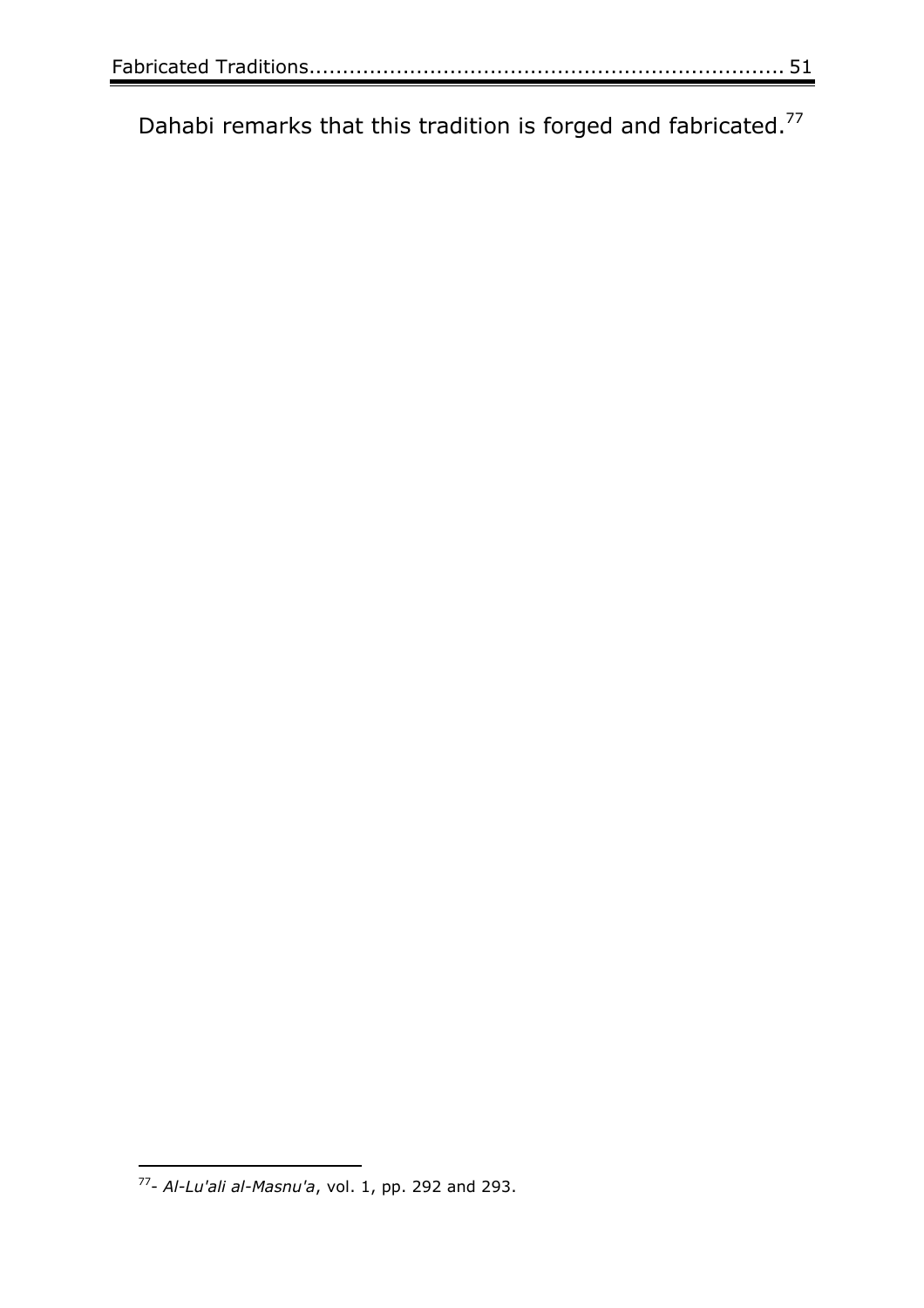|--|

Dahabi remarks that this tradition is forged and fabricated.<sup>77</sup>

 77 - *Al-Lu'ali al-Masnu'a*, vol. 1, pp. 292 and 293.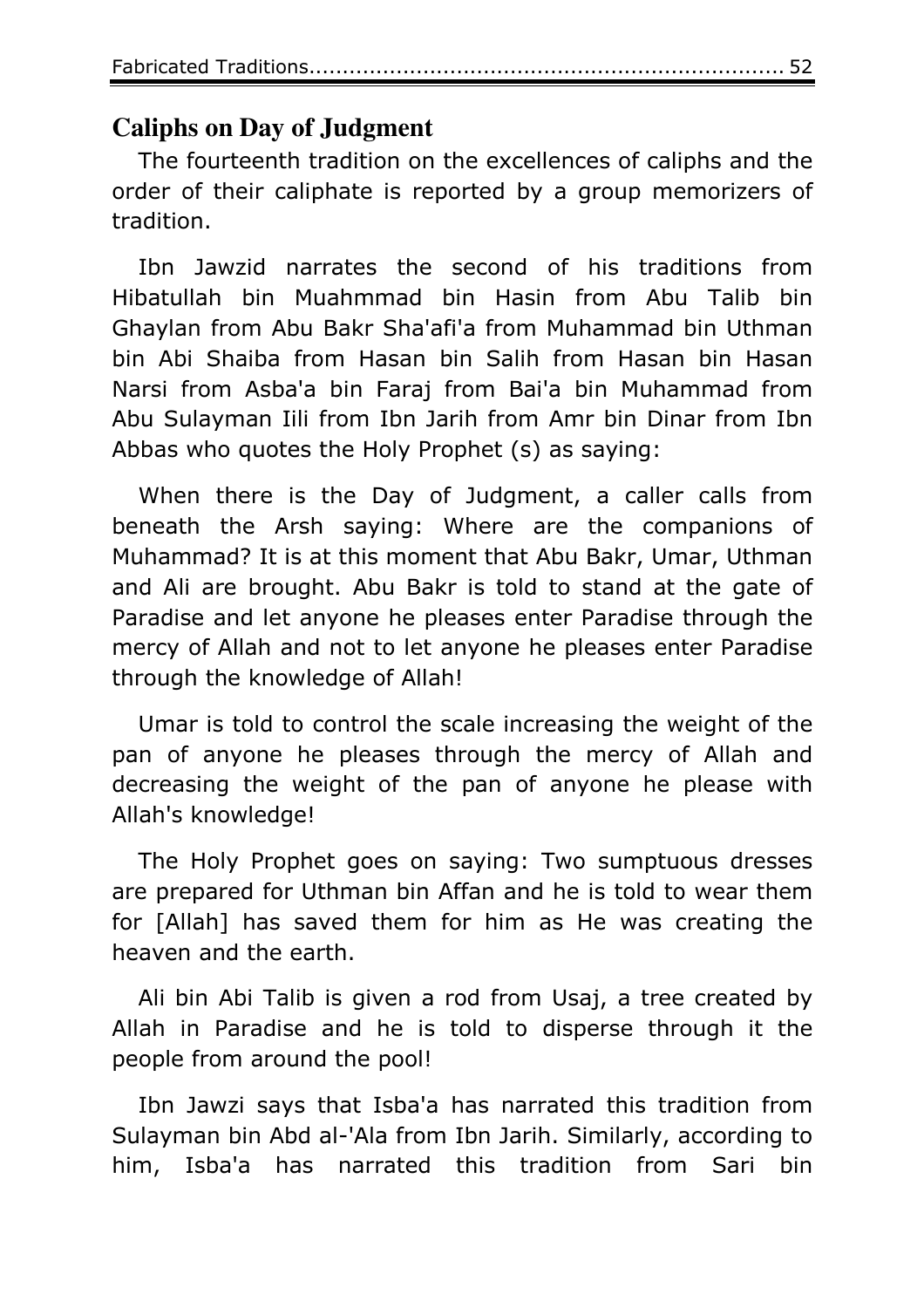|--|--|--|

#### **Caliphs on Day of Judgment**

The fourteenth tradition on the excellences of caliphs and the order of their caliphate is reported by a group memorizers of tradition.

Ibn Jawzid narrates the second of his traditions from Hibatullah bin Muahmmad bin Hasin from Abu Talib bin Ghaylan from Abu Bakr Sha'afi'a from Muhammad bin Uthman bin Abi Shaiba from Hasan bin Salih from Hasan bin Hasan Narsi from Asba'a bin Faraj from Bai'a bin Muhammad from Abu Sulayman Iili from Ibn Jarih from Amr bin Dinar from Ibn Abbas who quotes the Holy Prophet (s) as saying:

When there is the Day of Judgment, a caller calls from beneath the Arsh saying: Where are the companions of Muhammad? It is at this moment that Abu Bakr, Umar, Uthman and Ali are brought. Abu Bakr is told to stand at the gate of Paradise and let anyone he pleases enter Paradise through the mercy of Allah and not to let anyone he pleases enter Paradise through the knowledge of Allah!

Umar is told to control the scale increasing the weight of the pan of anyone he pleases through the mercy of Allah and decreasing the weight of the pan of anyone he please with Allah's knowledge!

The Holy Prophet goes on saying: Two sumptuous dresses are prepared for Uthman bin Affan and he is told to wear them for [Allah] has saved them for him as He was creating the heaven and the earth.

Ali bin Abi Talib is given a rod from Usaj, a tree created by Allah in Paradise and he is told to disperse through it the people from around the pool!

Ibn Jawzi says that Isba'a has narrated this tradition from Sulayman bin Abd al-'Ala from Ibn Jarih. Similarly, according to him, Isba'a has narrated this tradition from Sari bin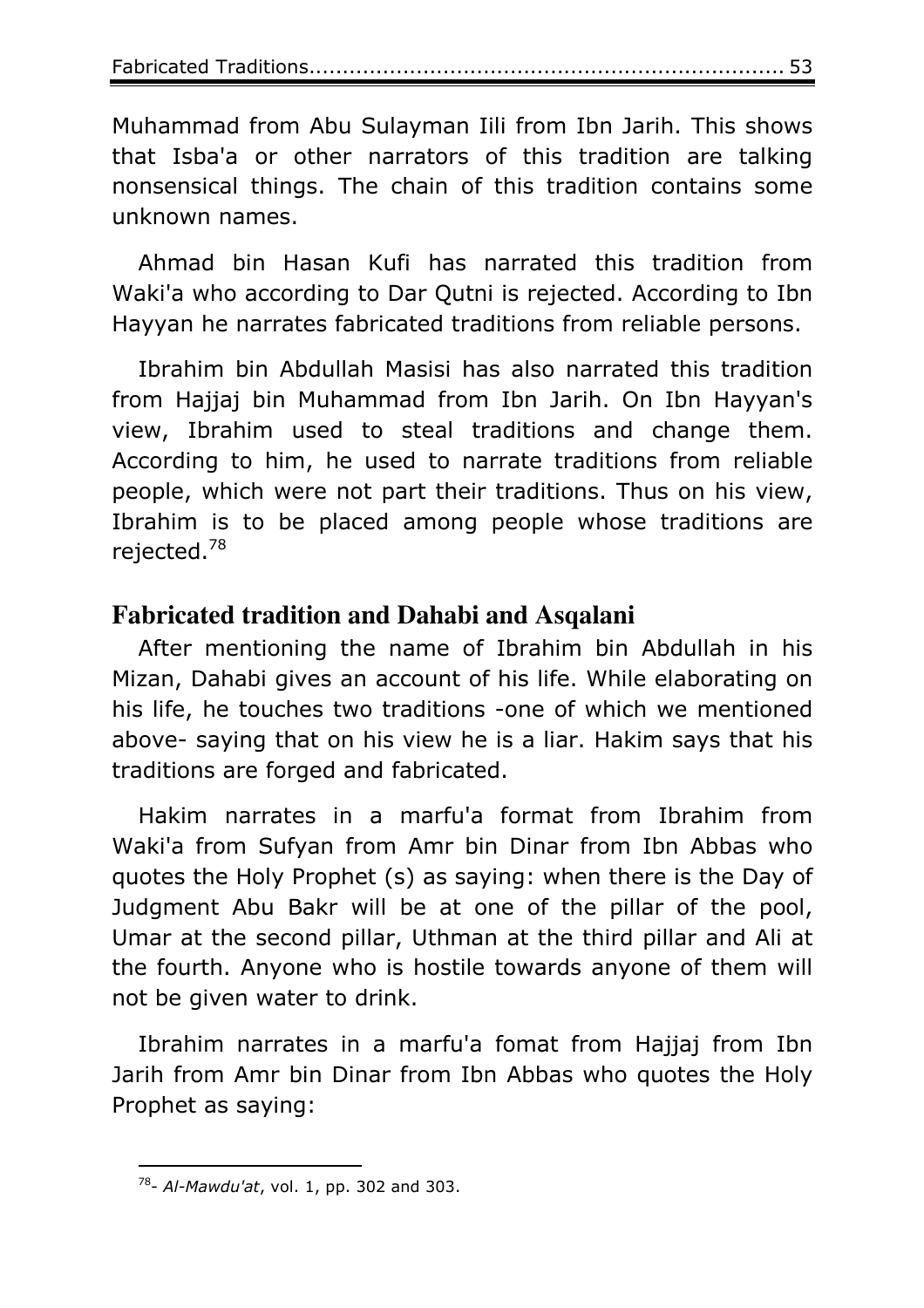Muhammad from Abu Sulayman Iili from Ibn Jarih. This shows that Isba'a or other narrators of this tradition are talking nonsensical things. The chain of this tradition contains some unknown names.

Ahmad bin Hasan Kufi has narrated this tradition from Waki'a who according to Dar Qutni is rejected. According to Ibn Hayyan he narrates fabricated traditions from reliable persons.

Ibrahim bin Abdullah Masisi has also narrated this tradition from Hajjaj bin Muhammad from Ibn Jarih. On Ibn Hayyan's view, Ibrahim used to steal traditions and change them. According to him, he used to narrate traditions from reliable people, which were not part their traditions. Thus on his view, Ibrahim is to be placed among people whose traditions are rejected.<sup>78</sup>

# **Fabricated tradition and Dahabi and Asqalani**

After mentioning the name of Ibrahim bin Abdullah in his Mizan, Dahabi gives an account of his life. While elaborating on his life, he touches two traditions -one of which we mentioned above- saying that on his view he is a liar. Hakim says that his traditions are forged and fabricated.

Hakim narrates in a marfu'a format from Ibrahim from Waki'a from Sufyan from Amr bin Dinar from Ibn Abbas who quotes the Holy Prophet (s) as saying: when there is the Day of Judgment Abu Bakr will be at one of the pillar of the pool, Umar at the second pillar, Uthman at the third pillar and Ali at the fourth. Anyone who is hostile towards anyone of them will not be given water to drink.

Ibrahim narrates in a marfu'a fomat from Hajjaj from Ibn Jarih from Amr bin Dinar from Ibn Abbas who quotes the Holy Prophet as saying:

<sup>1</sup> 78 - *Al-Mawdu'at*, vol. 1, pp. 302 and 303.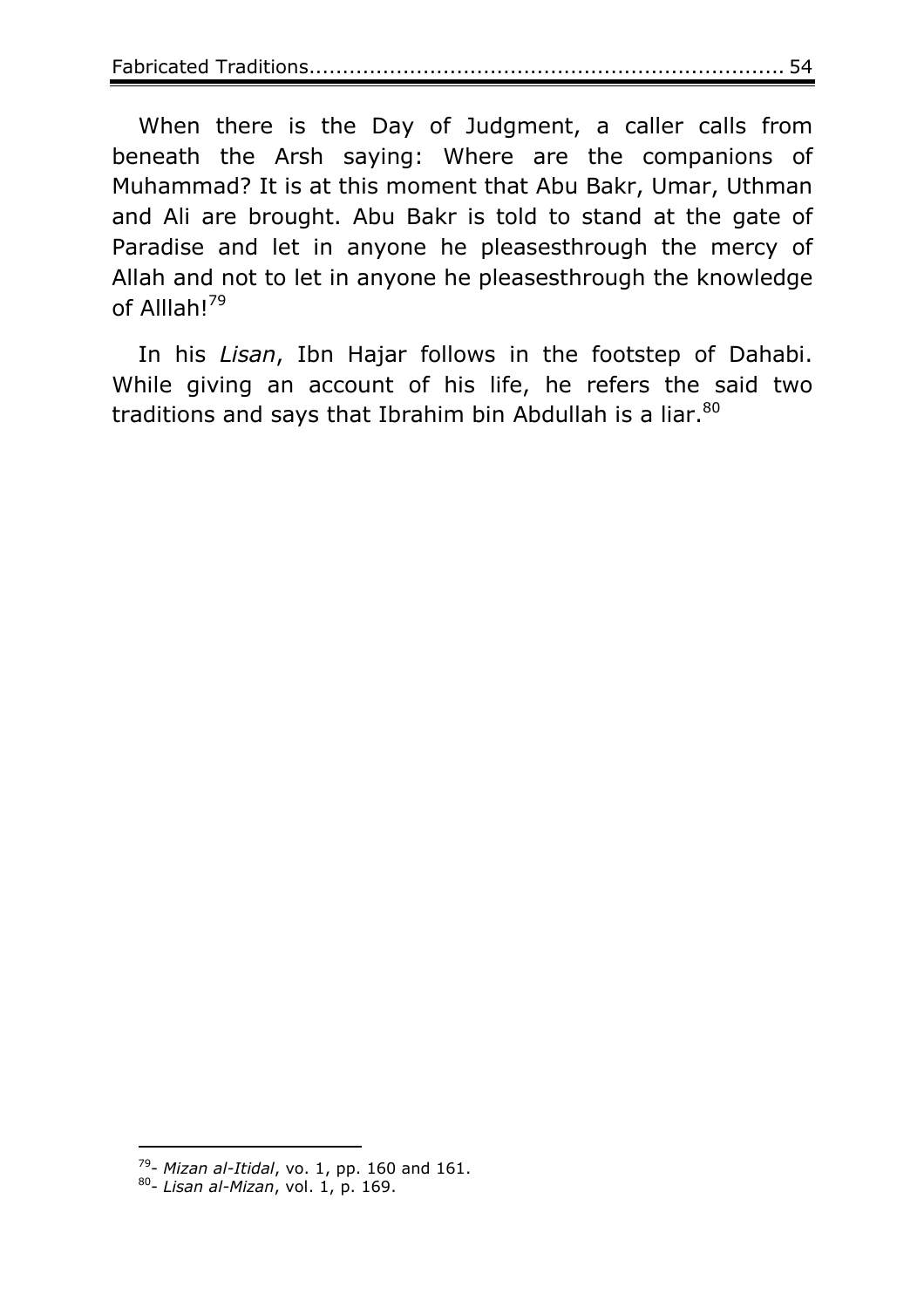|--|--|--|

When there is the Day of Judgment, a caller calls from beneath the Arsh saying: Where are the companions of Muhammad? It is at this moment that Abu Bakr, Umar, Uthman and Ali are brought. Abu Bakr is told to stand at the gate of Paradise and let in anyone he pleasesthrough the mercy of Allah and not to let in anyone he pleasesthrough the knowledge of Alllah<sup>179</sup>

In his *Lisan*, Ibn Hajar follows in the footstep of Dahabi. While giving an account of his life, he refers the said two traditions and says that Ibrahim bin Abdullah is a liar.<sup>80</sup>

 $\overline{a}$ 

<sup>79</sup> - *Mizan al-Itidal*, vo. 1, pp. 160 and 161.

<sup>80</sup> - *Lisan al-Mizan*, vol. 1, p. 169.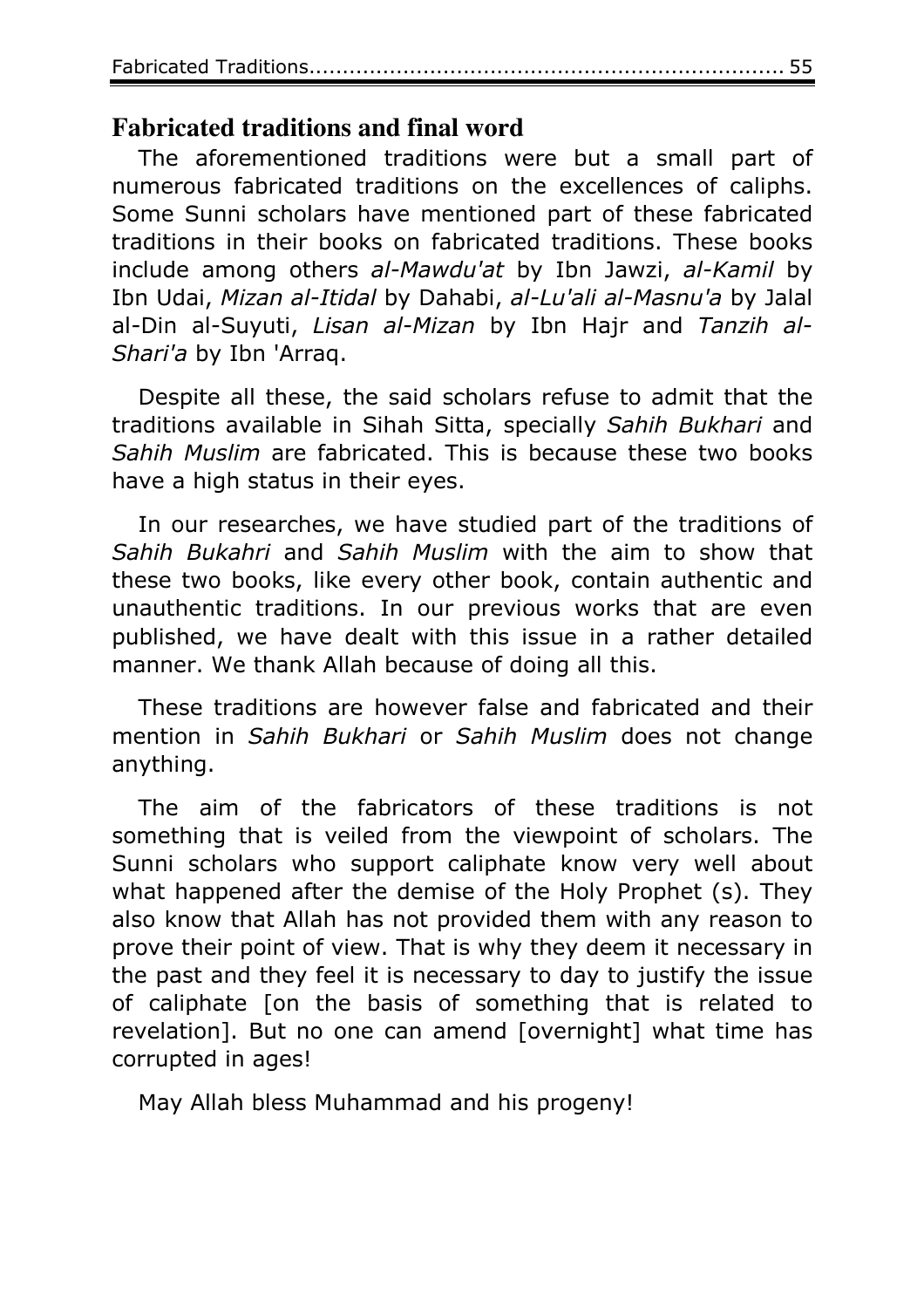|--|

#### **Fabricated traditions and final word**

The aforementioned traditions were but a small part of numerous fabricated traditions on the excellences of caliphs. Some Sunni scholars have mentioned part of these fabricated traditions in their books on fabricated traditions. These books include among others *al-Mawdu'at* by Ibn Jawzi, *al-Kamil* by Ibn Udai, *Mizan al-Itidal* by Dahabi, *al-Lu'ali al-Masnu'a* by Jalal al-Din al-Suyuti, *Lisan al-Mizan* by Ibn Hajr and *Tanzih al-Shari'a* by Ibn 'Arraq.

Despite all these, the said scholars refuse to admit that the traditions available in Sihah Sitta, specially *Sahih Bukhari* and *Sahih Muslim* are fabricated. This is because these two books have a high status in their eyes.

In our researches, we have studied part of the traditions of *Sahih Bukahri* and *Sahih Muslim* with the aim to show that these two books, like every other book, contain authentic and unauthentic traditions. In our previous works that are even published, we have dealt with this issue in a rather detailed manner. We thank Allah because of doing all this.

These traditions are however false and fabricated and their mention in *Sahih Bukhari* or *Sahih Muslim* does not change anything.

The aim of the fabricators of these traditions is not something that is veiled from the viewpoint of scholars. The Sunni scholars who support caliphate know very well about what happened after the demise of the Holy Prophet (s). They also know that Allah has not provided them with any reason to prove their point of view. That is why they deem it necessary in the past and they feel it is necessary to day to justify the issue of caliphate [on the basis of something that is related to revelation]. But no one can amend [overnight] what time has corrupted in ages!

May Allah bless Muhammad and his progeny!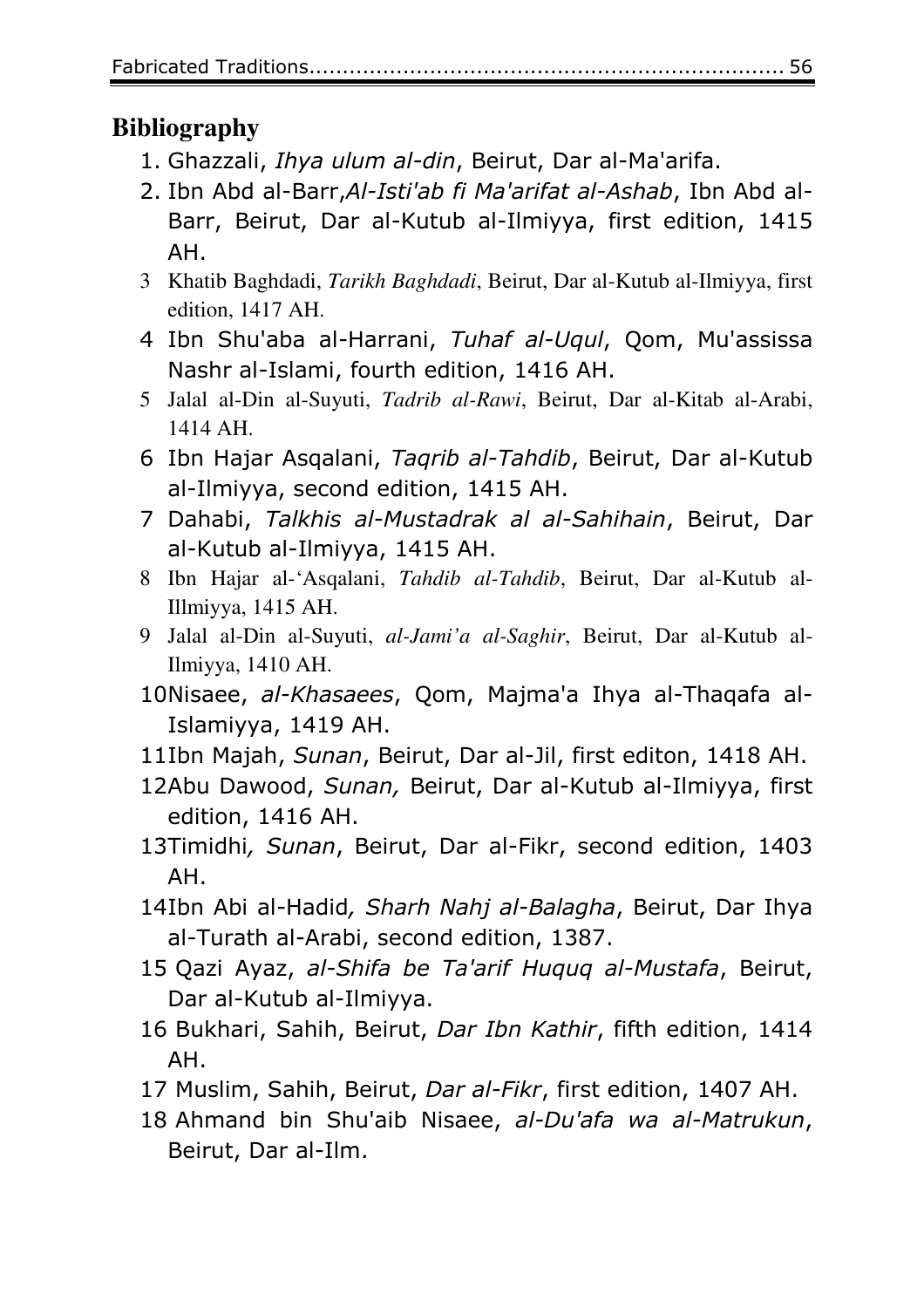## **Bibliography**

- 1. Ghazzali, *Ihya ulum al-din*, Beirut, Dar al-Ma'arifa.
- 2. Ibn Abd al-Barr,*Al-Isti'ab fi Ma'arifat al-Ashab*, Ibn Abd al-Barr, Beirut, Dar al-Kutub al-Ilmiyya, first edition, 1415 AH.
- 3 Khatib Baghdadi, *Tarikh Baghdadi*, Beirut, Dar al-Kutub al-Ilmiyya, first edition, 1417 AH.
- 4 Ibn Shu'aba al-Harrani, *Tuhaf al-Uqul*, Qom, Mu'assissa Nashr al-Islami, fourth edition, 1416 AH.
- 5 Jalal al-Din al-Suyuti, *Tadrib al-Rawi*, Beirut, Dar al-Kitab al-Arabi, 1414 AH.
- 6 Ibn Hajar Asqalani, *Taqrib al-Tahdib*, Beirut, Dar al-Kutub al-Ilmiyya, second edition, 1415 AH.
- 7 Dahabi, *Talkhis al-Mustadrak al al-Sahihain*, Beirut, Dar al-Kutub al-Ilmiyya, 1415 AH.
- 8 Ibn Hajar al-'Asqalani, *Tahdib al-Tahdib*, Beirut, Dar al-Kutub al-Illmiyya, 1415 AH.
- 9 Jalal al-Din al-Suyuti, *al-Jami'a al-Saghir*, Beirut, Dar al-Kutub al-Ilmiyya, 1410 AH.
- 10Nisaee, *al-Khasaees*, Qom, Majma'a Ihya al-Thaqafa al-Islamiyya, 1419 AH.
- 11Ibn Majah, *Sunan*, Beirut, Dar al-Jil, first editon, 1418 AH.
- 12Abu Dawood, *Sunan,* Beirut, Dar al-Kutub al-Ilmiyya, first edition, 1416 AH.
- 13Timidhi*, Sunan*, Beirut, Dar al-Fikr, second edition, 1403 AH.
- 14Ibn Abi al-Hadid*, Sharh Nahj al-Balagha*, Beirut, Dar Ihya al-Turath al-Arabi, second edition, 1387.
- 15 Qazi Ayaz, *al-Shifa be Ta'arif Huquq al-Mustafa*, Beirut, Dar al-Kutub al-Ilmiyya.
- 16 Bukhari, Sahih, Beirut, *Dar Ibn Kathir*, fifth edition, 1414 AH.
- 17 Muslim, Sahih, Beirut, *Dar al-Fikr*, first edition, 1407 AH.
- 18 Ahmand bin Shu'aib Nisaee, *al-Du'afa wa al-Matrukun*, Beirut, Dar al-Ilm.